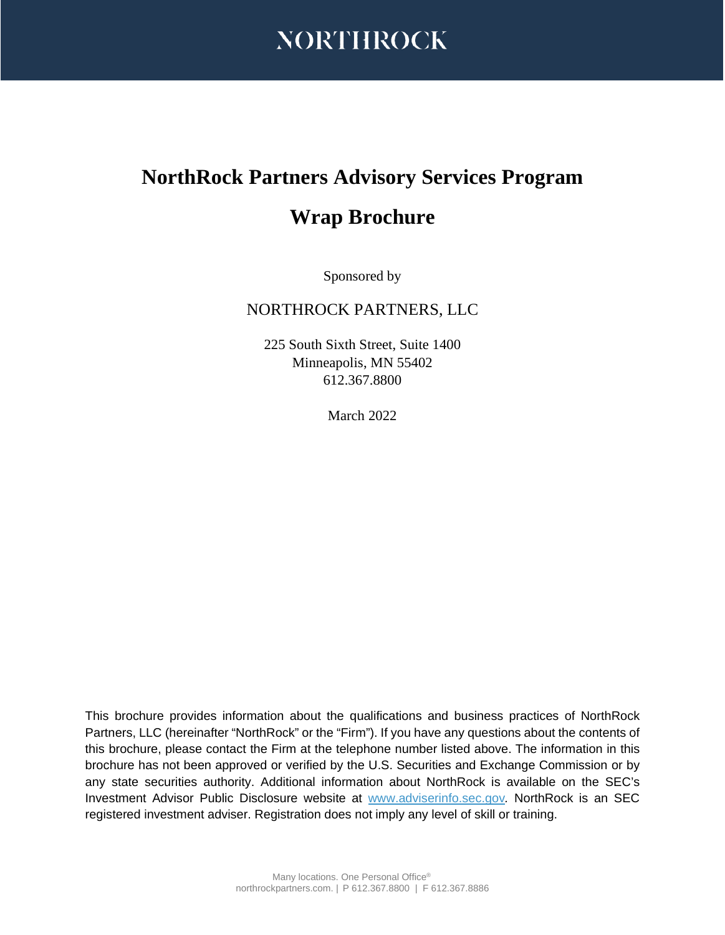

# **NorthRock Partners Advisory Services Program**

## **Wrap Brochure**

Sponsored by

## NORTHROCK PARTNERS, LLC

225 South Sixth Street, Suite 1400 Minneapolis, MN 55402 612.367.8800

March 2022

This brochure provides information about the qualifications and business practices of NorthRock Partners, LLC (hereinafter "NorthRock" or the "Firm"). If you have any questions about the contents of this brochure, please contact the Firm at the telephone number listed above. The information in this brochure has not been approved or verified by the U.S. Securities and Exchange Commission or by any state securities authority. Additional information about NorthRock is available on the SEC's Investment Advisor Public Disclosure website at [www.adviserinfo.sec.gov](http://www.adviserinfo.sec.gov/)*.* NorthRock is an SEC registered investment adviser. Registration does not imply any level of skill or training.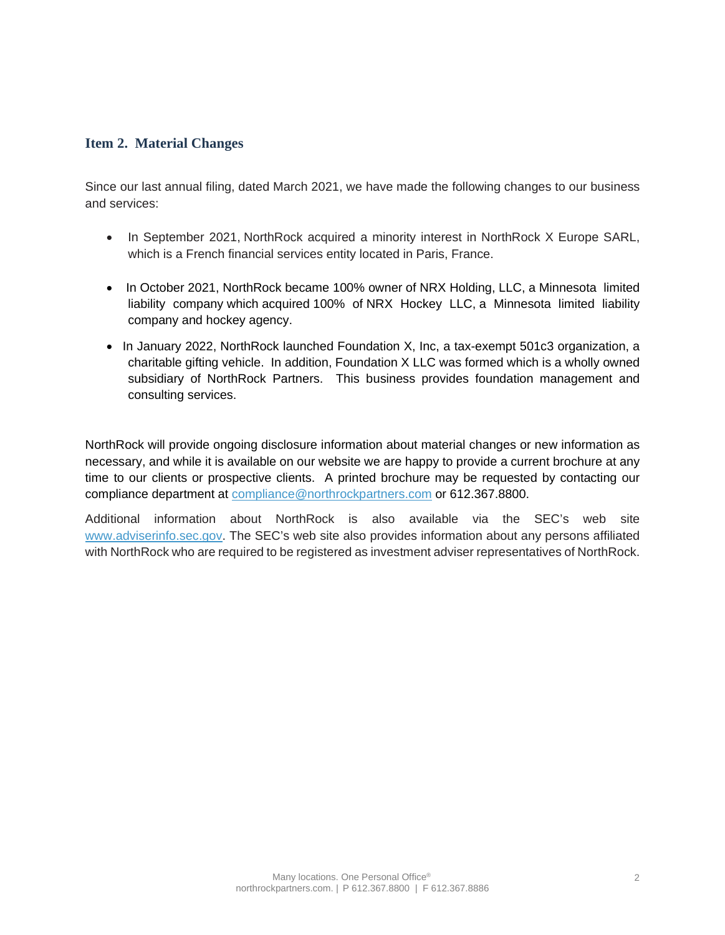## **Item 2. Material Changes**

Since our last annual filing, dated March 2021, we have made the following changes to our business and services:

- In September 2021, NorthRock acquired a minority interest in NorthRock X Europe SARL, which is a French financial services entity located in Paris, France.
- In October 2021, NorthRock became 100% owner of NRX Holding, LLC, a Minnesota limited liability company which acquired 100% of NRX Hockey LLC, a Minnesota limited liability company and hockey agency.
- In January 2022, NorthRock launched Foundation X, Inc, a tax-exempt 501c3 organization, a charitable gifting vehicle. In addition, Foundation X LLC was formed which is a wholly owned subsidiary of NorthRock Partners. This business provides foundation management and consulting services.

NorthRock will provide ongoing disclosure information about material changes or new information as necessary, and while it is available on our website we are happy to provide a current brochure at any time to our clients or prospective clients. A printed brochure may be requested by contacting our compliance department a[t compliance@northrockpartners.com](mailto:jim@northrockpartners.com) or 612.367.8800.

Additional information about NorthRock is also available via the SEC's web site [www.adviserinfo.sec.gov.](http://www.adviserinfo.sec.gov/) The SEC's web site also provides information about any persons affiliated with NorthRock who are required to be registered as investment adviser representatives of NorthRock.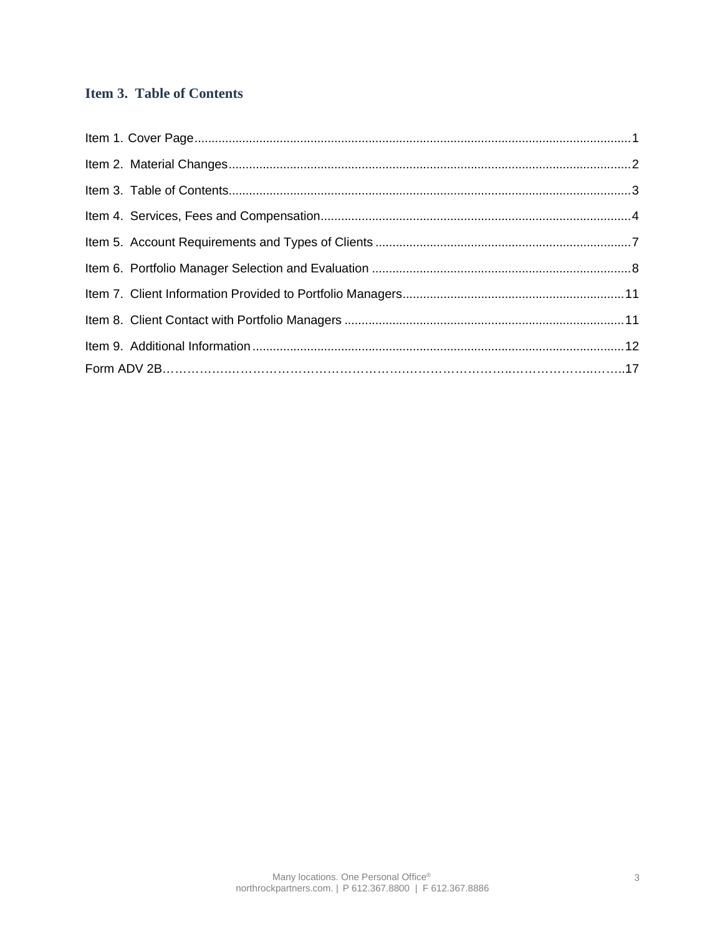## **Item 3. Table of Contents**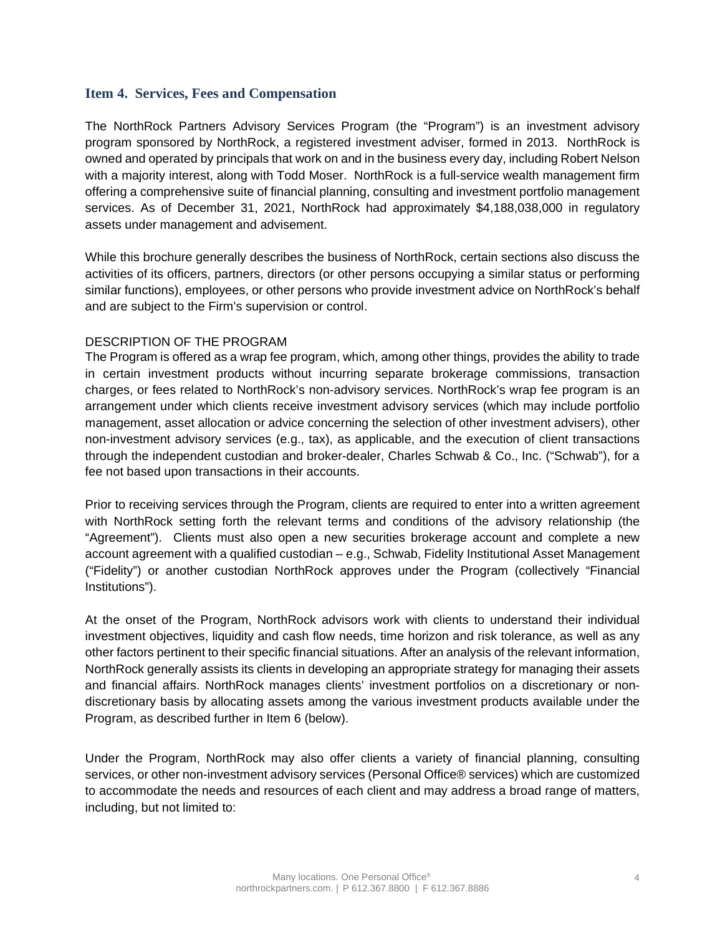## **Item 4. Services, Fees and Compensation**

The NorthRock Partners Advisory Services Program (the "Program") is an investment advisory program sponsored by NorthRock, a registered investment adviser, formed in 2013. NorthRock is owned and operated by principals that work on and in the business every day, including Robert Nelson with a majority interest, along with Todd Moser. NorthRock is a full-service wealth management firm offering a comprehensive suite of financial planning, consulting and investment portfolio management services. As of December 31, 2021, NorthRock had approximately \$4,188,038,000 in regulatory assets under management and advisement.

While this brochure generally describes the business of NorthRock, certain sections also discuss the activities of its officers, partners, directors (or other persons occupying a similar status or performing similar functions), employees, or other persons who provide investment advice on NorthRock's behalf and are subject to the Firm's supervision or control.

### DESCRIPTION OF THE PROGRAM

The Program is offered as a wrap fee program, which, among other things, provides the ability to trade in certain investment products without incurring separate brokerage commissions, transaction charges, or fees related to NorthRock's non-advisory services. NorthRock's wrap fee program is an arrangement under which clients receive investment advisory services (which may include portfolio management, asset allocation or advice concerning the selection of other investment advisers), other non-investment advisory services (e.g., tax), as applicable, and the execution of client transactions through the independent custodian and broker-dealer, Charles Schwab & Co., Inc. ("Schwab"), for a fee not based upon transactions in their accounts.

Prior to receiving services through the Program, clients are required to enter into a written agreement with NorthRock setting forth the relevant terms and conditions of the advisory relationship (the "Agreement"). Clients must also open a new securities brokerage account and complete a new account agreement with a qualified custodian – e.g., Schwab, Fidelity Institutional Asset Management ("Fidelity") or another custodian NorthRock approves under the Program (collectively "Financial Institutions").

At the onset of the Program, NorthRock advisors work with clients to understand their individual investment objectives, liquidity and cash flow needs, time horizon and risk tolerance, as well as any other factors pertinent to their specific financial situations. After an analysis of the relevant information, NorthRock generally assists its clients in developing an appropriate strategy for managing their assets and financial affairs. NorthRock manages clients' investment portfolios on a discretionary or nondiscretionary basis by allocating assets among the various investment products available under the Program, as described further in Item 6 (below).

Under the Program, NorthRock may also offer clients a variety of financial planning, consulting services, or other non-investment advisory services (Personal Office® services) which are customized to accommodate the needs and resources of each client and may address a broad range of matters, including, but not limited to: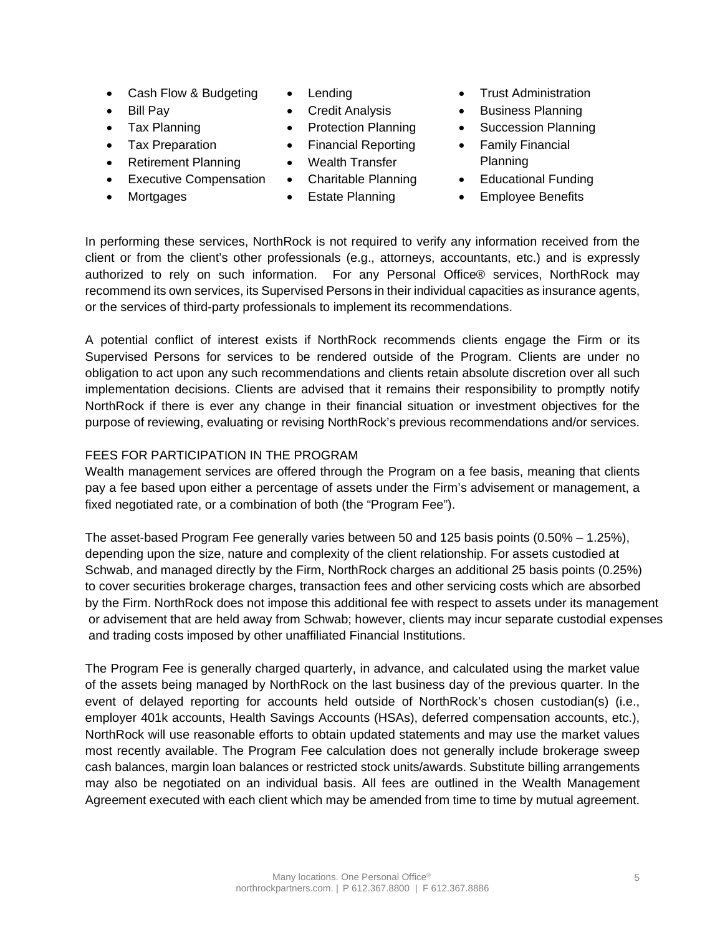- Cash Flow & Budgeting
- Bill Pav
- 
- Tax Preparation
- Retirement Planning
- Executive Compensation Charitable Planning Educational Funding
- 
- Lending
- Credit Analysis
- 
- Financial Reporting
- Wealth Transfer
- 
- 
- Trust Administration
- Business Planning
- Tax Planning Protection Planning Succession Planning
	- Family Financial Planning
	-
	- Mortgages **•** Estate Planning **•** Employee Benefits

In performing these services, NorthRock is not required to verify any information received from the client or from the client's other professionals (e.g., attorneys, accountants, etc.) and is expressly authorized to rely on such information. For any Personal Office® services, NorthRock may recommend its own services, its Supervised Persons in their individual capacities as insurance agents, or the services of third-party professionals to implement its recommendations.

A potential conflict of interest exists if NorthRock recommends clients engage the Firm or its Supervised Persons for services to be rendered outside of the Program. Clients are under no obligation to act upon any such recommendations and clients retain absolute discretion over all such implementation decisions. Clients are advised that it remains their responsibility to promptly notify NorthRock if there is ever any change in their financial situation or investment objectives for the purpose of reviewing, evaluating or revising NorthRock's previous recommendations and/or services.

## FEES FOR PARTICIPATION IN THE PROGRAM

Wealth management services are offered through the Program on a fee basis, meaning that clients pay a fee based upon either a percentage of assets under the Firm's advisement or management, a fixed negotiated rate, or a combination of both (the "Program Fee").

The asset-based Program Fee generally varies between 50 and 125 basis points (0.50% – 1.25%), depending upon the size, nature and complexity of the client relationship. For assets custodied at Schwab, and managed directly by the Firm, NorthRock charges an additional 25 basis points (0.25%) to cover securities brokerage charges, transaction fees and other servicing costs which are absorbed by the Firm. NorthRock does not impose this additional fee with respect to assets under its management or advisement that are held away from Schwab; however, clients may incur separate custodial expenses and trading costs imposed by other unaffiliated Financial Institutions.

The Program Fee is generally charged quarterly, in advance, and calculated using the market value of the assets being managed by NorthRock on the last business day of the previous quarter. In the event of delayed reporting for accounts held outside of NorthRock's chosen custodian(s) (i.e., employer 401k accounts, Health Savings Accounts (HSAs), deferred compensation accounts, etc.), NorthRock will use reasonable efforts to obtain updated statements and may use the market values most recently available. The Program Fee calculation does not generally include brokerage sweep cash balances, margin loan balances or restricted stock units/awards. Substitute billing arrangements may also be negotiated on an individual basis. All fees are outlined in the Wealth Management Agreement executed with each client which may be amended from time to time by mutual agreement.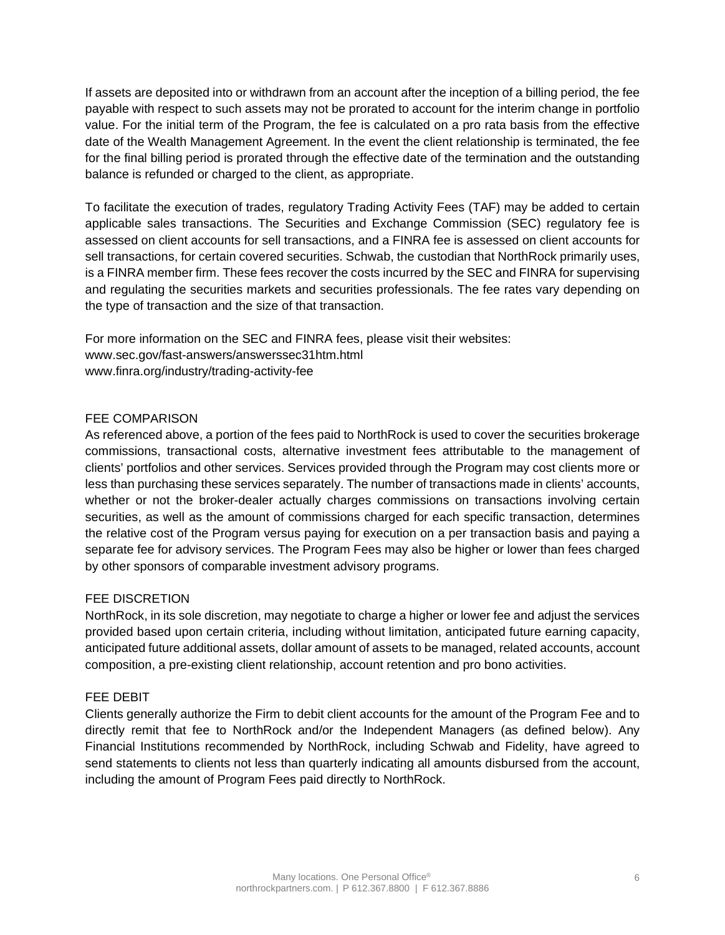If assets are deposited into or withdrawn from an account after the inception of a billing period, the fee payable with respect to such assets may not be prorated to account for the interim change in portfolio value. For the initial term of the Program, the fee is calculated on a pro rata basis from the effective date of the Wealth Management Agreement. In the event the client relationship is terminated, the fee for the final billing period is prorated through the effective date of the termination and the outstanding balance is refunded or charged to the client, as appropriate.

To facilitate the execution of trades, regulatory Trading Activity Fees (TAF) may be added to certain applicable sales transactions. The Securities and Exchange Commission (SEC) regulatory fee is assessed on client accounts for sell transactions, and a FINRA fee is assessed on client accounts for sell transactions, for certain covered securities. Schwab, the custodian that NorthRock primarily uses, is a FINRA member firm. These fees recover the costs incurred by the SEC and FINRA for supervising and regulating the securities markets and securities professionals. The fee rates vary depending on the type of transaction and the size of that transaction.

For more information on the SEC and FINRA fees, please visit their websites: www.sec.gov/fast-answers/answerssec31htm.html www.finra.org/industry/trading-activity-fee

## FEE COMPARISON

As referenced above, a portion of the fees paid to NorthRock is used to cover the securities brokerage commissions, transactional costs, alternative investment fees attributable to the management of clients' portfolios and other services. Services provided through the Program may cost clients more or less than purchasing these services separately. The number of transactions made in clients' accounts, whether or not the broker-dealer actually charges commissions on transactions involving certain securities, as well as the amount of commissions charged for each specific transaction, determines the relative cost of the Program versus paying for execution on a per transaction basis and paying a separate fee for advisory services. The Program Fees may also be higher or lower than fees charged by other sponsors of comparable investment advisory programs.

## FEE DISCRETION

NorthRock, in its sole discretion, may negotiate to charge a higher or lower fee and adjust the services provided based upon certain criteria, including without limitation, anticipated future earning capacity, anticipated future additional assets, dollar amount of assets to be managed, related accounts, account composition, a pre-existing client relationship, account retention and pro bono activities.

### FEE DEBIT

Clients generally authorize the Firm to debit client accounts for the amount of the Program Fee and to directly remit that fee to NorthRock and/or the Independent Managers (as defined below). Any Financial Institutions recommended by NorthRock, including Schwab and Fidelity, have agreed to send statements to clients not less than quarterly indicating all amounts disbursed from the account, including the amount of Program Fees paid directly to NorthRock.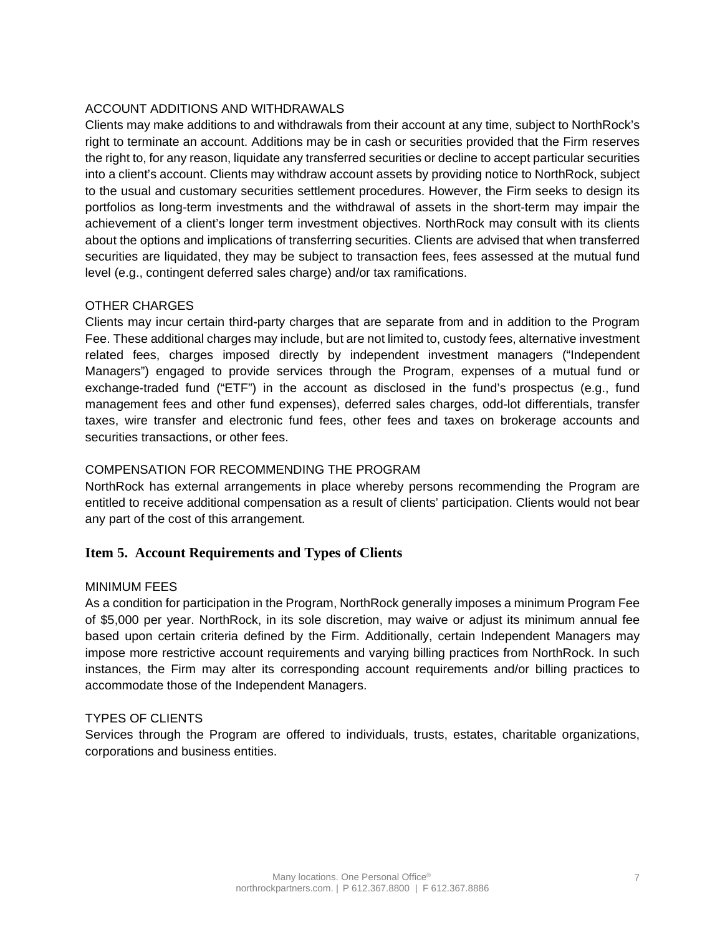## ACCOUNT ADDITIONS AND WITHDRAWALS

Clients may make additions to and withdrawals from their account at any time, subject to NorthRock's right to terminate an account. Additions may be in cash or securities provided that the Firm reserves the right to, for any reason, liquidate any transferred securities or decline to accept particular securities into a client's account. Clients may withdraw account assets by providing notice to NorthRock, subject to the usual and customary securities settlement procedures. However, the Firm seeks to design its portfolios as long-term investments and the withdrawal of assets in the short-term may impair the achievement of a client's longer term investment objectives. NorthRock may consult with its clients about the options and implications of transferring securities. Clients are advised that when transferred securities are liquidated, they may be subject to transaction fees, fees assessed at the mutual fund level (e.g., contingent deferred sales charge) and/or tax ramifications.

## OTHER CHARGES

Clients may incur certain third-party charges that are separate from and in addition to the Program Fee. These additional charges may include, but are not limited to, custody fees, alternative investment related fees, charges imposed directly by independent investment managers ("Independent Managers") engaged to provide services through the Program, expenses of a mutual fund or exchange-traded fund ("ETF") in the account as disclosed in the fund's prospectus (e.g., fund management fees and other fund expenses), deferred sales charges, odd-lot differentials, transfer taxes, wire transfer and electronic fund fees, other fees and taxes on brokerage accounts and securities transactions, or other fees.

### COMPENSATION FOR RECOMMENDING THE PROGRAM

NorthRock has external arrangements in place whereby persons recommending the Program are entitled to receive additional compensation as a result of clients' participation. Clients would not bear any part of the cost of this arrangement.

## **Item 5. Account Requirements and Types of Clients**

### MINIMUM FEES

As a condition for participation in the Program, NorthRock generally imposes a minimum Program Fee of \$5,000 per year. NorthRock, in its sole discretion, may waive or adjust its minimum annual fee based upon certain criteria defined by the Firm. Additionally, certain Independent Managers may impose more restrictive account requirements and varying billing practices from NorthRock. In such instances, the Firm may alter its corresponding account requirements and/or billing practices to accommodate those of the Independent Managers.

### TYPES OF CLIENTS

Services through the Program are offered to individuals, trusts, estates, charitable organizations, corporations and business entities.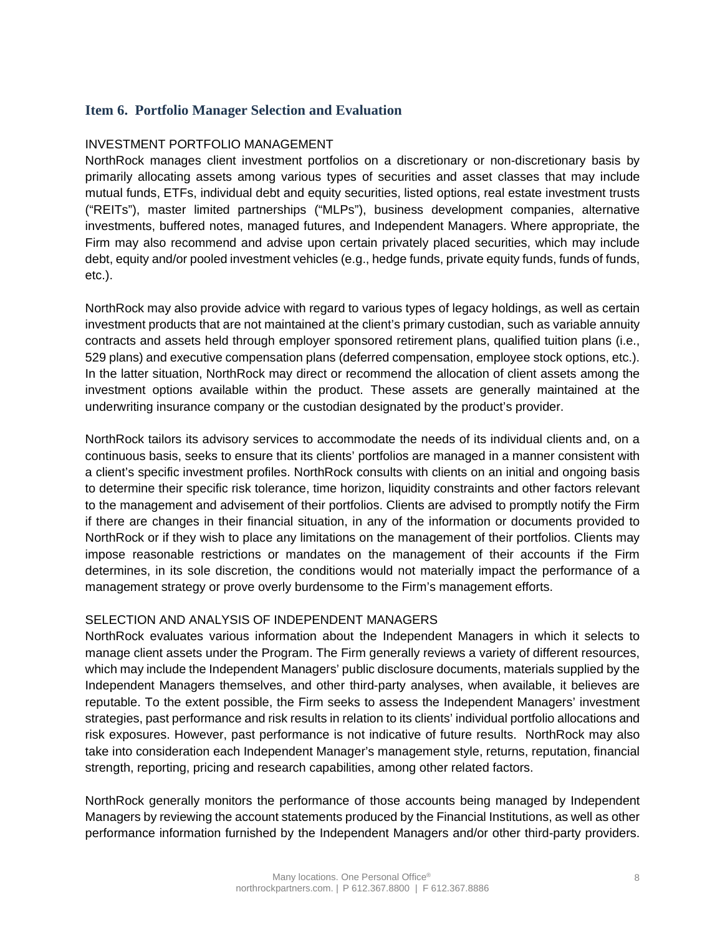## **Item 6. Portfolio Manager Selection and Evaluation**

### INVESTMENT PORTFOLIO MANAGEMENT

NorthRock manages client investment portfolios on a discretionary or non-discretionary basis by primarily allocating assets among various types of securities and asset classes that may include mutual funds, ETFs, individual debt and equity securities, listed options, real estate investment trusts ("REITs"), master limited partnerships ("MLPs"), business development companies, alternative investments, buffered notes, managed futures, and Independent Managers. Where appropriate, the Firm may also recommend and advise upon certain privately placed securities, which may include debt, equity and/or pooled investment vehicles (e.g., hedge funds, private equity funds, funds of funds, etc.).

NorthRock may also provide advice with regard to various types of legacy holdings, as well as certain investment products that are not maintained at the client's primary custodian, such as variable annuity contracts and assets held through employer sponsored retirement plans, qualified tuition plans (i.e., 529 plans) and executive compensation plans (deferred compensation, employee stock options, etc.). In the latter situation, NorthRock may direct or recommend the allocation of client assets among the investment options available within the product. These assets are generally maintained at the underwriting insurance company or the custodian designated by the product's provider.

NorthRock tailors its advisory services to accommodate the needs of its individual clients and, on a continuous basis, seeks to ensure that its clients' portfolios are managed in a manner consistent with a client's specific investment profiles. NorthRock consults with clients on an initial and ongoing basis to determine their specific risk tolerance, time horizon, liquidity constraints and other factors relevant to the management and advisement of their portfolios. Clients are advised to promptly notify the Firm if there are changes in their financial situation, in any of the information or documents provided to NorthRock or if they wish to place any limitations on the management of their portfolios. Clients may impose reasonable restrictions or mandates on the management of their accounts if the Firm determines, in its sole discretion, the conditions would not materially impact the performance of a management strategy or prove overly burdensome to the Firm's management efforts.

### SELECTION AND ANALYSIS OF INDEPENDENT MANAGERS

NorthRock evaluates various information about the Independent Managers in which it selects to manage client assets under the Program. The Firm generally reviews a variety of different resources, which may include the Independent Managers' public disclosure documents, materials supplied by the Independent Managers themselves, and other third-party analyses, when available, it believes are reputable. To the extent possible, the Firm seeks to assess the Independent Managers' investment strategies, past performance and risk results in relation to its clients' individual portfolio allocations and risk exposures. However, past performance is not indicative of future results. NorthRock may also take into consideration each Independent Manager's management style, returns, reputation, financial strength, reporting, pricing and research capabilities, among other related factors.

NorthRock generally monitors the performance of those accounts being managed by Independent Managers by reviewing the account statements produced by the Financial Institutions, as well as other performance information furnished by the Independent Managers and/or other third-party providers.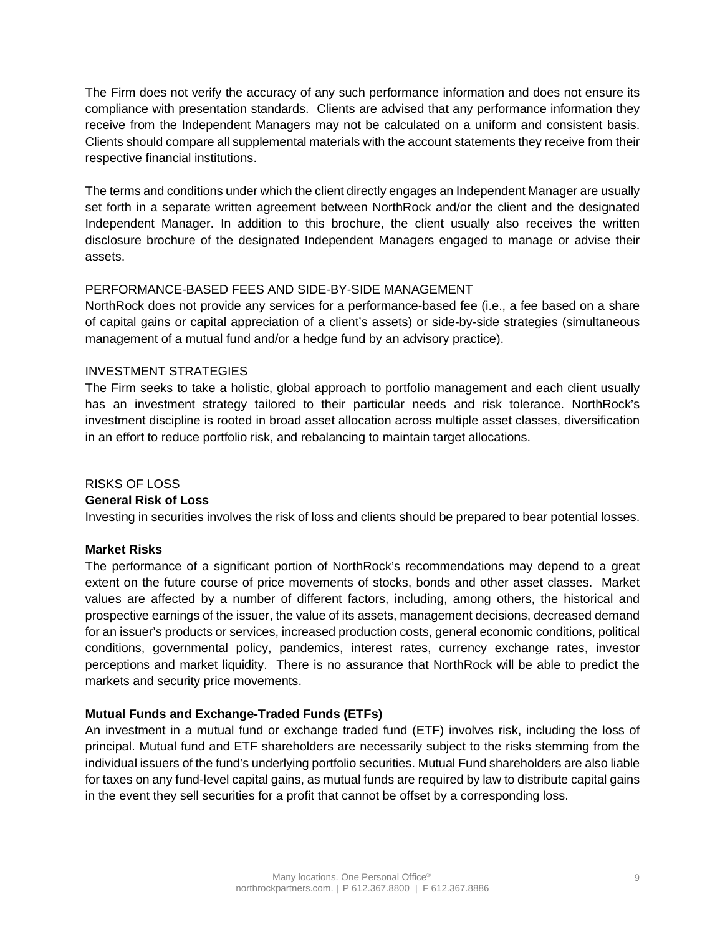The Firm does not verify the accuracy of any such performance information and does not ensure its compliance with presentation standards. Clients are advised that any performance information they receive from the Independent Managers may not be calculated on a uniform and consistent basis. Clients should compare all supplemental materials with the account statements they receive from their respective financial institutions.

The terms and conditions under which the client directly engages an Independent Manager are usually set forth in a separate written agreement between NorthRock and/or the client and the designated Independent Manager. In addition to this brochure, the client usually also receives the written disclosure brochure of the designated Independent Managers engaged to manage or advise their assets.

## PERFORMANCE-BASED FEES AND SIDE-BY-SIDE MANAGEMENT

NorthRock does not provide any services for a performance-based fee (i.e., a fee based on a share of capital gains or capital appreciation of a client's assets) or side-by-side strategies (simultaneous management of a mutual fund and/or a hedge fund by an advisory practice).

## INVESTMENT STRATEGIES

The Firm seeks to take a holistic, global approach to portfolio management and each client usually has an investment strategy tailored to their particular needs and risk tolerance. NorthRock's investment discipline is rooted in broad asset allocation across multiple asset classes, diversification in an effort to reduce portfolio risk, and rebalancing to maintain target allocations.

## RISKS OF LOSS

## **General Risk of Loss**

Investing in securities involves the risk of loss and clients should be prepared to bear potential losses.

### **Market Risks**

The performance of a significant portion of NorthRock's recommendations may depend to a great extent on the future course of price movements of stocks, bonds and other asset classes. Market values are affected by a number of different factors, including, among others, the historical and prospective earnings of the issuer, the value of its assets, management decisions, decreased demand for an issuer's products or services, increased production costs, general economic conditions, political conditions, governmental policy, pandemics, interest rates, currency exchange rates, investor perceptions and market liquidity. There is no assurance that NorthRock will be able to predict the markets and security price movements.

## **Mutual Funds and Exchange-Traded Funds (ETFs)**

An investment in a mutual fund or exchange traded fund (ETF) involves risk, including the loss of principal. Mutual fund and ETF shareholders are necessarily subject to the risks stemming from the individual issuers of the fund's underlying portfolio securities. Mutual Fund shareholders are also liable for taxes on any fund-level capital gains, as mutual funds are required by law to distribute capital gains in the event they sell securities for a profit that cannot be offset by a corresponding loss.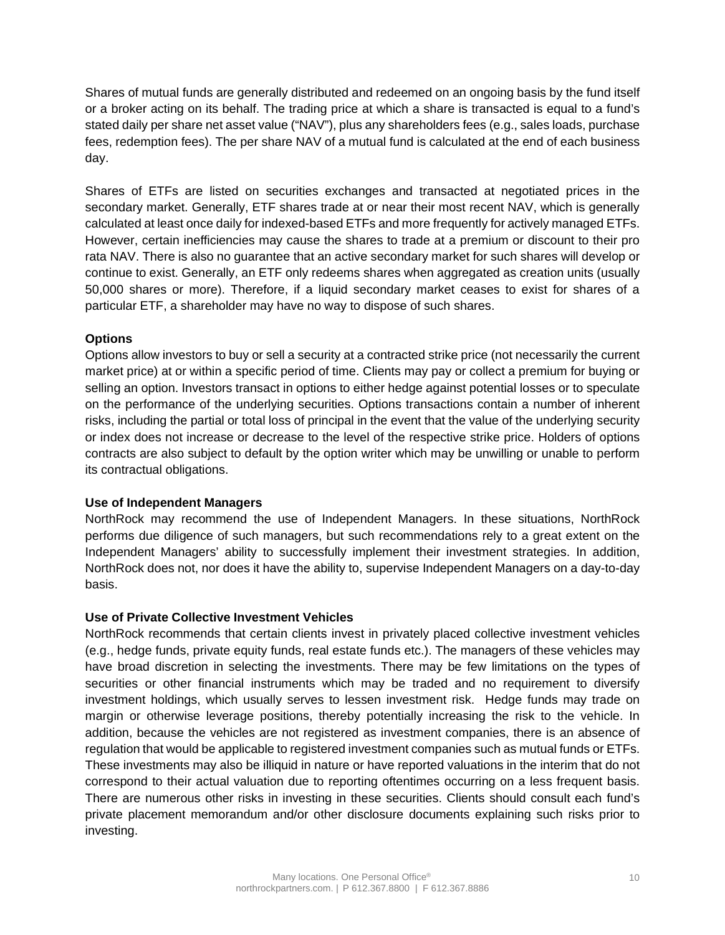Shares of mutual funds are generally distributed and redeemed on an ongoing basis by the fund itself or a broker acting on its behalf. The trading price at which a share is transacted is equal to a fund's stated daily per share net asset value ("NAV"), plus any shareholders fees (e.g., sales loads, purchase fees, redemption fees). The per share NAV of a mutual fund is calculated at the end of each business day.

Shares of ETFs are listed on securities exchanges and transacted at negotiated prices in the secondary market. Generally, ETF shares trade at or near their most recent NAV, which is generally calculated at least once daily for indexed-based ETFs and more frequently for actively managed ETFs. However, certain inefficiencies may cause the shares to trade at a premium or discount to their pro rata NAV. There is also no guarantee that an active secondary market for such shares will develop or continue to exist. Generally, an ETF only redeems shares when aggregated as creation units (usually 50,000 shares or more). Therefore, if a liquid secondary market ceases to exist for shares of a particular ETF, a shareholder may have no way to dispose of such shares.

## **Options**

Options allow investors to buy or sell a security at a contracted strike price (not necessarily the current market price) at or within a specific period of time. Clients may pay or collect a premium for buying or selling an option. Investors transact in options to either hedge against potential losses or to speculate on the performance of the underlying securities. Options transactions contain a number of inherent risks, including the partial or total loss of principal in the event that the value of the underlying security or index does not increase or decrease to the level of the respective strike price. Holders of options contracts are also subject to default by the option writer which may be unwilling or unable to perform its contractual obligations.

### **Use of Independent Managers**

NorthRock may recommend the use of Independent Managers. In these situations, NorthRock performs due diligence of such managers, but such recommendations rely to a great extent on the Independent Managers' ability to successfully implement their investment strategies. In addition, NorthRock does not, nor does it have the ability to, supervise Independent Managers on a day-to-day basis.

### **Use of Private Collective Investment Vehicles**

NorthRock recommends that certain clients invest in privately placed collective investment vehicles (e.g., hedge funds, private equity funds, real estate funds etc.). The managers of these vehicles may have broad discretion in selecting the investments. There may be few limitations on the types of securities or other financial instruments which may be traded and no requirement to diversify investment holdings, which usually serves to lessen investment risk. Hedge funds may trade on margin or otherwise leverage positions, thereby potentially increasing the risk to the vehicle. In addition, because the vehicles are not registered as investment companies, there is an absence of regulation that would be applicable to registered investment companies such as mutual funds or ETFs. These investments may also be illiquid in nature or have reported valuations in the interim that do not correspond to their actual valuation due to reporting oftentimes occurring on a less frequent basis. There are numerous other risks in investing in these securities. Clients should consult each fund's private placement memorandum and/or other disclosure documents explaining such risks prior to investing.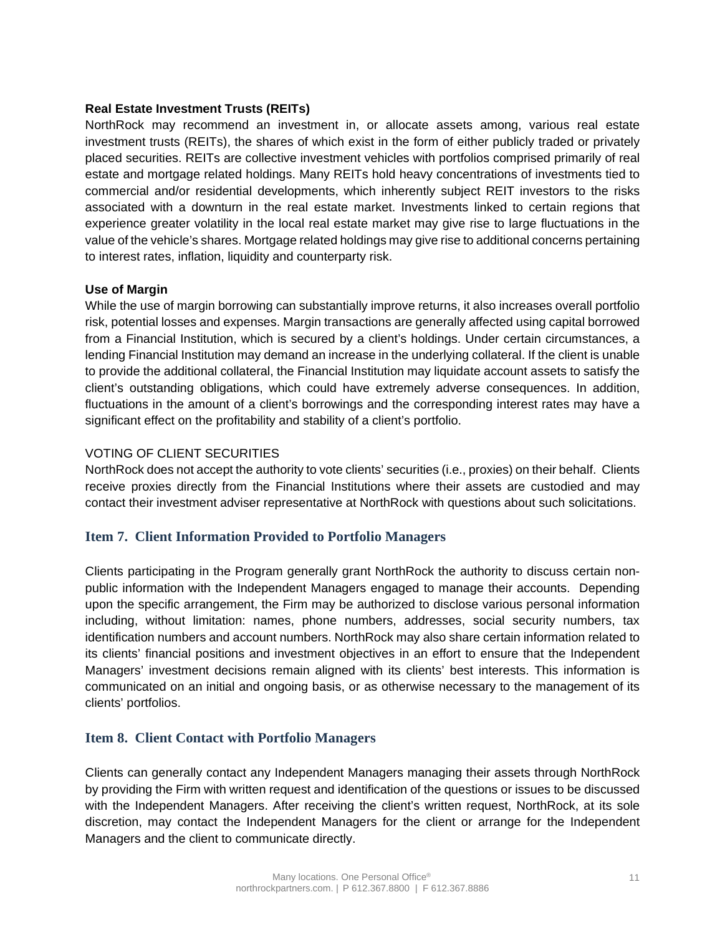### **Real Estate Investment Trusts (REITs)**

NorthRock may recommend an investment in, or allocate assets among, various real estate investment trusts (REITs), the shares of which exist in the form of either publicly traded or privately placed securities. REITs are collective investment vehicles with portfolios comprised primarily of real estate and mortgage related holdings. Many REITs hold heavy concentrations of investments tied to commercial and/or residential developments, which inherently subject REIT investors to the risks associated with a downturn in the real estate market. Investments linked to certain regions that experience greater volatility in the local real estate market may give rise to large fluctuations in the value of the vehicle's shares. Mortgage related holdings may give rise to additional concerns pertaining to interest rates, inflation, liquidity and counterparty risk.

### **Use of Margin**

While the use of margin borrowing can substantially improve returns, it also increases overall portfolio risk, potential losses and expenses. Margin transactions are generally affected using capital borrowed from a Financial Institution, which is secured by a client's holdings. Under certain circumstances, a lending Financial Institution may demand an increase in the underlying collateral. If the client is unable to provide the additional collateral, the Financial Institution may liquidate account assets to satisfy the client's outstanding obligations, which could have extremely adverse consequences. In addition, fluctuations in the amount of a client's borrowings and the corresponding interest rates may have a significant effect on the profitability and stability of a client's portfolio.

## VOTING OF CLIENT SECURITIES

NorthRock does not accept the authority to vote clients' securities (i.e., proxies) on their behalf. Clients receive proxies directly from the Financial Institutions where their assets are custodied and may contact their investment adviser representative at NorthRock with questions about such solicitations.

## **Item 7. Client Information Provided to Portfolio Managers**

Clients participating in the Program generally grant NorthRock the authority to discuss certain nonpublic information with the Independent Managers engaged to manage their accounts. Depending upon the specific arrangement, the Firm may be authorized to disclose various personal information including, without limitation: names, phone numbers, addresses, social security numbers, tax identification numbers and account numbers. NorthRock may also share certain information related to its clients' financial positions and investment objectives in an effort to ensure that the Independent Managers' investment decisions remain aligned with its clients' best interests. This information is communicated on an initial and ongoing basis, or as otherwise necessary to the management of its clients' portfolios.

## **Item 8. Client Contact with Portfolio Managers**

Clients can generally contact any Independent Managers managing their assets through NorthRock by providing the Firm with written request and identification of the questions or issues to be discussed with the Independent Managers. After receiving the client's written request, NorthRock, at its sole discretion, may contact the Independent Managers for the client or arrange for the Independent Managers and the client to communicate directly.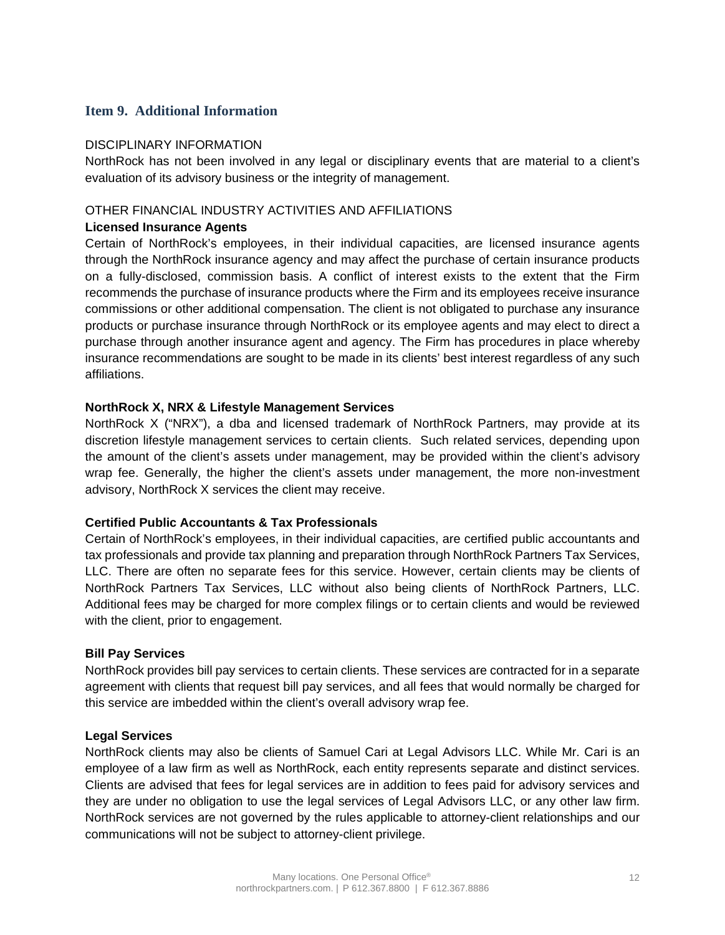## **Item 9. Additional Information**

### DISCIPI INARY INFORMATION

NorthRock has not been involved in any legal or disciplinary events that are material to a client's evaluation of its advisory business or the integrity of management.

### OTHER FINANCIAL INDUSTRY ACTIVITIES AND AFFILIATIONS

### **Licensed Insurance Agents**

Certain of NorthRock's employees, in their individual capacities, are licensed insurance agents through the NorthRock insurance agency and may affect the purchase of certain insurance products on a fully-disclosed, commission basis. A conflict of interest exists to the extent that the Firm recommends the purchase of insurance products where the Firm and its employees receive insurance commissions or other additional compensation. The client is not obligated to purchase any insurance products or purchase insurance through NorthRock or its employee agents and may elect to direct a purchase through another insurance agent and agency. The Firm has procedures in place whereby insurance recommendations are sought to be made in its clients' best interest regardless of any such affiliations.

### **NorthRock X, NRX & Lifestyle Management Services**

NorthRock X ("NRX"), a dba and licensed trademark of NorthRock Partners, may provide at its discretion lifestyle management services to certain clients. Such related services, depending upon the amount of the client's assets under management, may be provided within the client's advisory wrap fee. Generally, the higher the client's assets under management, the more non-investment advisory, NorthRock X services the client may receive.

### **Certified Public Accountants & Tax Professionals**

Certain of NorthRock's employees, in their individual capacities, are certified public accountants and tax professionals and provide tax planning and preparation through NorthRock Partners Tax Services, LLC. There are often no separate fees for this service. However, certain clients may be clients of NorthRock Partners Tax Services, LLC without also being clients of NorthRock Partners, LLC. Additional fees may be charged for more complex filings or to certain clients and would be reviewed with the client, prior to engagement.

### **Bill Pay Services**

NorthRock provides bill pay services to certain clients. These services are contracted for in a separate agreement with clients that request bill pay services, and all fees that would normally be charged for this service are imbedded within the client's overall advisory wrap fee.

### **Legal Services**

NorthRock clients may also be clients of Samuel Cari at Legal Advisors LLC. While Mr. Cari is an employee of a law firm as well as NorthRock, each entity represents separate and distinct services. Clients are advised that fees for legal services are in addition to fees paid for advisory services and they are under no obligation to use the legal services of Legal Advisors LLC, or any other law firm. NorthRock services are not governed by the rules applicable to attorney-client relationships and our communications will not be subject to attorney-client privilege.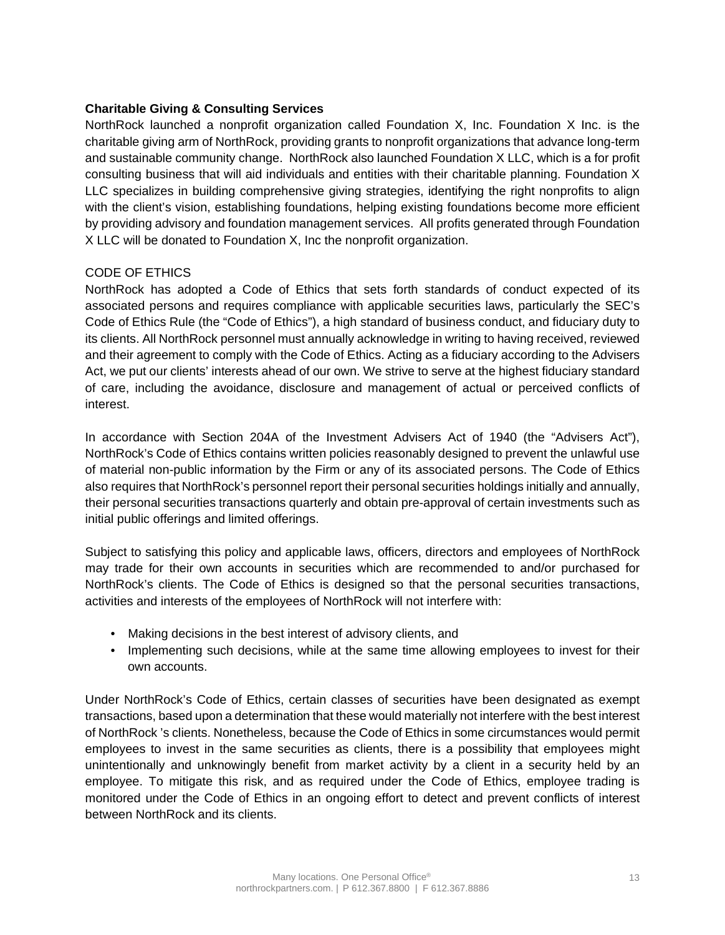## **Charitable Giving & Consulting Services**

NorthRock launched a nonprofit organization called Foundation X, Inc. Foundation X Inc. is the charitable giving arm of NorthRock, providing grants to nonprofit organizations that advance long-term and sustainable community change. NorthRock also launched Foundation X LLC, which is a for profit consulting business that will aid individuals and entities with their charitable planning. Foundation X LLC specializes in building comprehensive giving strategies, identifying the right nonprofits to align with the client's vision, establishing foundations, helping existing foundations become more efficient by providing advisory and foundation management services. All profits generated through Foundation X LLC will be donated to Foundation X, Inc the nonprofit organization.

### CODE OF ETHICS

NorthRock has adopted a Code of Ethics that sets forth standards of conduct expected of its associated persons and requires compliance with applicable securities laws, particularly the SEC's Code of Ethics Rule (the "Code of Ethics"), a high standard of business conduct, and fiduciary duty to its clients. All NorthRock personnel must annually acknowledge in writing to having received, reviewed and their agreement to comply with the Code of Ethics. Acting as a fiduciary according to the Advisers Act, we put our clients' interests ahead of our own. We strive to serve at the highest fiduciary standard of care, including the avoidance, disclosure and management of actual or perceived conflicts of interest.

In accordance with Section 204A of the Investment Advisers Act of 1940 (the "Advisers Act"), NorthRock's Code of Ethics contains written policies reasonably designed to prevent the unlawful use of material non-public information by the Firm or any of its associated persons. The Code of Ethics also requires that NorthRock's personnel report their personal securities holdings initially and annually, their personal securities transactions quarterly and obtain pre-approval of certain investments such as initial public offerings and limited offerings.

Subject to satisfying this policy and applicable laws, officers, directors and employees of NorthRock may trade for their own accounts in securities which are recommended to and/or purchased for NorthRock's clients. The Code of Ethics is designed so that the personal securities transactions, activities and interests of the employees of NorthRock will not interfere with:

- Making decisions in the best interest of advisory clients, and
- Implementing such decisions, while at the same time allowing employees to invest for their own accounts.

Under NorthRock's Code of Ethics, certain classes of securities have been designated as exempt transactions, based upon a determination that these would materially not interfere with the best interest of NorthRock 's clients. Nonetheless, because the Code of Ethics in some circumstances would permit employees to invest in the same securities as clients, there is a possibility that employees might unintentionally and unknowingly benefit from market activity by a client in a security held by an employee. To mitigate this risk, and as required under the Code of Ethics, employee trading is monitored under the Code of Ethics in an ongoing effort to detect and prevent conflicts of interest between NorthRock and its clients.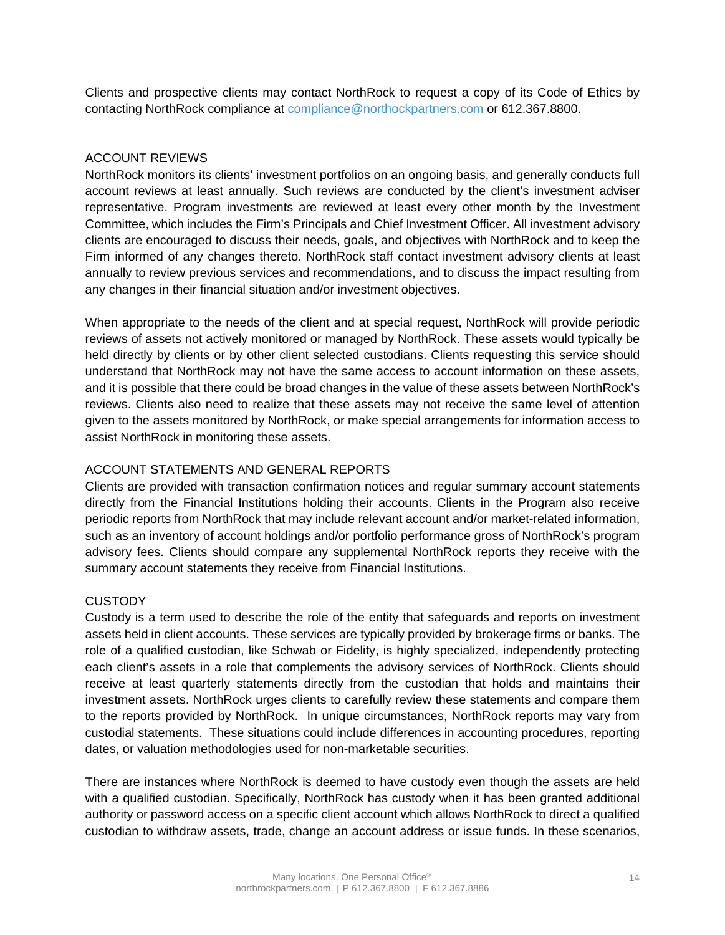Clients and prospective clients may contact NorthRock to request a copy of its Code of Ethics by contacting NorthRock compliance at [compliance@northockpartners.com](mailto:jim@northockpartners.com) or 612.367.8800.

## ACCOUNT REVIEWS

NorthRock monitors its clients' investment portfolios on an ongoing basis, and generally conducts full account reviews at least annually. Such reviews are conducted by the client's investment adviser representative. Program investments are reviewed at least every other month by the Investment Committee, which includes the Firm's Principals and Chief Investment Officer. All investment advisory clients are encouraged to discuss their needs, goals, and objectives with NorthRock and to keep the Firm informed of any changes thereto. NorthRock staff contact investment advisory clients at least annually to review previous services and recommendations, and to discuss the impact resulting from any changes in their financial situation and/or investment objectives.

When appropriate to the needs of the client and at special request, NorthRock will provide periodic reviews of assets not actively monitored or managed by NorthRock. These assets would typically be held directly by clients or by other client selected custodians. Clients requesting this service should understand that NorthRock may not have the same access to account information on these assets, and it is possible that there could be broad changes in the value of these assets between NorthRock's reviews. Clients also need to realize that these assets may not receive the same level of attention given to the assets monitored by NorthRock, or make special arrangements for information access to assist NorthRock in monitoring these assets.

## ACCOUNT STATEMENTS AND GENERAL REPORTS

Clients are provided with transaction confirmation notices and regular summary account statements directly from the Financial Institutions holding their accounts. Clients in the Program also receive periodic reports from NorthRock that may include relevant account and/or market-related information, such as an inventory of account holdings and/or portfolio performance gross of NorthRock's program advisory fees. Clients should compare any supplemental NorthRock reports they receive with the summary account statements they receive from Financial Institutions.

## **CUSTODY**

Custody is a term used to describe the role of the entity that safeguards and reports on investment assets held in client accounts. These services are typically provided by brokerage firms or banks. The role of a qualified custodian, like Schwab or Fidelity, is highly specialized, independently protecting each client's assets in a role that complements the advisory services of NorthRock. Clients should receive at least quarterly statements directly from the custodian that holds and maintains their investment assets. NorthRock urges clients to carefully review these statements and compare them to the reports provided by NorthRock. In unique circumstances, NorthRock reports may vary from custodial statements. These situations could include differences in accounting procedures, reporting dates, or valuation methodologies used for non-marketable securities.

There are instances where NorthRock is deemed to have custody even though the assets are held with a qualified custodian. Specifically, NorthRock has custody when it has been granted additional authority or password access on a specific client account which allows NorthRock to direct a qualified custodian to withdraw assets, trade, change an account address or issue funds. In these scenarios,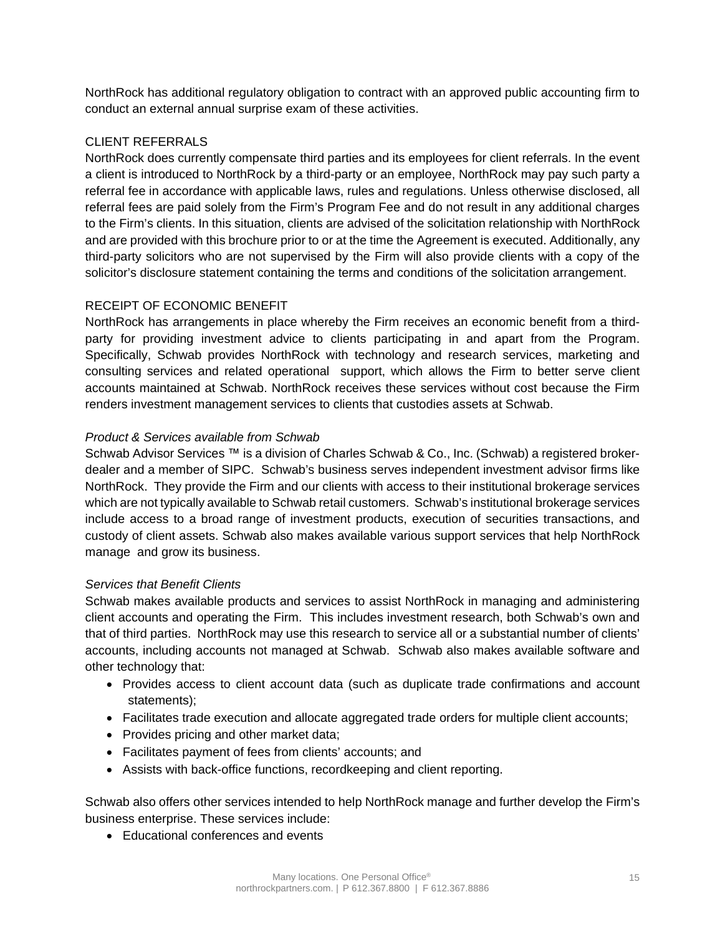NorthRock has additional regulatory obligation to contract with an approved public accounting firm to conduct an external annual surprise exam of these activities.

## CLIENT REFERRALS

NorthRock does currently compensate third parties and its employees for client referrals. In the event a client is introduced to NorthRock by a third-party or an employee, NorthRock may pay such party a referral fee in accordance with applicable laws, rules and regulations. Unless otherwise disclosed, all referral fees are paid solely from the Firm's Program Fee and do not result in any additional charges to the Firm's clients. In this situation, clients are advised of the solicitation relationship with NorthRock and are provided with this brochure prior to or at the time the Agreement is executed. Additionally, any third-party solicitors who are not supervised by the Firm will also provide clients with a copy of the solicitor's disclosure statement containing the terms and conditions of the solicitation arrangement.

## RECEIPT OF ECONOMIC BENEFIT

NorthRock has arrangements in place whereby the Firm receives an economic benefit from a thirdparty for providing investment advice to clients participating in and apart from the Program. Specifically, Schwab provides NorthRock with technology and research services, marketing and consulting services and related operational support, which allows the Firm to better serve client accounts maintained at Schwab. NorthRock receives these services without cost because the Firm renders investment management services to clients that custodies assets at Schwab.

## *Product & Services available from Schwab*

Schwab Advisor Services ™ is a division of Charles Schwab & Co., Inc. (Schwab) a registered brokerdealer and a member of SIPC. Schwab's business serves independent investment advisor firms like NorthRock. They provide the Firm and our clients with access to their institutional brokerage services which are not typically available to Schwab retail customers. Schwab's institutional brokerage services include access to a broad range of investment products, execution of securities transactions, and custody of client assets. Schwab also makes available various support services that help NorthRock manage and grow its business.

### *Services that Benefit Clients*

Schwab makes available products and services to assist NorthRock in managing and administering client accounts and operating the Firm. This includes investment research, both Schwab's own and that of third parties. NorthRock may use this research to service all or a substantial number of clients' accounts, including accounts not managed at Schwab. Schwab also makes available software and other technology that:

- Provides access to client account data (such as duplicate trade confirmations and account statements);
- Facilitates trade execution and allocate aggregated trade orders for multiple client accounts;
- Provides pricing and other market data;
- Facilitates payment of fees from clients' accounts; and
- Assists with back-office functions, recordkeeping and client reporting.

Schwab also offers other services intended to help NorthRock manage and further develop the Firm's business enterprise. These services include:

Educational conferences and events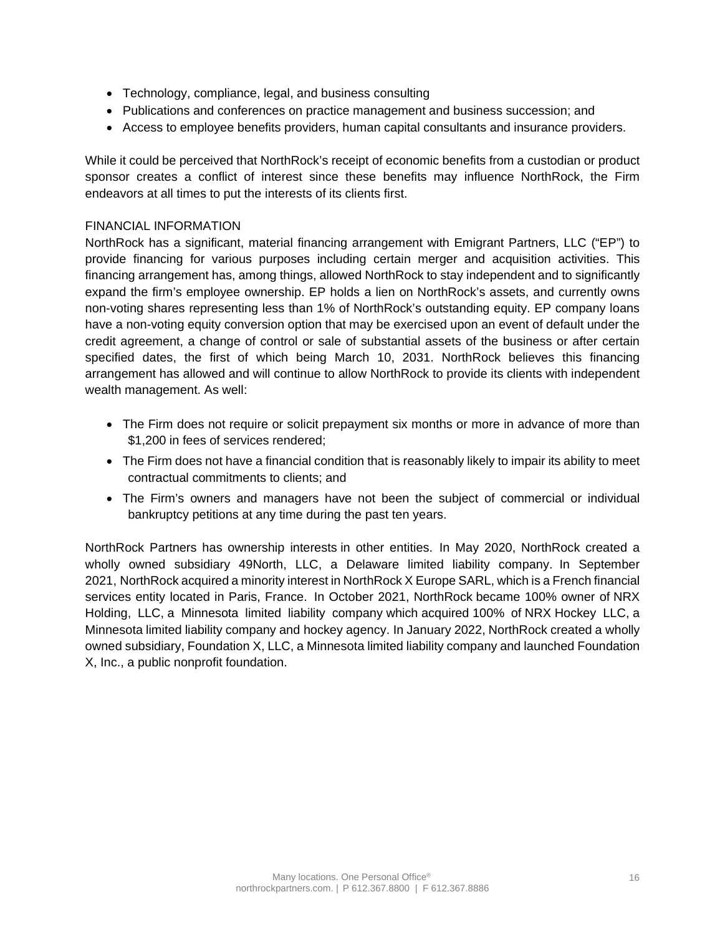- Technology, compliance, legal, and business consulting
- Publications and conferences on practice management and business succession; and
- Access to employee benefits providers, human capital consultants and insurance providers.

While it could be perceived that NorthRock's receipt of economic benefits from a custodian or product sponsor creates a conflict of interest since these benefits may influence NorthRock, the Firm endeavors at all times to put the interests of its clients first.

## FINANCIAL INFORMATION

NorthRock has a significant, material financing arrangement with Emigrant Partners, LLC ("EP") to provide financing for various purposes including certain merger and acquisition activities. This financing arrangement has, among things, allowed NorthRock to stay independent and to significantly expand the firm's employee ownership. EP holds a lien on NorthRock's assets, and currently owns non-voting shares representing less than 1% of NorthRock's outstanding equity. EP company loans have a non-voting equity conversion option that may be exercised upon an event of default under the credit agreement, a change of control or sale of substantial assets of the business or after certain specified dates, the first of which being March 10, 2031. NorthRock believes this financing arrangement has allowed and will continue to allow NorthRock to provide its clients with independent wealth management. As well:

- The Firm does not require or solicit prepayment six months or more in advance of more than \$1,200 in fees of services rendered;
- The Firm does not have a financial condition that is reasonably likely to impair its ability to meet contractual commitments to clients; and
- The Firm's owners and managers have not been the subject of commercial or individual bankruptcy petitions at any time during the past ten years.

NorthRock Partners has ownership interests in other entities. In May 2020, NorthRock created a wholly owned subsidiary 49North, LLC, a Delaware limited liability company. In September 2021, NorthRock acquired a minority interest in NorthRock X Europe SARL, which is a French financial services entity located in Paris, France. In October 2021, NorthRock became 100% owner of NRX Holding, LLC, a Minnesota limited liability company which acquired 100% of NRX Hockey LLC, a Minnesota limited liability company and hockey agency. In January 2022, NorthRock created a wholly owned subsidiary, Foundation X, LLC, a Minnesota limited liability company and launched Foundation X, Inc., a public nonprofit foundation.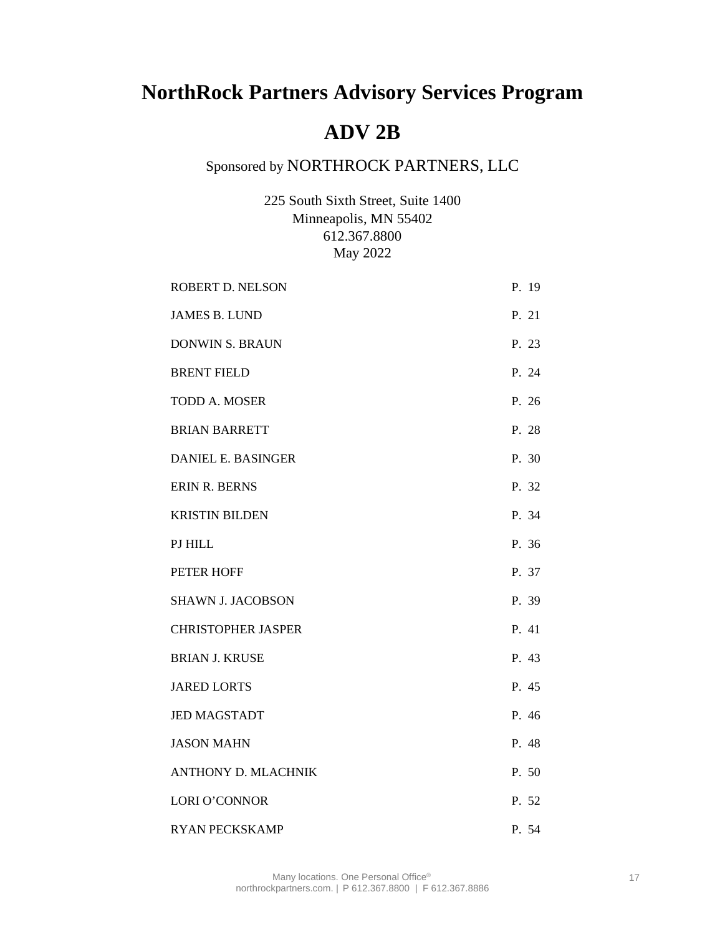## **NorthRock Partners Advisory Services Program**

## **ADV 2B**

## Sponsored by NORTHROCK PARTNERS, LLC

225 South Sixth Street, Suite 1400 Minneapolis, MN 55402 612.367.8800 May 2022

| ROBERT D. NELSON           | P. 19 |
|----------------------------|-------|
| <b>JAMES B. LUND</b>       | P. 21 |
| <b>DONWIN S. BRAUN</b>     | P. 23 |
| <b>BRENT FIELD</b>         | P. 24 |
| <b>TODD A. MOSER</b>       | P. 26 |
| <b>BRIAN BARRETT</b>       | P. 28 |
| DANIEL E. BASINGER         | P. 30 |
| <b>ERIN R. BERNS</b>       | P. 32 |
| <b>KRISTIN BILDEN</b>      | P. 34 |
| PJ HILL                    | P. 36 |
| <b>PETER HOFF</b>          | P. 37 |
| <b>SHAWN J. JACOBSON</b>   | P. 39 |
| <b>CHRISTOPHER JASPER</b>  | P. 41 |
| <b>BRIAN J. KRUSE</b>      | P. 43 |
| <b>JARED LORTS</b>         | P. 45 |
| <b>JED MAGSTADT</b>        | P. 46 |
| <b>JASON MAHN</b>          | P. 48 |
| <b>ANTHONY D. MLACHNIK</b> | P. 50 |
| LORI O'CONNOR              | P. 52 |
| <b>RYAN PECKSKAMP</b>      | P. 54 |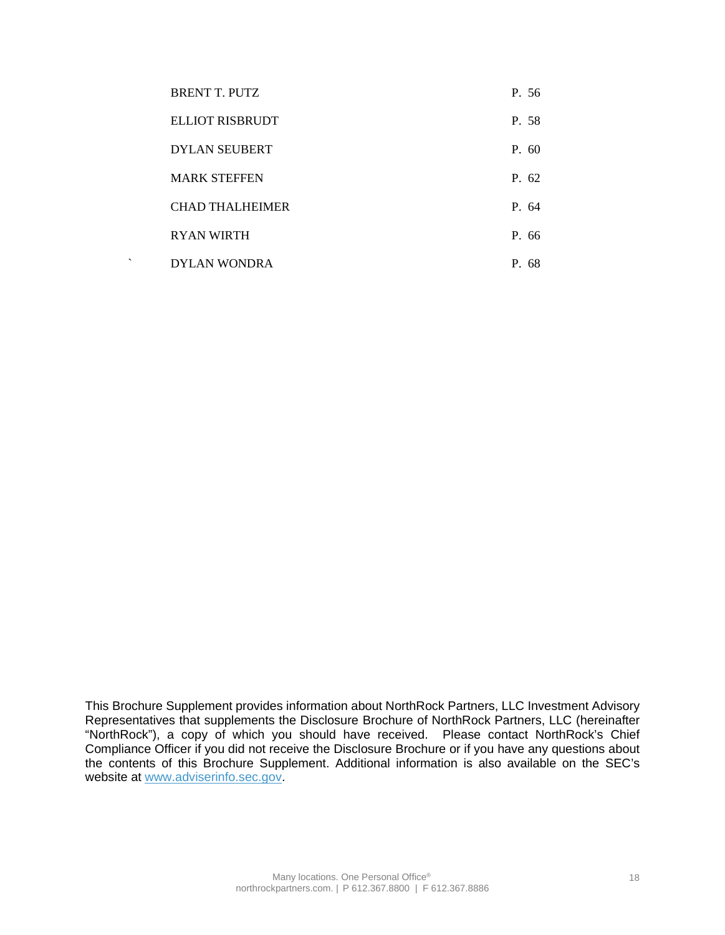| <b>BRENT T. PUTZ</b>   | P. 56 |
|------------------------|-------|
| ELLIOT RISBRUDT        | P. 58 |
| <b>DYLAN SEUBERT</b>   | P.60  |
| <b>MARK STEFFEN</b>    | P. 62 |
| <b>CHAD THALHEIMER</b> | P. 64 |
| <b>RYAN WIRTH</b>      | P. 66 |
| <b>DYLAN WONDRA</b>    | P. 68 |

This Brochure Supplement provides information about NorthRock Partners, LLC Investment Advisory Representatives that supplements the Disclosure Brochure of NorthRock Partners, LLC (hereinafter "NorthRock"), a copy of which you should have received. Please contact NorthRock's Chief Compliance Officer if you did not receive the Disclosure Brochure or if you have any questions about the contents of this Brochure Supplement. Additional information is also available on the SEC's website at [www.adviserinfo.sec.gov.](http://www.adviserinfo.sec.gov/)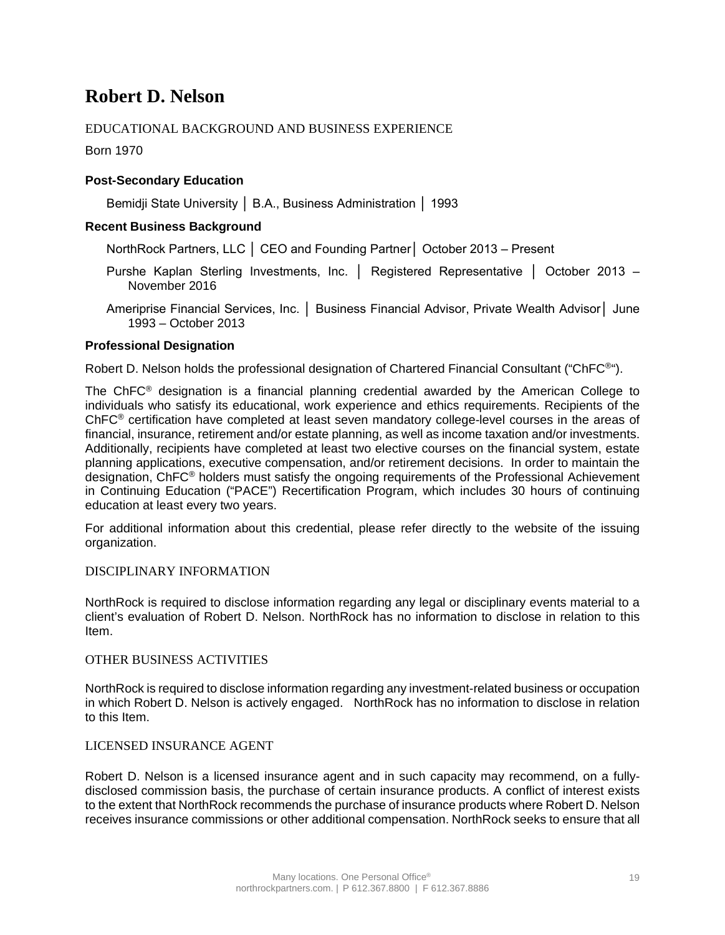## **Robert D. Nelson**

## EDUCATIONAL BACKGROUND AND BUSINESS EXPERIENCE

Born 1970

### **Post-Secondary Education**

Bemidji State University │ B.A., Business Administration │ 1993

### **Recent Business Background**

NorthRock Partners, LLC │ CEO and Founding Partner│ October 2013 – Present

- Purshe Kaplan Sterling Investments, Inc. │ Registered Representative │ October 2013 November 2016
- Ameriprise Financial Services, Inc. │ Business Financial Advisor, Private Wealth Advisor│ June 1993 – October 2013

### **Professional Designation**

Robert D. Nelson holds the professional designation of Chartered Financial Consultant ("ChFC®").

The ChFC® designation is a financial planning credential awarded by the American College to individuals who satisfy its educational, work experience and ethics requirements. Recipients of the ChFC® certification have completed at least seven mandatory college-level courses in the areas of financial, insurance, retirement and/or estate planning, as well as income taxation and/or investments. Additionally, recipients have completed at least two elective courses on the financial system, estate planning applications, executive compensation, and/or retirement decisions. In order to maintain the designation, ChFC® holders must satisfy the ongoing requirements of the Professional Achievement in Continuing Education ("PACE") Recertification Program, which includes 30 hours of continuing education at least every two years.

For additional information about this credential, please refer directly to the website of the issuing organization.

### DISCIPLINARY INFORMATION

NorthRock is required to disclose information regarding any legal or disciplinary events material to a client's evaluation of Robert D. Nelson. NorthRock has no information to disclose in relation to this Item.

### OTHER BUSINESS ACTIVITIES

NorthRock is required to disclose information regarding any investment-related business or occupation in which Robert D. Nelson is actively engaged. NorthRock has no information to disclose in relation to this Item.

### LICENSED INSURANCE AGENT

Robert D. Nelson is a licensed insurance agent and in such capacity may recommend, on a fullydisclosed commission basis, the purchase of certain insurance products. A conflict of interest exists to the extent that NorthRock recommends the purchase of insurance products where Robert D. Nelson receives insurance commissions or other additional compensation. NorthRock seeks to ensure that all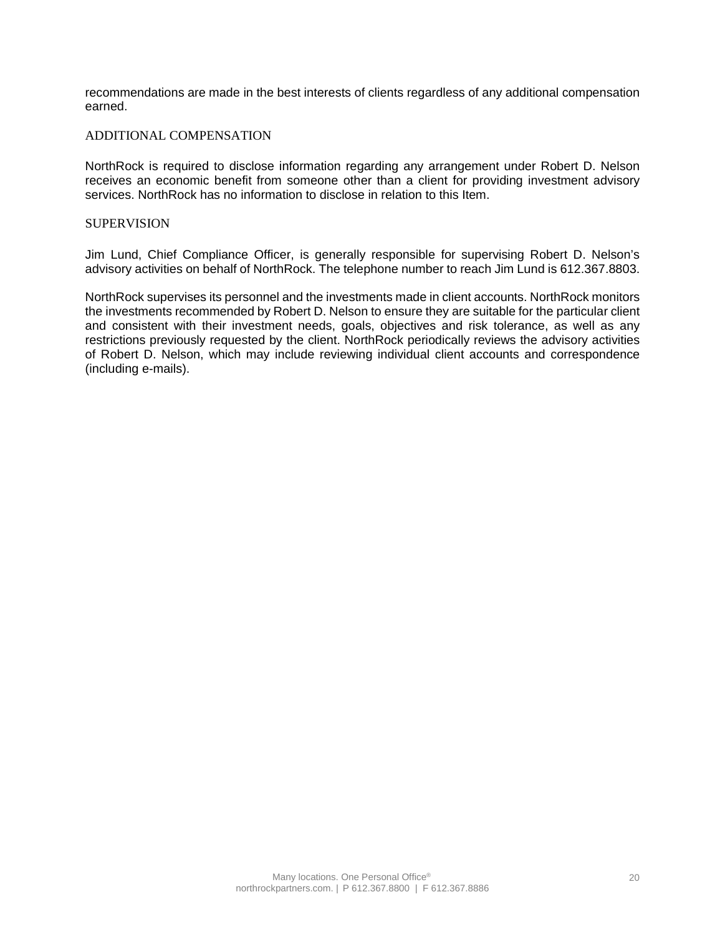recommendations are made in the best interests of clients regardless of any additional compensation earned.

### ADDITIONAL COMPENSATION

NorthRock is required to disclose information regarding any arrangement under Robert D. Nelson receives an economic benefit from someone other than a client for providing investment advisory services. NorthRock has no information to disclose in relation to this Item.

#### **SUPERVISION**

Jim Lund, Chief Compliance Officer, is generally responsible for supervising Robert D. Nelson's advisory activities on behalf of NorthRock. The telephone number to reach Jim Lund is 612.367.8803.

NorthRock supervises its personnel and the investments made in client accounts. NorthRock monitors the investments recommended by Robert D. Nelson to ensure they are suitable for the particular client and consistent with their investment needs, goals, objectives and risk tolerance, as well as any restrictions previously requested by the client. NorthRock periodically reviews the advisory activities of Robert D. Nelson, which may include reviewing individual client accounts and correspondence (including e-mails).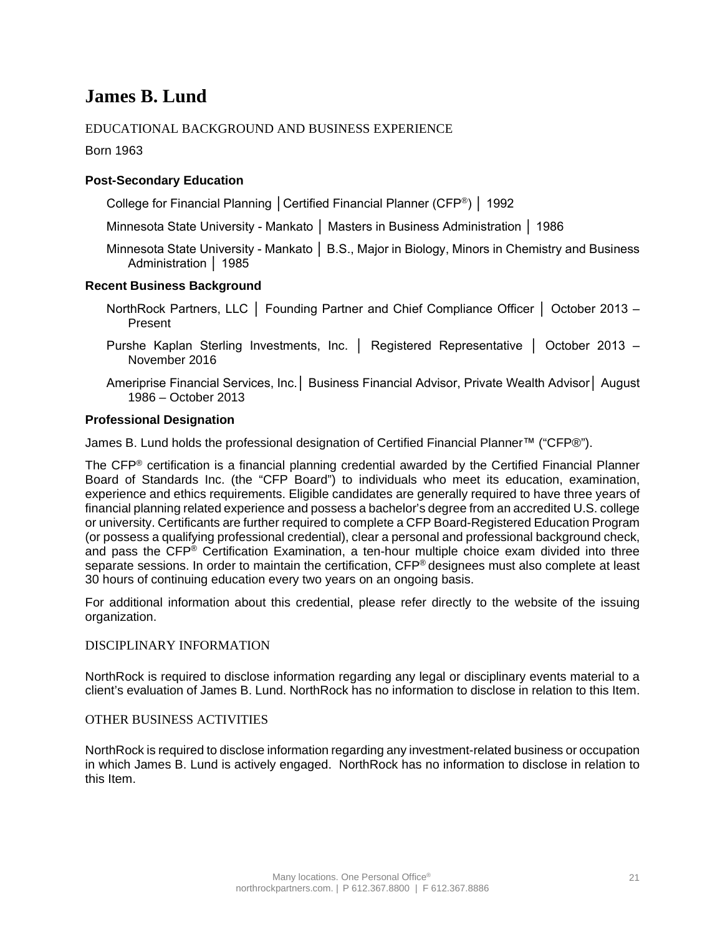## **James B. Lund**

## EDUCATIONAL BACKGROUND AND BUSINESS EXPERIENCE

Born 1963

### **Post-Secondary Education**

College for Financial Planning │Certified Financial Planner (CFP®) │ 1992

Minnesota State University - Mankato │ Masters in Business Administration │ 1986

Minnesota State University - Mankato | B.S., Major in Biology, Minors in Chemistry and Business Administration │ 1985

### **Recent Business Background**

- NorthRock Partners, LLC │ Founding Partner and Chief Compliance Officer │ October 2013 Present
- Purshe Kaplan Sterling Investments, Inc. │ Registered Representative │ October 2013 November 2016
- Ameriprise Financial Services, Inc.│ Business Financial Advisor, Private Wealth Advisor│ August 1986 – October 2013

### **Professional Designation**

James B. Lund holds the professional designation of Certified Financial Planner™ ("CFP®").

The CFP® certification is a financial planning credential awarded by the Certified Financial Planner Board of Standards Inc. (the "CFP Board") to individuals who meet its education, examination, experience and ethics requirements. Eligible candidates are generally required to have three years of financial planning related experience and possess a bachelor's degree from an accredited U.S. college or university. Certificants are further required to complete a CFP Board-Registered Education Program (or possess a qualifying professional credential), clear a personal and professional background check, and pass the CFP® Certification Examination, a ten-hour multiple choice exam divided into three separate sessions. In order to maintain the certification, CFP<sup>®</sup> designees must also complete at least 30 hours of continuing education every two years on an ongoing basis.

For additional information about this credential, please refer directly to the website of the issuing organization.

### DISCIPLINARY INFORMATION

NorthRock is required to disclose information regarding any legal or disciplinary events material to a client's evaluation of James B. Lund. NorthRock has no information to disclose in relation to this Item.

### OTHER BUSINESS ACTIVITIES

NorthRock is required to disclose information regarding any investment-related business or occupation in which James B. Lund is actively engaged. NorthRock has no information to disclose in relation to this Item.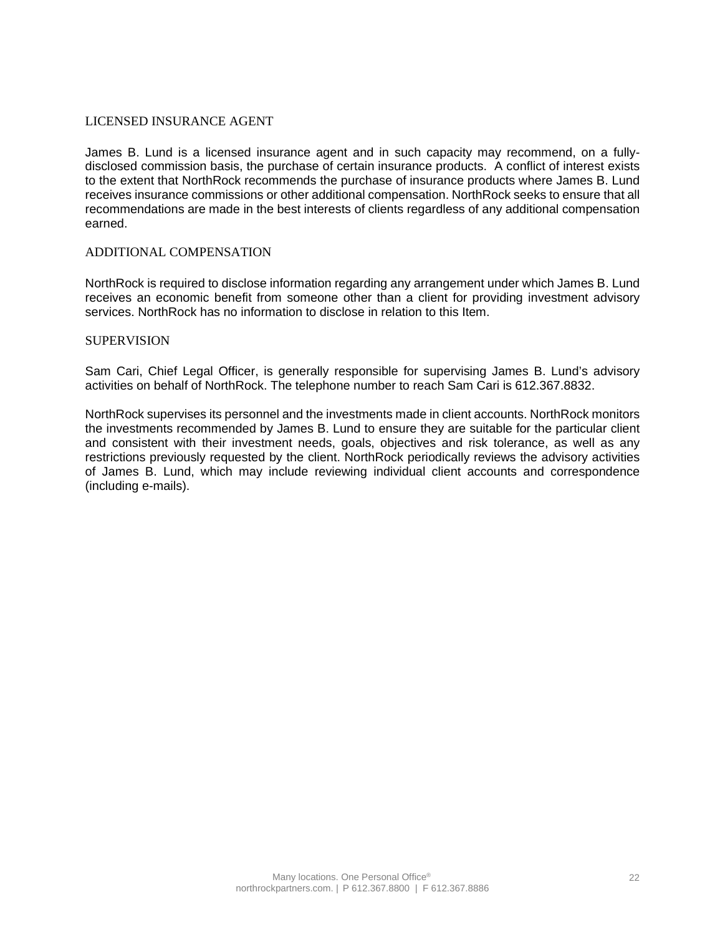### LICENSED INSURANCE AGENT

James B. Lund is a licensed insurance agent and in such capacity may recommend, on a fullydisclosed commission basis, the purchase of certain insurance products. A conflict of interest exists to the extent that NorthRock recommends the purchase of insurance products where James B. Lund receives insurance commissions or other additional compensation. NorthRock seeks to ensure that all recommendations are made in the best interests of clients regardless of any additional compensation earned.

### ADDITIONAL COMPENSATION

NorthRock is required to disclose information regarding any arrangement under which James B. Lund receives an economic benefit from someone other than a client for providing investment advisory services. NorthRock has no information to disclose in relation to this Item.

#### **SUPERVISION**

Sam Cari, Chief Legal Officer, is generally responsible for supervising James B. Lund's advisory activities on behalf of NorthRock. The telephone number to reach Sam Cari is 612.367.8832.

NorthRock supervises its personnel and the investments made in client accounts. NorthRock monitors the investments recommended by James B. Lund to ensure they are suitable for the particular client and consistent with their investment needs, goals, objectives and risk tolerance, as well as any restrictions previously requested by the client. NorthRock periodically reviews the advisory activities of James B. Lund, which may include reviewing individual client accounts and correspondence (including e-mails).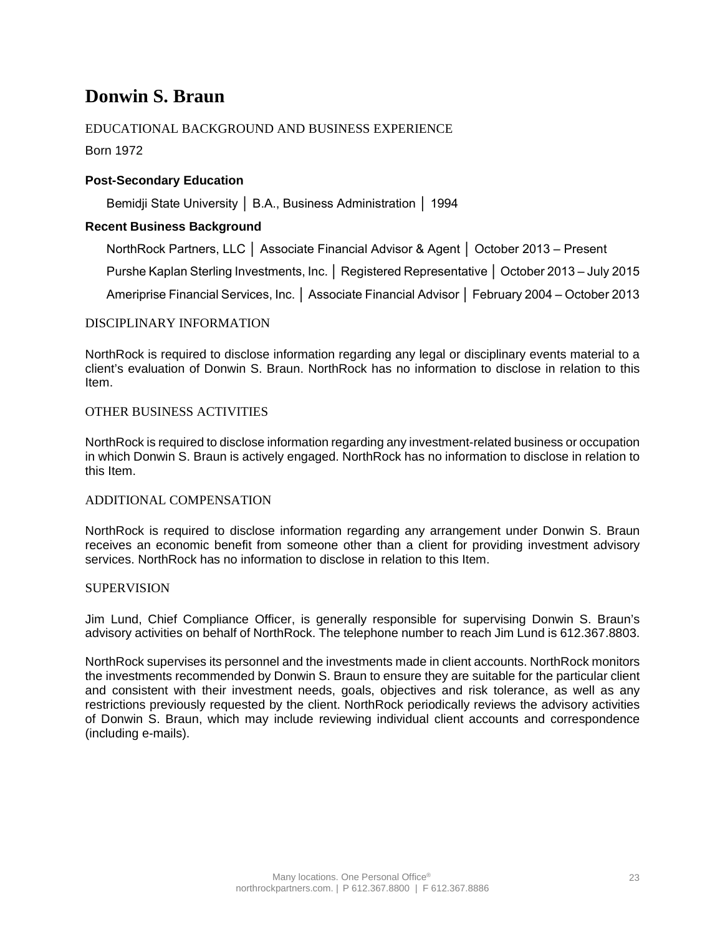## **Donwin S. Braun**

## EDUCATIONAL BACKGROUND AND BUSINESS EXPERIENCE

Born 1972

## **Post-Secondary Education**

Bemidji State University │ B.A., Business Administration │ 1994

### **Recent Business Background**

NorthRock Partners, LLC │ Associate Financial Advisor & Agent │ October 2013 – Present

Purshe Kaplan Sterling Investments, Inc. │ Registered Representative │ October 2013 – July 2015

Ameriprise Financial Services, Inc. │ Associate Financial Advisor │ February 2004 – October 2013

### DISCIPLINARY INFORMATION

NorthRock is required to disclose information regarding any legal or disciplinary events material to a client's evaluation of Donwin S. Braun. NorthRock has no information to disclose in relation to this Item.

### OTHER BUSINESS ACTIVITIES

NorthRock is required to disclose information regarding any investment-related business or occupation in which Donwin S. Braun is actively engaged. NorthRock has no information to disclose in relation to this Item.

### ADDITIONAL COMPENSATION

NorthRock is required to disclose information regarding any arrangement under Donwin S. Braun receives an economic benefit from someone other than a client for providing investment advisory services. NorthRock has no information to disclose in relation to this Item.

### **SUPERVISION**

Jim Lund, Chief Compliance Officer, is generally responsible for supervising Donwin S. Braun's advisory activities on behalf of NorthRock. The telephone number to reach Jim Lund is 612.367.8803.

NorthRock supervises its personnel and the investments made in client accounts. NorthRock monitors the investments recommended by Donwin S. Braun to ensure they are suitable for the particular client and consistent with their investment needs, goals, objectives and risk tolerance, as well as any restrictions previously requested by the client. NorthRock periodically reviews the advisory activities of Donwin S. Braun, which may include reviewing individual client accounts and correspondence (including e-mails).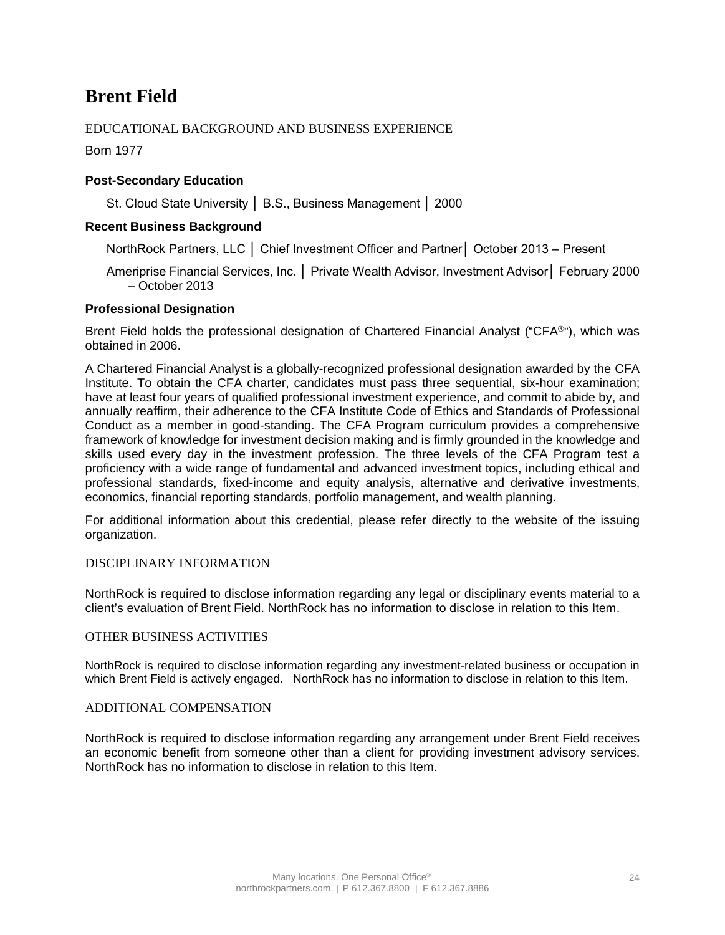## **Brent Field**

## EDUCATIONAL BACKGROUND AND BUSINESS EXPERIENCE

Born 1977

### **Post-Secondary Education**

St. Cloud State University │ B.S., Business Management │ 2000

### **Recent Business Background**

NorthRock Partners, LLC │ Chief Investment Officer and Partner│ October 2013 – Present

Ameriprise Financial Services, Inc. │ Private Wealth Advisor, Investment Advisor│ February 2000 – October 2013

#### **Professional Designation**

Brent Field holds the professional designation of Chartered Financial Analyst ("CFA®"), which was obtained in 2006.

A Chartered Financial Analyst is a globally-recognized professional designation awarded by the CFA Institute. To obtain the CFA charter, candidates must pass three sequential, six-hour examination; have at least four years of qualified professional investment experience, and commit to abide by, and annually reaffirm, their adherence to the CFA Institute Code of Ethics and Standards of Professional Conduct as a member in good-standing. The CFA Program curriculum provides a comprehensive framework of knowledge for investment decision making and is firmly grounded in the knowledge and skills used every day in the investment profession. The three levels of the CFA Program test a proficiency with a wide range of fundamental and advanced investment topics, including ethical and professional standards, fixed-income and equity analysis, alternative and derivative investments, economics, financial reporting standards, portfolio management, and wealth planning.

For additional information about this credential, please refer directly to the website of the issuing organization.

### DISCIPLINARY INFORMATION

NorthRock is required to disclose information regarding any legal or disciplinary events material to a client's evaluation of Brent Field. NorthRock has no information to disclose in relation to this Item.

### OTHER BUSINESS ACTIVITIES

NorthRock is required to disclose information regarding any investment-related business or occupation in which Brent Field is actively engaged. NorthRock has no information to disclose in relation to this Item.

#### ADDITIONAL COMPENSATION

NorthRock is required to disclose information regarding any arrangement under Brent Field receives an economic benefit from someone other than a client for providing investment advisory services. NorthRock has no information to disclose in relation to this Item.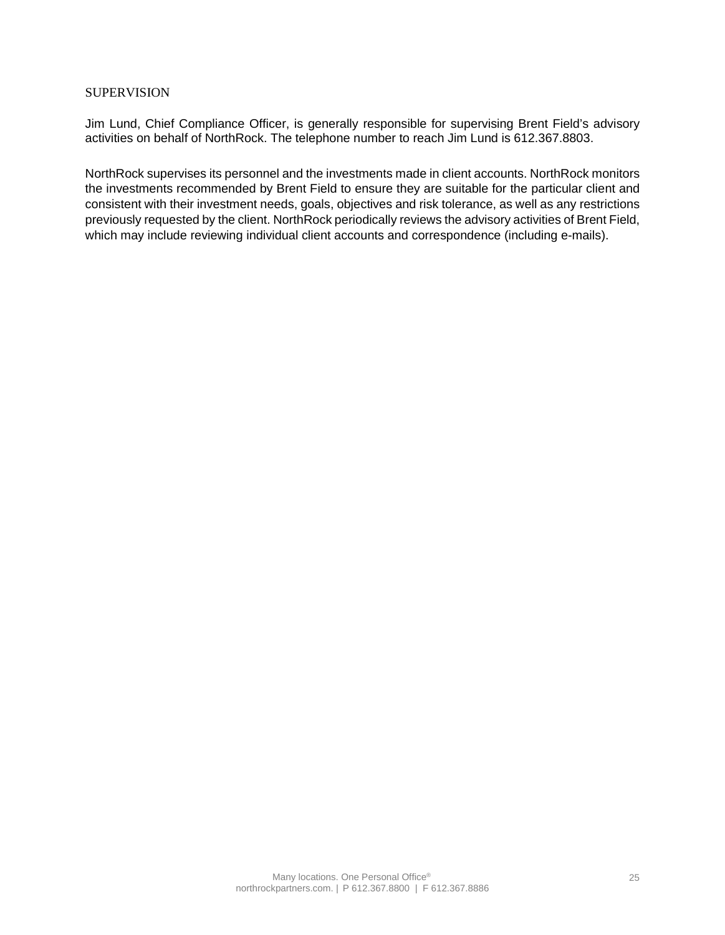### **SUPERVISION**

Jim Lund, Chief Compliance Officer, is generally responsible for supervising Brent Field's advisory activities on behalf of NorthRock. The telephone number to reach Jim Lund is 612.367.8803.

NorthRock supervises its personnel and the investments made in client accounts. NorthRock monitors the investments recommended by Brent Field to ensure they are suitable for the particular client and consistent with their investment needs, goals, objectives and risk tolerance, as well as any restrictions previously requested by the client. NorthRock periodically reviews the advisory activities of Brent Field, which may include reviewing individual client accounts and correspondence (including e-mails).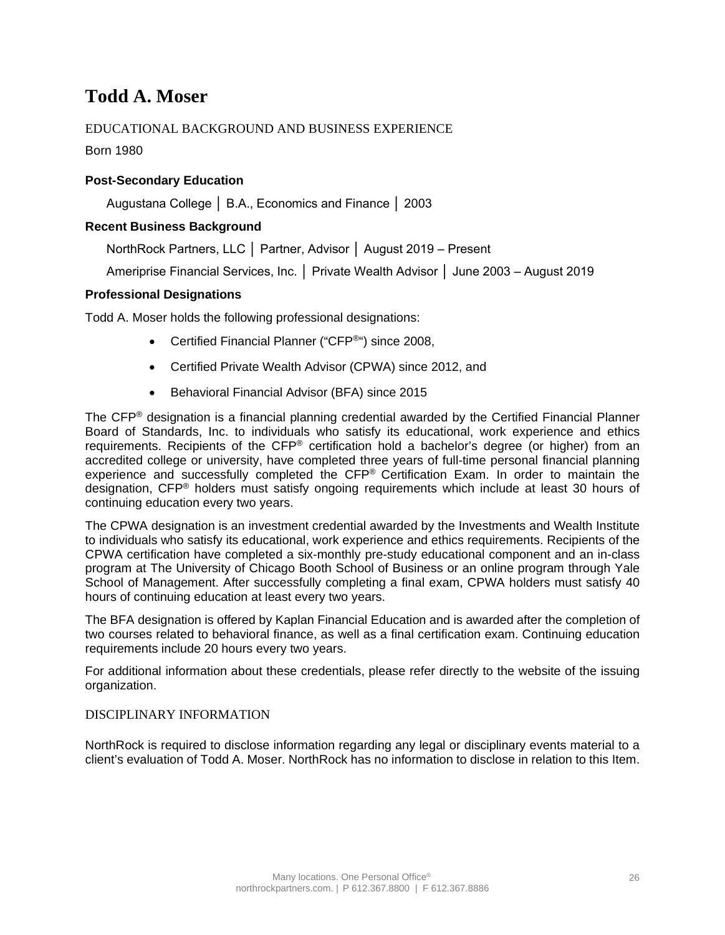## **Todd A. Moser**

## EDUCATIONAL BACKGROUND AND BUSINESS EXPERIENCE

Born 1980

## **Post-Secondary Education**

Augustana College │ B.A., Economics and Finance │ 2003

## **Recent Business Background**

NorthRock Partners, LLC │ Partner, Advisor │ August 2019 – Present

Ameriprise Financial Services, Inc. │ Private Wealth Advisor │ June 2003 – August 2019

### **Professional Designations**

Todd A. Moser holds the following professional designations:

- Certified Financial Planner ("CFP<sup>®</sup>") since 2008,
- Certified Private Wealth Advisor (CPWA) since 2012, and
- Behavioral Financial Advisor (BFA) since 2015

The CFP® designation is a financial planning credential awarded by the Certified Financial Planner Board of Standards, Inc. to individuals who satisfy its educational, work experience and ethics requirements. Recipients of the CFP<sup>®</sup> certification hold a bachelor's degree (or higher) from an accredited college or university, have completed three years of full-time personal financial planning experience and successfully completed the CFP® Certification Exam. In order to maintain the designation, CFP® holders must satisfy ongoing requirements which include at least 30 hours of continuing education every two years.

The CPWA designation is an investment credential awarded by the Investments and Wealth Institute to individuals who satisfy its educational, work experience and ethics requirements. Recipients of the CPWA certification have completed a six-monthly pre-study educational component and an in-class program at The University of Chicago Booth School of Business or an online program through Yale School of Management. After successfully completing a final exam, CPWA holders must satisfy 40 hours of continuing education at least every two years.

The BFA designation is offered by Kaplan Financial Education and is awarded after the completion of two courses related to behavioral finance, as well as a final certification exam. Continuing education requirements include 20 hours every two years.

For additional information about these credentials, please refer directly to the website of the issuing organization.

### DISCIPLINARY INFORMATION

NorthRock is required to disclose information regarding any legal or disciplinary events material to a client's evaluation of Todd A. Moser. NorthRock has no information to disclose in relation to this Item.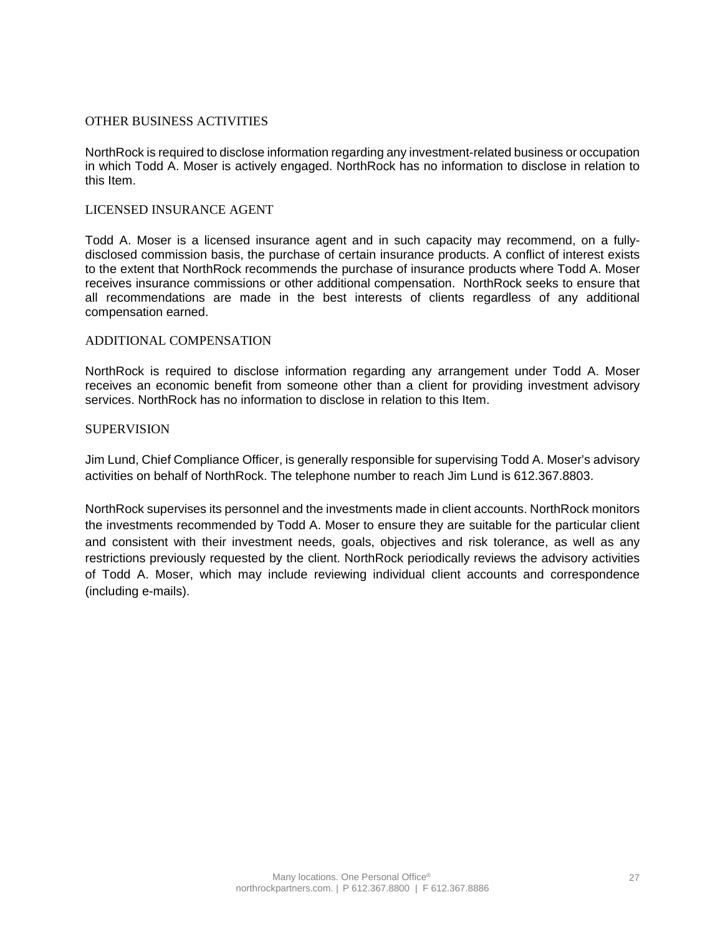### OTHER BUSINESS ACTIVITIES

NorthRock is required to disclose information regarding any investment-related business or occupation in which Todd A. Moser is actively engaged. NorthRock has no information to disclose in relation to this Item.

### LICENSED INSURANCE AGENT

Todd A. Moser is a licensed insurance agent and in such capacity may recommend, on a fullydisclosed commission basis, the purchase of certain insurance products. A conflict of interest exists to the extent that NorthRock recommends the purchase of insurance products where Todd A. Moser receives insurance commissions or other additional compensation. NorthRock seeks to ensure that all recommendations are made in the best interests of clients regardless of any additional compensation earned.

### ADDITIONAL COMPENSATION

NorthRock is required to disclose information regarding any arrangement under Todd A. Moser receives an economic benefit from someone other than a client for providing investment advisory services. NorthRock has no information to disclose in relation to this Item.

### SUPERVISION

Jim Lund, Chief Compliance Officer, is generally responsible for supervising Todd A. Moser's advisory activities on behalf of NorthRock. The telephone number to reach Jim Lund is 612.367.8803.

NorthRock supervises its personnel and the investments made in client accounts. NorthRock monitors the investments recommended by Todd A. Moser to ensure they are suitable for the particular client and consistent with their investment needs, goals, objectives and risk tolerance, as well as any restrictions previously requested by the client. NorthRock periodically reviews the advisory activities of Todd A. Moser, which may include reviewing individual client accounts and correspondence (including e-mails).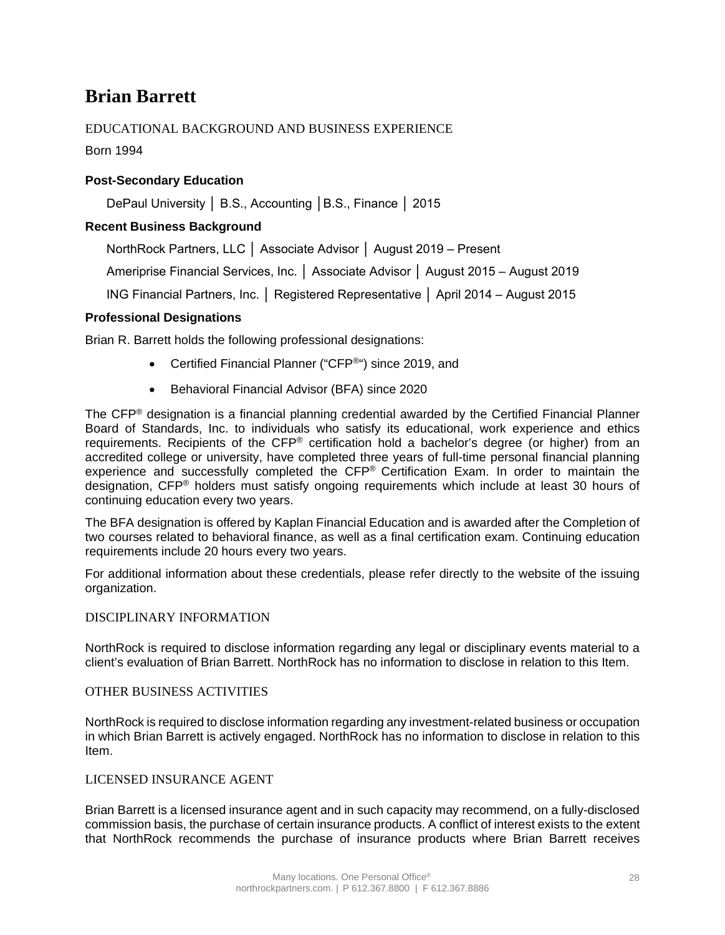## **Brian Barrett**

## EDUCATIONAL BACKGROUND AND BUSINESS EXPERIENCE

Born 1994

## **Post-Secondary Education**

DePaul University │ B.S., Accounting │B.S., Finance │ 2015

## **Recent Business Background**

NorthRock Partners, LLC │ Associate Advisor │ August 2019 – Present

Ameriprise Financial Services, Inc. │ Associate Advisor │ August 2015 – August 2019

ING Financial Partners, Inc. │ Registered Representative │ April 2014 – August 2015

### **Professional Designations**

Brian R. Barrett holds the following professional designations:

- Certified Financial Planner ("CFP®") since 2019, and
- Behavioral Financial Advisor (BFA) since 2020

The CFP® designation is a financial planning credential awarded by the Certified Financial Planner Board of Standards, Inc. to individuals who satisfy its educational, work experience and ethics requirements. Recipients of the CFP® certification hold a bachelor's degree (or higher) from an accredited college or university, have completed three years of full-time personal financial planning experience and successfully completed the CFP® Certification Exam. In order to maintain the designation, CFP® holders must satisfy ongoing requirements which include at least 30 hours of continuing education every two years.

The BFA designation is offered by Kaplan Financial Education and is awarded after the Completion of two courses related to behavioral finance, as well as a final certification exam. Continuing education requirements include 20 hours every two years.

For additional information about these credentials, please refer directly to the website of the issuing organization.

### DISCIPLINARY INFORMATION

NorthRock is required to disclose information regarding any legal or disciplinary events material to a client's evaluation of Brian Barrett. NorthRock has no information to disclose in relation to this Item.

### OTHER BUSINESS ACTIVITIES

NorthRock is required to disclose information regarding any investment-related business or occupation in which Brian Barrett is actively engaged. NorthRock has no information to disclose in relation to this Item.

#### LICENSED INSURANCE AGENT

Brian Barrett is a licensed insurance agent and in such capacity may recommend, on a fully-disclosed commission basis, the purchase of certain insurance products. A conflict of interest exists to the extent that NorthRock recommends the purchase of insurance products where Brian Barrett receives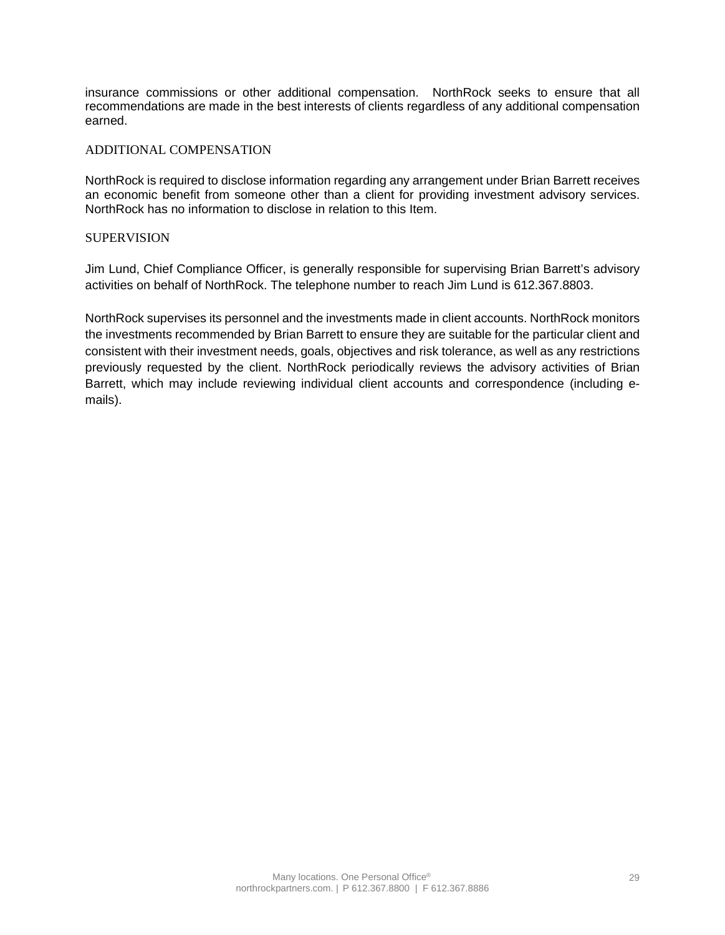insurance commissions or other additional compensation. NorthRock seeks to ensure that all recommendations are made in the best interests of clients regardless of any additional compensation earned.

### ADDITIONAL COMPENSATION

NorthRock is required to disclose information regarding any arrangement under Brian Barrett receives an economic benefit from someone other than a client for providing investment advisory services. NorthRock has no information to disclose in relation to this Item.

### **SUPERVISION**

Jim Lund, Chief Compliance Officer, is generally responsible for supervising Brian Barrett's advisory activities on behalf of NorthRock. The telephone number to reach Jim Lund is 612.367.8803.

NorthRock supervises its personnel and the investments made in client accounts. NorthRock monitors the investments recommended by Brian Barrett to ensure they are suitable for the particular client and consistent with their investment needs, goals, objectives and risk tolerance, as well as any restrictions previously requested by the client. NorthRock periodically reviews the advisory activities of Brian Barrett, which may include reviewing individual client accounts and correspondence (including emails).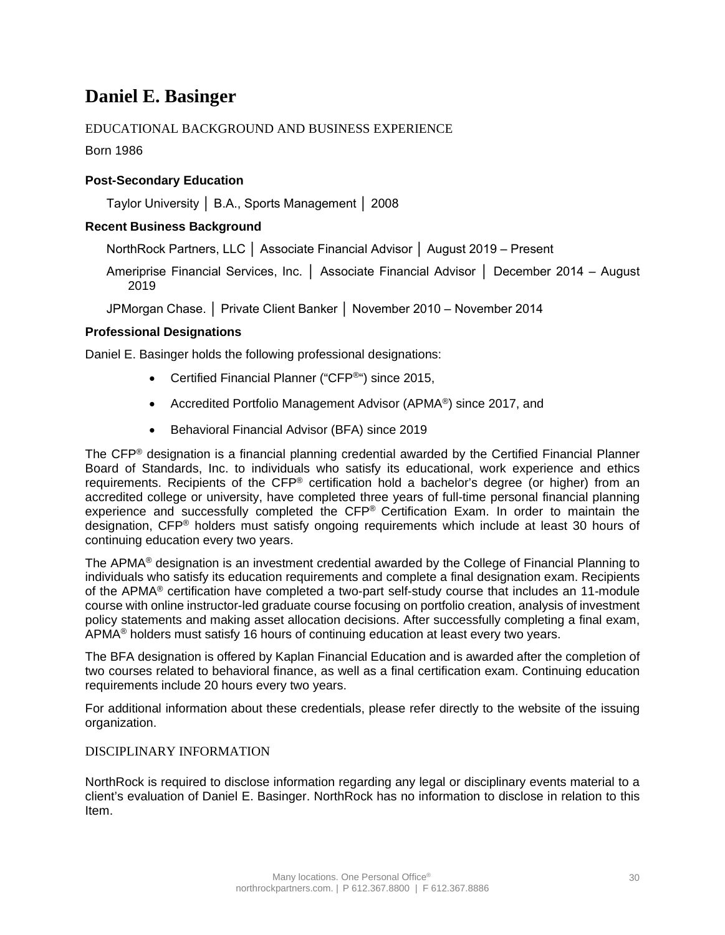## **Daniel E. Basinger**

## EDUCATIONAL BACKGROUND AND BUSINESS EXPERIENCE

Born 1986

## **Post-Secondary Education**

Taylor University │ B.A., Sports Management │ 2008

## **Recent Business Background**

NorthRock Partners, LLC │ Associate Financial Advisor │ August 2019 – Present

Ameriprise Financial Services, Inc. │ Associate Financial Advisor │ December 2014 – August 2019

JPMorgan Chase. │ Private Client Banker │ November 2010 – November 2014

### **Professional Designations**

Daniel E. Basinger holds the following professional designations:

- Certified Financial Planner ("CFP<sup>®</sup>") since 2015,
- Accredited Portfolio Management Advisor (APMA®) since 2017, and
- Behavioral Financial Advisor (BFA) since 2019

The CFP® designation is a financial planning credential awarded by the Certified Financial Planner Board of Standards, Inc. to individuals who satisfy its educational, work experience and ethics requirements. Recipients of the CFP® certification hold a bachelor's degree (or higher) from an accredited college or university, have completed three years of full-time personal financial planning experience and successfully completed the CFP® Certification Exam. In order to maintain the designation, CFP® holders must satisfy ongoing requirements which include at least 30 hours of continuing education every two years.

The APMA® designation is an investment credential awarded by the College of Financial Planning to individuals who satisfy its education requirements and complete a final designation exam. Recipients of the APMA® certification have completed a two-part self-study course that includes an 11-module course with online instructor-led graduate course focusing on portfolio creation, analysis of investment policy statements and making asset allocation decisions. After successfully completing a final exam, APMA® holders must satisfy 16 hours of continuing education at least every two years.

The BFA designation is offered by Kaplan Financial Education and is awarded after the completion of two courses related to behavioral finance, as well as a final certification exam. Continuing education requirements include 20 hours every two years.

For additional information about these credentials, please refer directly to the website of the issuing organization.

### DISCIPLINARY INFORMATION

NorthRock is required to disclose information regarding any legal or disciplinary events material to a client's evaluation of Daniel E. Basinger. NorthRock has no information to disclose in relation to this Item.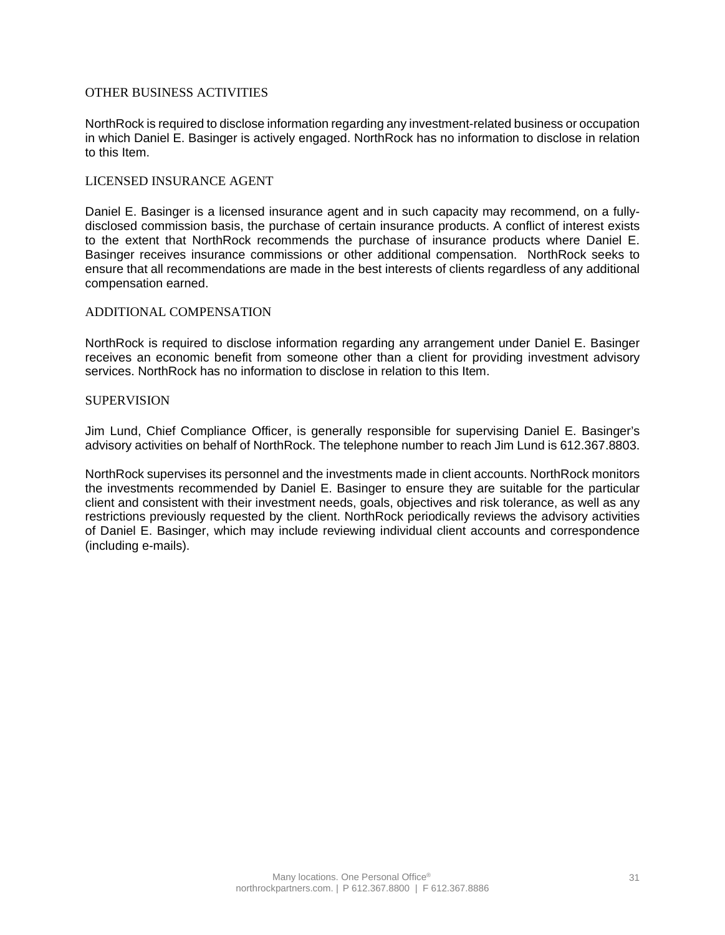### OTHER BUSINESS ACTIVITIES

NorthRock is required to disclose information regarding any investment-related business or occupation in which Daniel E. Basinger is actively engaged. NorthRock has no information to disclose in relation to this Item.

### LICENSED INSURANCE AGENT

Daniel E. Basinger is a licensed insurance agent and in such capacity may recommend, on a fullydisclosed commission basis, the purchase of certain insurance products. A conflict of interest exists to the extent that NorthRock recommends the purchase of insurance products where Daniel E. Basinger receives insurance commissions or other additional compensation. NorthRock seeks to ensure that all recommendations are made in the best interests of clients regardless of any additional compensation earned.

#### ADDITIONAL COMPENSATION

NorthRock is required to disclose information regarding any arrangement under Daniel E. Basinger receives an economic benefit from someone other than a client for providing investment advisory services. NorthRock has no information to disclose in relation to this Item.

### **SUPERVISION**

Jim Lund, Chief Compliance Officer, is generally responsible for supervising Daniel E. Basinger's advisory activities on behalf of NorthRock. The telephone number to reach Jim Lund is 612.367.8803.

NorthRock supervises its personnel and the investments made in client accounts. NorthRock monitors the investments recommended by Daniel E. Basinger to ensure they are suitable for the particular client and consistent with their investment needs, goals, objectives and risk tolerance, as well as any restrictions previously requested by the client. NorthRock periodically reviews the advisory activities of Daniel E. Basinger, which may include reviewing individual client accounts and correspondence (including e-mails).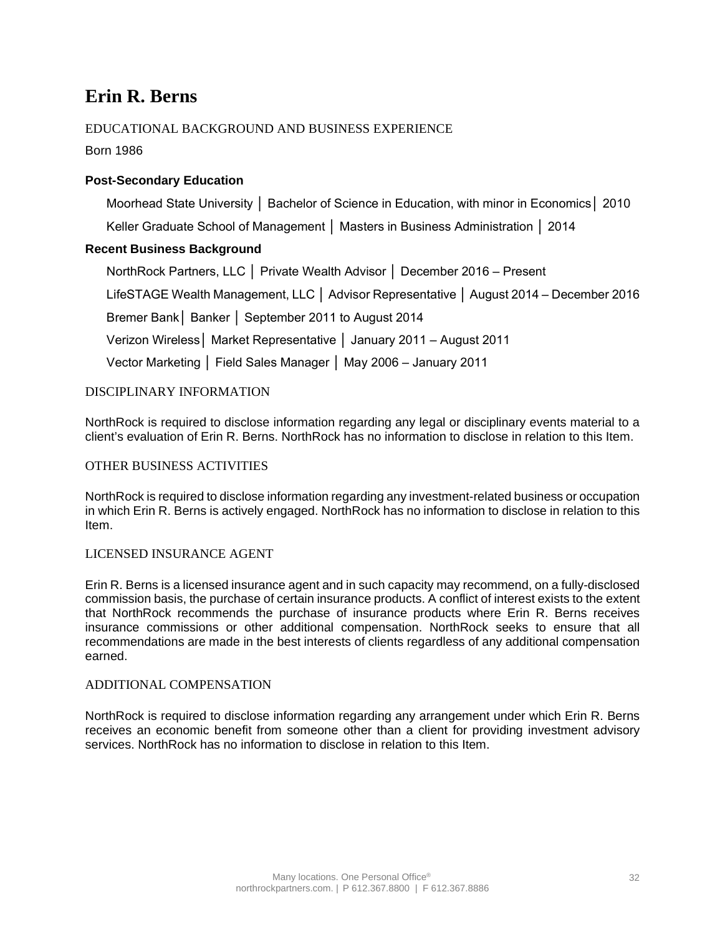## **Erin R. Berns**

## EDUCATIONAL BACKGROUND AND BUSINESS EXPERIENCE

Born 1986

## **Post-Secondary Education**

Moorhead State University │ Bachelor of Science in Education, with minor in Economics│ 2010 Keller Graduate School of Management │ Masters in Business Administration │ 2014

## **Recent Business Background**

NorthRock Partners, LLC │ Private Wealth Advisor │ December 2016 – Present

LifeSTAGE Wealth Management, LLC │ Advisor Representative │ August 2014 – December 2016

Bremer Bank│ Banker │ September 2011 to August 2014

Verizon Wireless│ Market Representative │ January 2011 – August 2011

Vector Marketing │ Field Sales Manager │ May 2006 – January 2011

## DISCIPLINARY INFORMATION

NorthRock is required to disclose information regarding any legal or disciplinary events material to a client's evaluation of Erin R. Berns. NorthRock has no information to disclose in relation to this Item.

### OTHER BUSINESS ACTIVITIES

NorthRock is required to disclose information regarding any investment-related business or occupation in which Erin R. Berns is actively engaged. NorthRock has no information to disclose in relation to this Item.

### LICENSED INSURANCE AGENT

Erin R. Berns is a licensed insurance agent and in such capacity may recommend, on a fully-disclosed commission basis, the purchase of certain insurance products. A conflict of interest exists to the extent that NorthRock recommends the purchase of insurance products where Erin R. Berns receives insurance commissions or other additional compensation. NorthRock seeks to ensure that all recommendations are made in the best interests of clients regardless of any additional compensation earned.

### ADDITIONAL COMPENSATION

NorthRock is required to disclose information regarding any arrangement under which Erin R. Berns receives an economic benefit from someone other than a client for providing investment advisory services. NorthRock has no information to disclose in relation to this Item.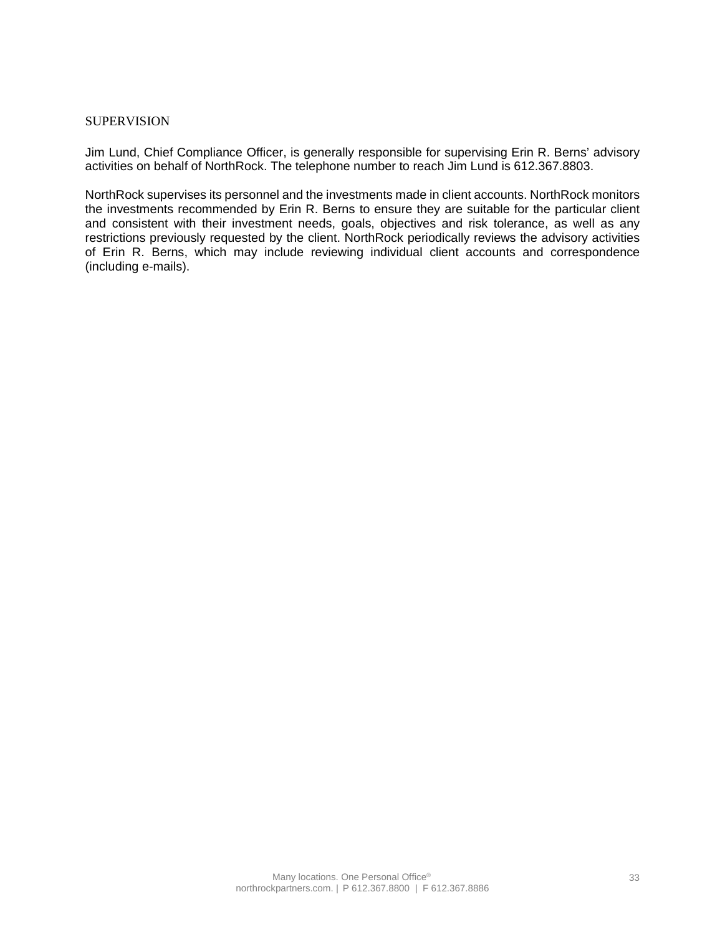### **SUPERVISION**

Jim Lund, Chief Compliance Officer, is generally responsible for supervising Erin R. Berns' advisory activities on behalf of NorthRock. The telephone number to reach Jim Lund is 612.367.8803.

NorthRock supervises its personnel and the investments made in client accounts. NorthRock monitors the investments recommended by Erin R. Berns to ensure they are suitable for the particular client and consistent with their investment needs, goals, objectives and risk tolerance, as well as any restrictions previously requested by the client. NorthRock periodically reviews the advisory activities of Erin R. Berns, which may include reviewing individual client accounts and correspondence (including e-mails).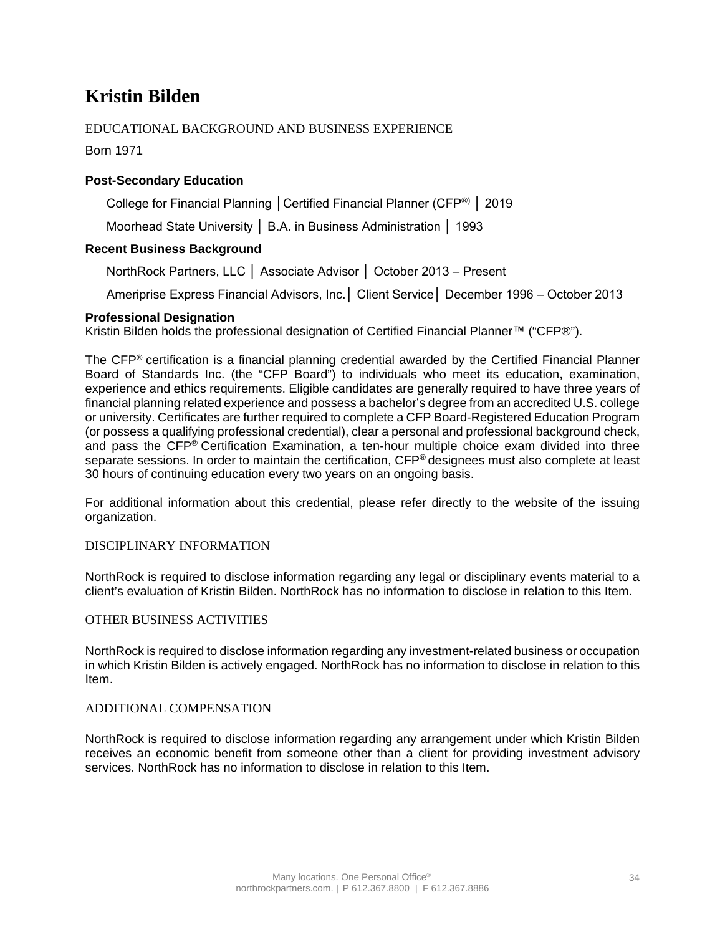## **Kristin Bilden**

## EDUCATIONAL BACKGROUND AND BUSINESS EXPERIENCE

Born 1971

## **Post-Secondary Education**

College for Financial Planning │Certified Financial Planner (CFP®) │ 2019

Moorhead State University │ B.A. in Business Administration │ 1993

## **Recent Business Background**

NorthRock Partners, LLC │ Associate Advisor │ October 2013 – Present

Ameriprise Express Financial Advisors, Inc.│ Client Service│ December 1996 – October 2013

### **Professional Designation**

Kristin Bilden holds the professional designation of Certified Financial Planner™ ("CFP®").

The CFP® certification is a financial planning credential awarded by the Certified Financial Planner Board of Standards Inc. (the "CFP Board") to individuals who meet its education, examination, experience and ethics requirements. Eligible candidates are generally required to have three years of financial planning related experience and possess a bachelor's degree from an accredited U.S. college or university. Certificates are further required to complete a CFP Board-Registered Education Program (or possess a qualifying professional credential), clear a personal and professional background check, and pass the CFP® Certification Examination, a ten-hour multiple choice exam divided into three separate sessions. In order to maintain the certification, CFP® designees must also complete at least 30 hours of continuing education every two years on an ongoing basis.

For additional information about this credential, please refer directly to the website of the issuing organization.

## DISCIPLINARY INFORMATION

NorthRock is required to disclose information regarding any legal or disciplinary events material to a client's evaluation of Kristin Bilden. NorthRock has no information to disclose in relation to this Item.

### OTHER BUSINESS ACTIVITIES

NorthRock is required to disclose information regarding any investment-related business or occupation in which Kristin Bilden is actively engaged. NorthRock has no information to disclose in relation to this Item.

### ADDITIONAL COMPENSATION

NorthRock is required to disclose information regarding any arrangement under which Kristin Bilden receives an economic benefit from someone other than a client for providing investment advisory services. NorthRock has no information to disclose in relation to this Item.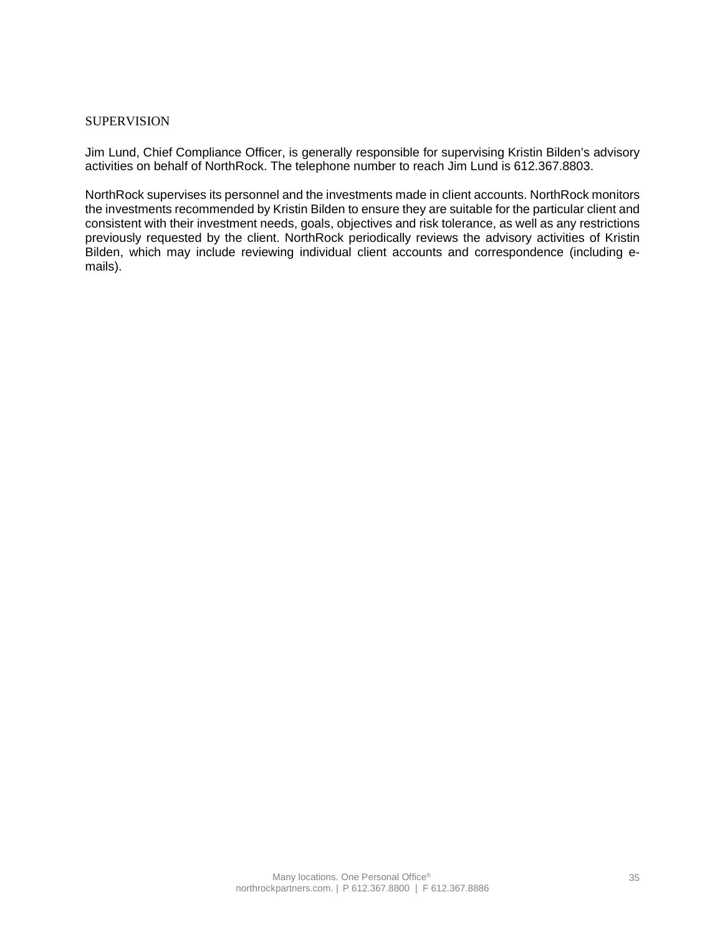### **SUPERVISION**

Jim Lund, Chief Compliance Officer, is generally responsible for supervising Kristin Bilden's advisory activities on behalf of NorthRock. The telephone number to reach Jim Lund is 612.367.8803.

NorthRock supervises its personnel and the investments made in client accounts. NorthRock monitors the investments recommended by Kristin Bilden to ensure they are suitable for the particular client and consistent with their investment needs, goals, objectives and risk tolerance, as well as any restrictions previously requested by the client. NorthRock periodically reviews the advisory activities of Kristin Bilden, which may include reviewing individual client accounts and correspondence (including emails).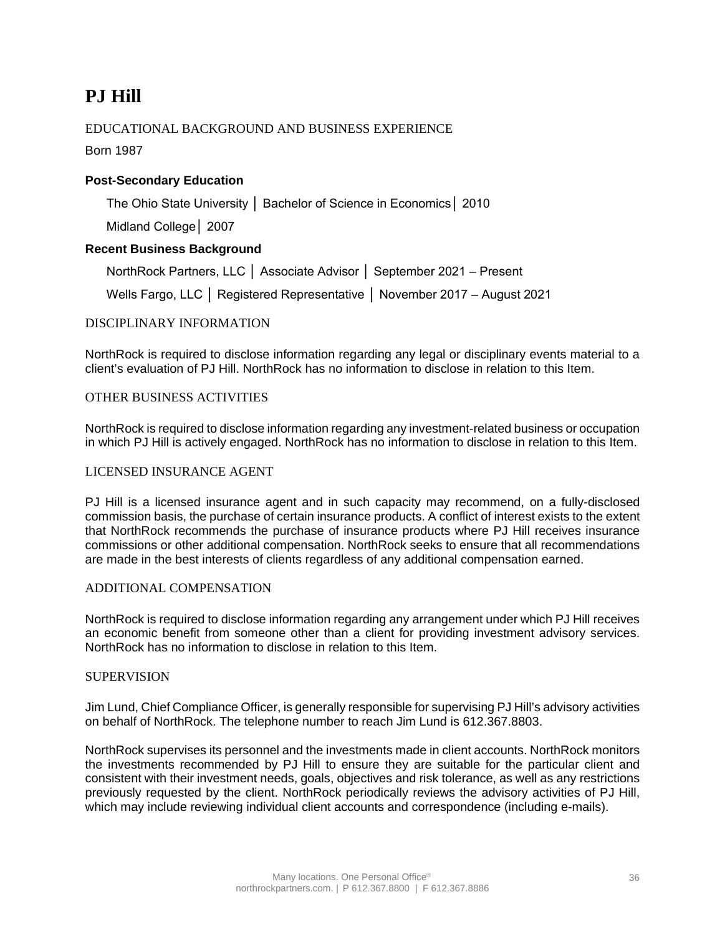## **PJ Hill**

## EDUCATIONAL BACKGROUND AND BUSINESS EXPERIENCE

Born 1987

## **Post-Secondary Education**

The Ohio State University │ Bachelor of Science in Economics│ 2010

Midland College│ 2007

## **Recent Business Background**

NorthRock Partners, LLC │ Associate Advisor │ September 2021 – Present

Wells Fargo, LLC │ Registered Representative │ November 2017 – August 2021

## DISCIPLINARY INFORMATION

NorthRock is required to disclose information regarding any legal or disciplinary events material to a client's evaluation of PJ Hill. NorthRock has no information to disclose in relation to this Item.

### OTHER BUSINESS ACTIVITIES

NorthRock is required to disclose information regarding any investment-related business or occupation in which PJ Hill is actively engaged. NorthRock has no information to disclose in relation to this Item.

### LICENSED INSURANCE AGENT

PJ Hill is a licensed insurance agent and in such capacity may recommend, on a fully-disclosed commission basis, the purchase of certain insurance products. A conflict of interest exists to the extent that NorthRock recommends the purchase of insurance products where PJ Hill receives insurance commissions or other additional compensation. NorthRock seeks to ensure that all recommendations are made in the best interests of clients regardless of any additional compensation earned.

### ADDITIONAL COMPENSATION

NorthRock is required to disclose information regarding any arrangement under which PJ Hill receives an economic benefit from someone other than a client for providing investment advisory services. NorthRock has no information to disclose in relation to this Item.

### **SUPERVISION**

Jim Lund, Chief Compliance Officer, is generally responsible for supervising PJ Hill's advisory activities on behalf of NorthRock. The telephone number to reach Jim Lund is 612.367.8803.

NorthRock supervises its personnel and the investments made in client accounts. NorthRock monitors the investments recommended by PJ Hill to ensure they are suitable for the particular client and consistent with their investment needs, goals, objectives and risk tolerance, as well as any restrictions previously requested by the client. NorthRock periodically reviews the advisory activities of PJ Hill, which may include reviewing individual client accounts and correspondence (including e-mails).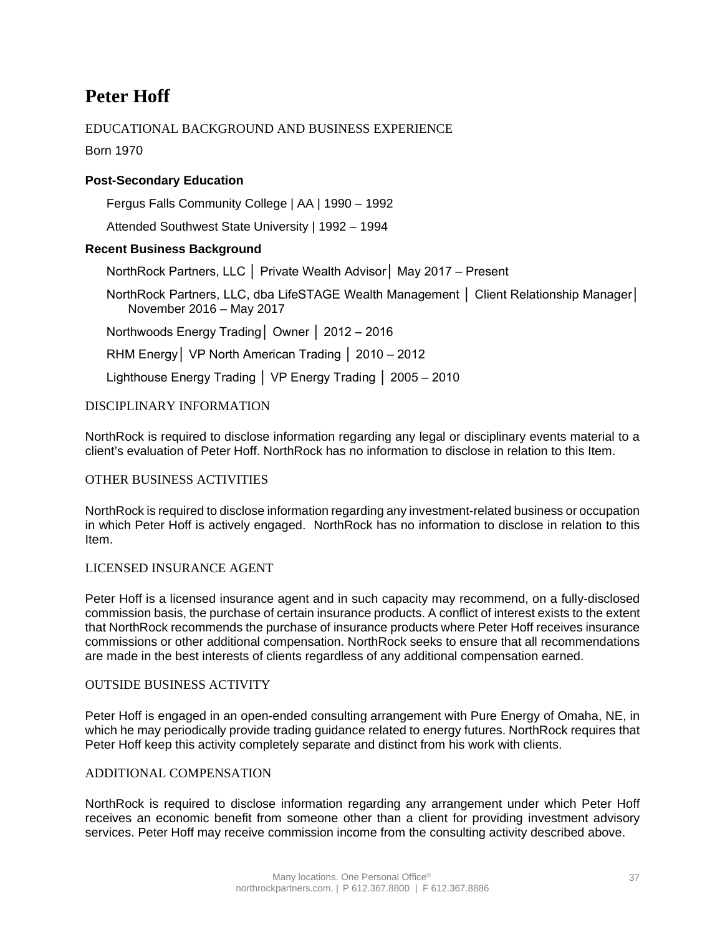## **Peter Hoff**

## EDUCATIONAL BACKGROUND AND BUSINESS EXPERIENCE

Born 1970

## **Post-Secondary Education**

Fergus Falls Community College | AA | 1990 – 1992

Attended Southwest State University | 1992 – 1994

### **Recent Business Background**

NorthRock Partners, LLC │ Private Wealth Advisor│ May 2017 – Present

NorthRock Partners, LLC, dba LifeSTAGE Wealth Management │ Client Relationship Manager│ November 2016 – May 2017

Northwoods Energy Trading│ Owner │ 2012 – 2016

RHM Energy│ VP North American Trading │ 2010 – 2012

Lighthouse Energy Trading │ VP Energy Trading │ 2005 – 2010

### DISCIPLINARY INFORMATION

NorthRock is required to disclose information regarding any legal or disciplinary events material to a client's evaluation of Peter Hoff. NorthRock has no information to disclose in relation to this Item.

### OTHER BUSINESS ACTIVITIES

NorthRock is required to disclose information regarding any investment-related business or occupation in which Peter Hoff is actively engaged. NorthRock has no information to disclose in relation to this Item.

### LICENSED INSURANCE AGENT

Peter Hoff is a licensed insurance agent and in such capacity may recommend, on a fully-disclosed commission basis, the purchase of certain insurance products. A conflict of interest exists to the extent that NorthRock recommends the purchase of insurance products where Peter Hoff receives insurance commissions or other additional compensation. NorthRock seeks to ensure that all recommendations are made in the best interests of clients regardless of any additional compensation earned.

### OUTSIDE BUSINESS ACTIVITY

Peter Hoff is engaged in an open-ended consulting arrangement with Pure Energy of Omaha, NE, in which he may periodically provide trading guidance related to energy futures. NorthRock requires that Peter Hoff keep this activity completely separate and distinct from his work with clients.

### ADDITIONAL COMPENSATION

NorthRock is required to disclose information regarding any arrangement under which Peter Hoff receives an economic benefit from someone other than a client for providing investment advisory services. Peter Hoff may receive commission income from the consulting activity described above.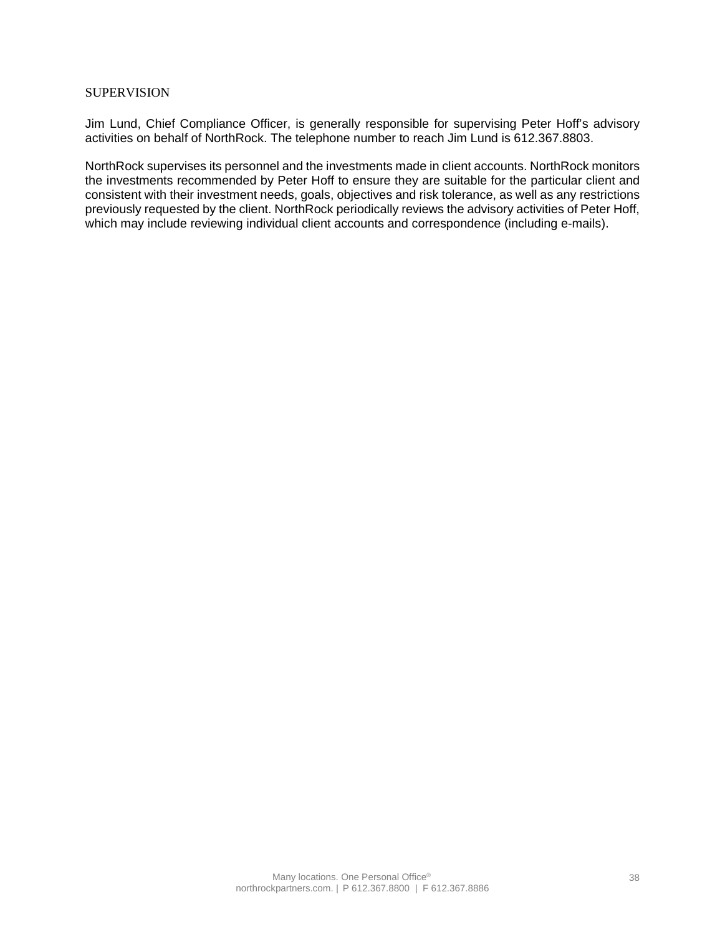### **SUPERVISION**

Jim Lund, Chief Compliance Officer, is generally responsible for supervising Peter Hoff's advisory activities on behalf of NorthRock. The telephone number to reach Jim Lund is 612.367.8803.

NorthRock supervises its personnel and the investments made in client accounts. NorthRock monitors the investments recommended by Peter Hoff to ensure they are suitable for the particular client and consistent with their investment needs, goals, objectives and risk tolerance, as well as any restrictions previously requested by the client. NorthRock periodically reviews the advisory activities of Peter Hoff, which may include reviewing individual client accounts and correspondence (including e-mails).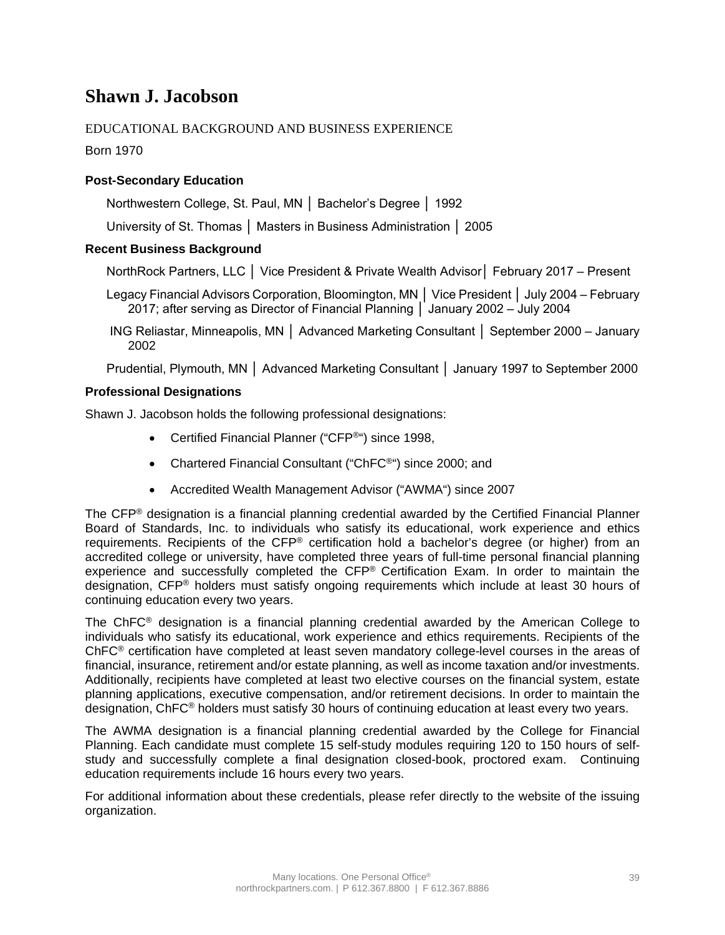## **Shawn J. Jacobson**

## EDUCATIONAL BACKGROUND AND BUSINESS EXPERIENCE

Born 1970

## **Post-Secondary Education**

Northwestern College, St. Paul, MN │ Bachelor's Degree │ 1992

University of St. Thomas │ Masters in Business Administration │ 2005

## **Recent Business Background**

NorthRock Partners, LLC │ Vice President & Private Wealth Advisor│ February 2017 – Present

Legacy Financial Advisors Corporation, Bloomington, MN │ Vice President │ July 2004 – February 2017; after serving as Director of Financial Planning │ January 2002 – July 2004

ING Reliastar, Minneapolis, MN │ Advanced Marketing Consultant │ September 2000 – January 2002

Prudential, Plymouth, MN │ Advanced Marketing Consultant │ January 1997 to September 2000

### **Professional Designations**

Shawn J. Jacobson holds the following professional designations:

- Certified Financial Planner ("CFP<sup>®</sup>") since 1998,
- Chartered Financial Consultant ("ChFC®") since 2000; and
- Accredited Wealth Management Advisor ("AWMA") since 2007

The CFP® designation is a financial planning credential awarded by the Certified Financial Planner Board of Standards, Inc. to individuals who satisfy its educational, work experience and ethics requirements. Recipients of the CFP® certification hold a bachelor's degree (or higher) from an accredited college or university, have completed three years of full-time personal financial planning experience and successfully completed the CFP® Certification Exam. In order to maintain the designation, CFP® holders must satisfy ongoing requirements which include at least 30 hours of continuing education every two years.

The ChFC® designation is a financial planning credential awarded by the American College to individuals who satisfy its educational, work experience and ethics requirements. Recipients of the ChFC® certification have completed at least seven mandatory college-level courses in the areas of financial, insurance, retirement and/or estate planning, as well as income taxation and/or investments. Additionally, recipients have completed at least two elective courses on the financial system, estate planning applications, executive compensation, and/or retirement decisions. In order to maintain the designation, ChFC® holders must satisfy 30 hours of continuing education at least every two years.

The AWMA designation is a financial planning credential awarded by the College for Financial Planning. Each candidate must complete 15 self-study modules requiring 120 to 150 hours of selfstudy and successfully complete a final designation closed-book, proctored exam. Continuing education requirements include 16 hours every two years.

For additional information about these credentials, please refer directly to the website of the issuing organization.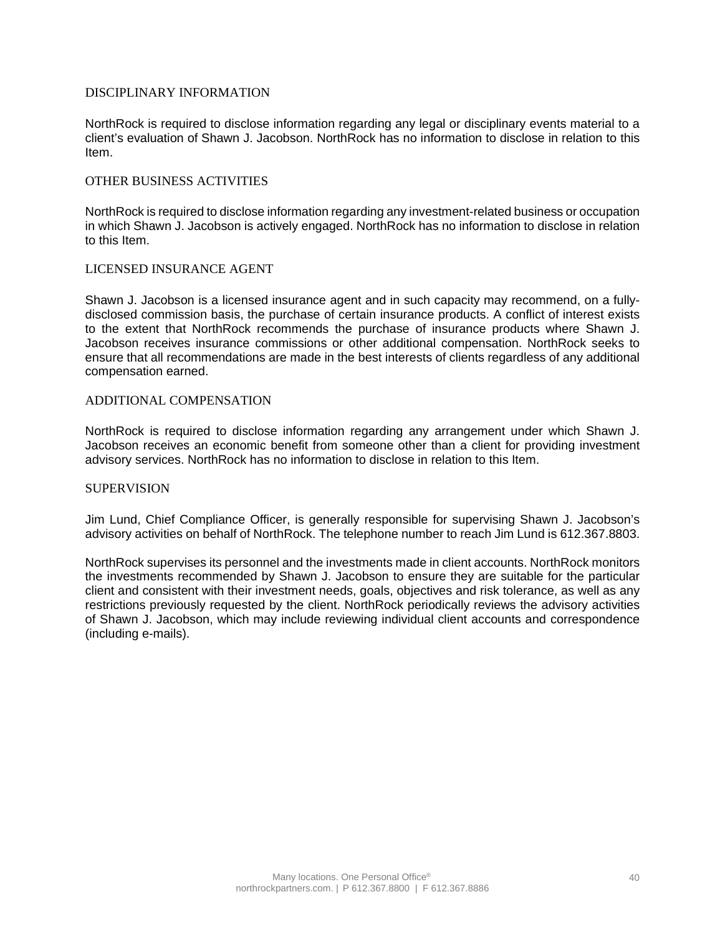### DISCIPLINARY INFORMATION

NorthRock is required to disclose information regarding any legal or disciplinary events material to a client's evaluation of Shawn J. Jacobson. NorthRock has no information to disclose in relation to this Item.

### OTHER BUSINESS ACTIVITIES

NorthRock is required to disclose information regarding any investment-related business or occupation in which Shawn J. Jacobson is actively engaged. NorthRock has no information to disclose in relation to this Item.

### LICENSED INSURANCE AGENT

Shawn J. Jacobson is a licensed insurance agent and in such capacity may recommend, on a fullydisclosed commission basis, the purchase of certain insurance products. A conflict of interest exists to the extent that NorthRock recommends the purchase of insurance products where Shawn J. Jacobson receives insurance commissions or other additional compensation. NorthRock seeks to ensure that all recommendations are made in the best interests of clients regardless of any additional compensation earned.

### ADDITIONAL COMPENSATION

NorthRock is required to disclose information regarding any arrangement under which Shawn J. Jacobson receives an economic benefit from someone other than a client for providing investment advisory services. NorthRock has no information to disclose in relation to this Item.

#### **SUPERVISION**

Jim Lund, Chief Compliance Officer, is generally responsible for supervising Shawn J. Jacobson's advisory activities on behalf of NorthRock. The telephone number to reach Jim Lund is 612.367.8803.

NorthRock supervises its personnel and the investments made in client accounts. NorthRock monitors the investments recommended by Shawn J. Jacobson to ensure they are suitable for the particular client and consistent with their investment needs, goals, objectives and risk tolerance, as well as any restrictions previously requested by the client. NorthRock periodically reviews the advisory activities of Shawn J. Jacobson, which may include reviewing individual client accounts and correspondence (including e-mails).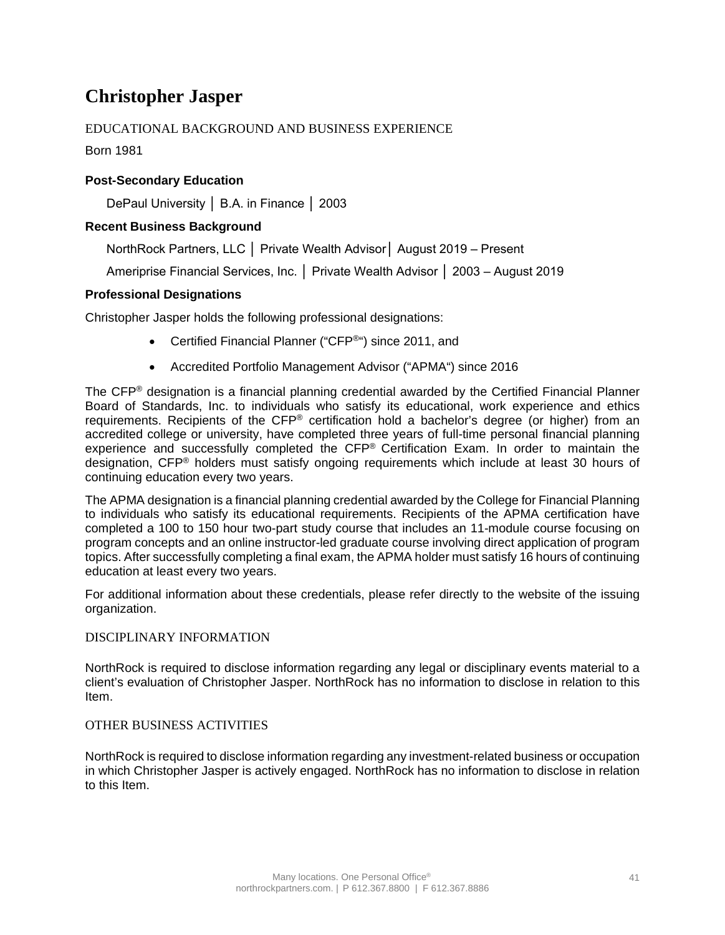## **Christopher Jasper**

## EDUCATIONAL BACKGROUND AND BUSINESS EXPERIENCE

Born 1981

## **Post-Secondary Education**

DePaul University │ B.A. in Finance │ 2003

## **Recent Business Background**

NorthRock Partners, LLC │ Private Wealth Advisor│ August 2019 – Present

Ameriprise Financial Services, Inc. │ Private Wealth Advisor │ 2003 – August 2019

## **Professional Designations**

Christopher Jasper holds the following professional designations:

- Certified Financial Planner ("CFP®") since 2011, and
- Accredited Portfolio Management Advisor ("APMA") since 2016

The CFP® designation is a financial planning credential awarded by the Certified Financial Planner Board of Standards, Inc. to individuals who satisfy its educational, work experience and ethics requirements. Recipients of the CFP® certification hold a bachelor's degree (or higher) from an accredited college or university, have completed three years of full-time personal financial planning experience and successfully completed the CFP® Certification Exam. In order to maintain the designation, CFP® holders must satisfy ongoing requirements which include at least 30 hours of continuing education every two years.

The APMA designation is a financial planning credential awarded by the College for Financial Planning to individuals who satisfy its educational requirements. Recipients of the APMA certification have completed a 100 to 150 hour two-part study course that includes an 11-module course focusing on program concepts and an online instructor-led graduate course involving direct application of program topics. After successfully completing a final exam, the APMA holder must satisfy 16 hours of continuing education at least every two years.

For additional information about these credentials, please refer directly to the website of the issuing organization.

## DISCIPLINARY INFORMATION

NorthRock is required to disclose information regarding any legal or disciplinary events material to a client's evaluation of Christopher Jasper. NorthRock has no information to disclose in relation to this Item.

## OTHER BUSINESS ACTIVITIES

NorthRock is required to disclose information regarding any investment-related business or occupation in which Christopher Jasper is actively engaged. NorthRock has no information to disclose in relation to this Item.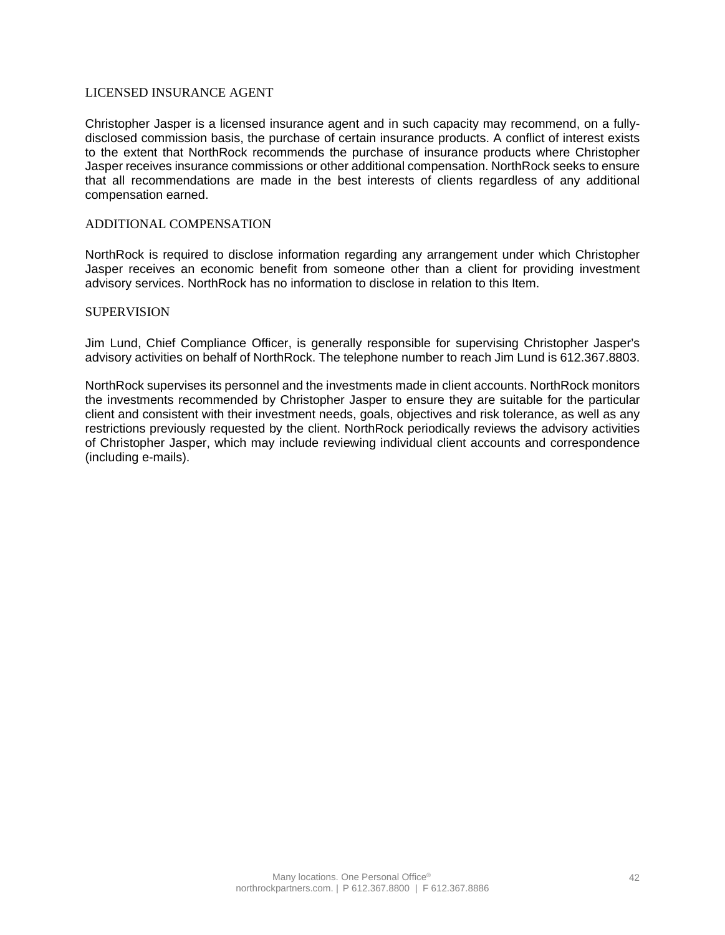### LICENSED INSURANCE AGENT

Christopher Jasper is a licensed insurance agent and in such capacity may recommend, on a fullydisclosed commission basis, the purchase of certain insurance products. A conflict of interest exists to the extent that NorthRock recommends the purchase of insurance products where Christopher Jasper receives insurance commissions or other additional compensation. NorthRock seeks to ensure that all recommendations are made in the best interests of clients regardless of any additional compensation earned.

### ADDITIONAL COMPENSATION

NorthRock is required to disclose information regarding any arrangement under which Christopher Jasper receives an economic benefit from someone other than a client for providing investment advisory services. NorthRock has no information to disclose in relation to this Item.

#### **SUPERVISION**

Jim Lund, Chief Compliance Officer, is generally responsible for supervising Christopher Jasper's advisory activities on behalf of NorthRock. The telephone number to reach Jim Lund is 612.367.8803.

NorthRock supervises its personnel and the investments made in client accounts. NorthRock monitors the investments recommended by Christopher Jasper to ensure they are suitable for the particular client and consistent with their investment needs, goals, objectives and risk tolerance, as well as any restrictions previously requested by the client. NorthRock periodically reviews the advisory activities of Christopher Jasper, which may include reviewing individual client accounts and correspondence (including e-mails).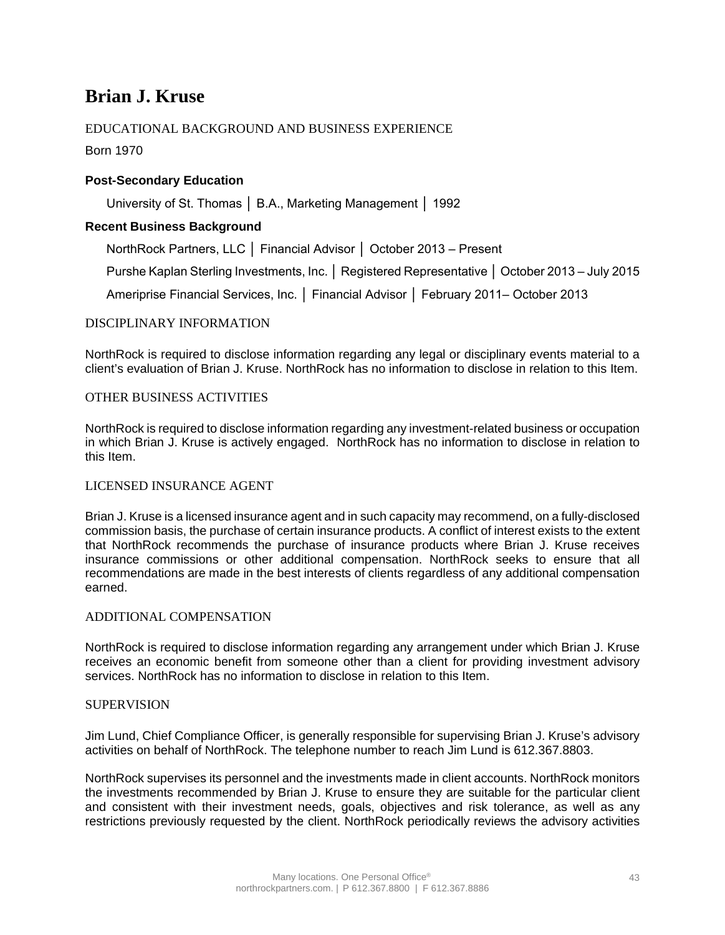## **Brian J. Kruse**

## EDUCATIONAL BACKGROUND AND BUSINESS EXPERIENCE

Born 1970

## **Post-Secondary Education**

University of St. Thomas │ B.A., Marketing Management │ 1992

### **Recent Business Background**

NorthRock Partners, LLC │ Financial Advisor │ October 2013 – Present

Purshe Kaplan Sterling Investments, Inc. │ Registered Representative │ October 2013 – July 2015

Ameriprise Financial Services, Inc. │ Financial Advisor │ February 2011– October 2013

### DISCIPLINARY INFORMATION

NorthRock is required to disclose information regarding any legal or disciplinary events material to a client's evaluation of Brian J. Kruse. NorthRock has no information to disclose in relation to this Item.

### OTHER BUSINESS ACTIVITIES

NorthRock is required to disclose information regarding any investment-related business or occupation in which Brian J. Kruse is actively engaged. NorthRock has no information to disclose in relation to this Item.

### LICENSED INSURANCE AGENT

Brian J. Kruse is a licensed insurance agent and in such capacity may recommend, on a fully-disclosed commission basis, the purchase of certain insurance products. A conflict of interest exists to the extent that NorthRock recommends the purchase of insurance products where Brian J. Kruse receives insurance commissions or other additional compensation. NorthRock seeks to ensure that all recommendations are made in the best interests of clients regardless of any additional compensation earned.

### ADDITIONAL COMPENSATION

NorthRock is required to disclose information regarding any arrangement under which Brian J. Kruse receives an economic benefit from someone other than a client for providing investment advisory services. NorthRock has no information to disclose in relation to this Item.

### SUPERVISION

Jim Lund, Chief Compliance Officer, is generally responsible for supervising Brian J. Kruse's advisory activities on behalf of NorthRock. The telephone number to reach Jim Lund is 612.367.8803.

NorthRock supervises its personnel and the investments made in client accounts. NorthRock monitors the investments recommended by Brian J. Kruse to ensure they are suitable for the particular client and consistent with their investment needs, goals, objectives and risk tolerance, as well as any restrictions previously requested by the client. NorthRock periodically reviews the advisory activities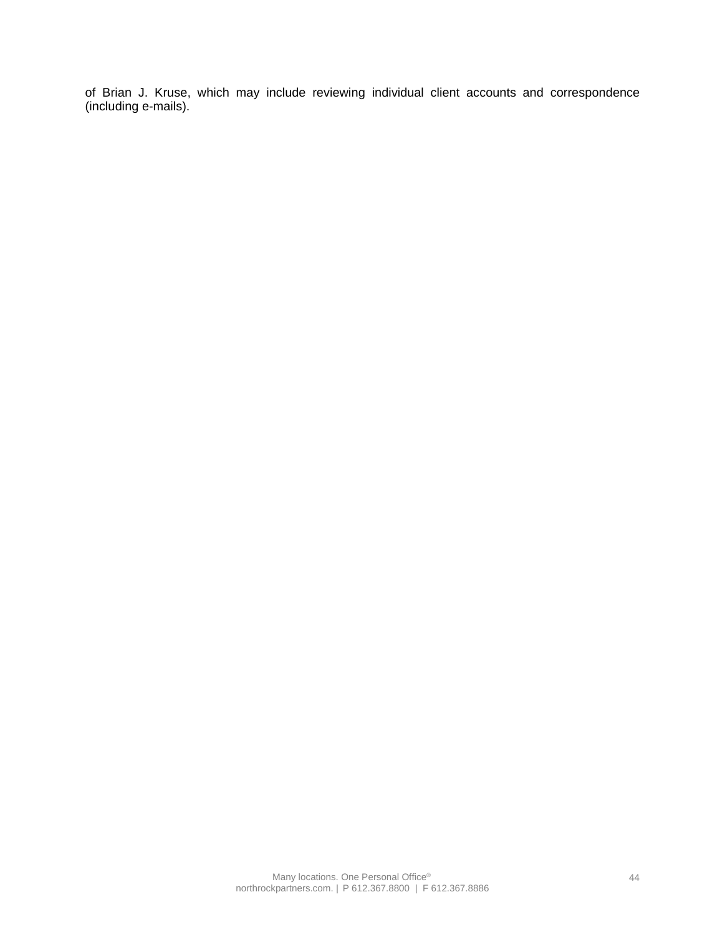of Brian J. Kruse, which may include reviewing individual client accounts and correspondence (including e-mails).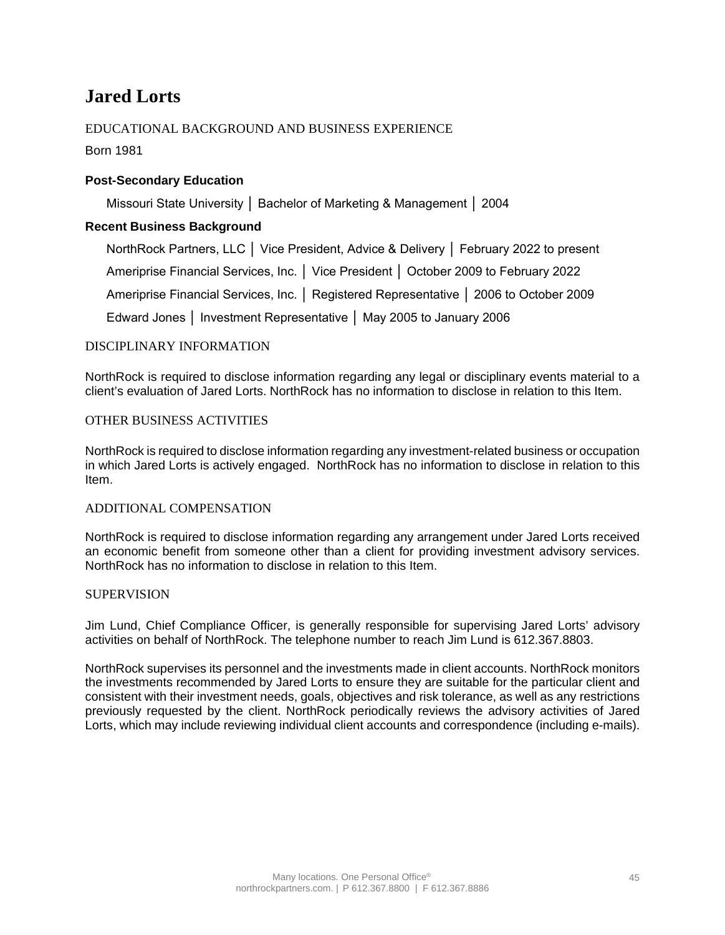## **Jared Lorts**

## EDUCATIONAL BACKGROUND AND BUSINESS EXPERIENCE

Born 1981

## **Post-Secondary Education**

Missouri State University │ Bachelor of Marketing & Management │ 2004

## **Recent Business Background**

NorthRock Partners, LLC │ Vice President, Advice & Delivery │ February 2022 to present Ameriprise Financial Services, Inc. │ Vice President │ October 2009 to February 2022 Ameriprise Financial Services, Inc. │ Registered Representative │ 2006 to October 2009 Edward Jones │ Investment Representative │ May 2005 to January 2006

### DISCIPLINARY INFORMATION

NorthRock is required to disclose information regarding any legal or disciplinary events material to a client's evaluation of Jared Lorts. NorthRock has no information to disclose in relation to this Item.

### OTHER BUSINESS ACTIVITIES

NorthRock is required to disclose information regarding any investment-related business or occupation in which Jared Lorts is actively engaged. NorthRock has no information to disclose in relation to this Item.

### ADDITIONAL COMPENSATION

NorthRock is required to disclose information regarding any arrangement under Jared Lorts received an economic benefit from someone other than a client for providing investment advisory services. NorthRock has no information to disclose in relation to this Item.

#### **SUPERVISION**

Jim Lund, Chief Compliance Officer, is generally responsible for supervising Jared Lorts' advisory activities on behalf of NorthRock. The telephone number to reach Jim Lund is 612.367.8803.

NorthRock supervises its personnel and the investments made in client accounts. NorthRock monitors the investments recommended by Jared Lorts to ensure they are suitable for the particular client and consistent with their investment needs, goals, objectives and risk tolerance, as well as any restrictions previously requested by the client. NorthRock periodically reviews the advisory activities of Jared Lorts, which may include reviewing individual client accounts and correspondence (including e-mails).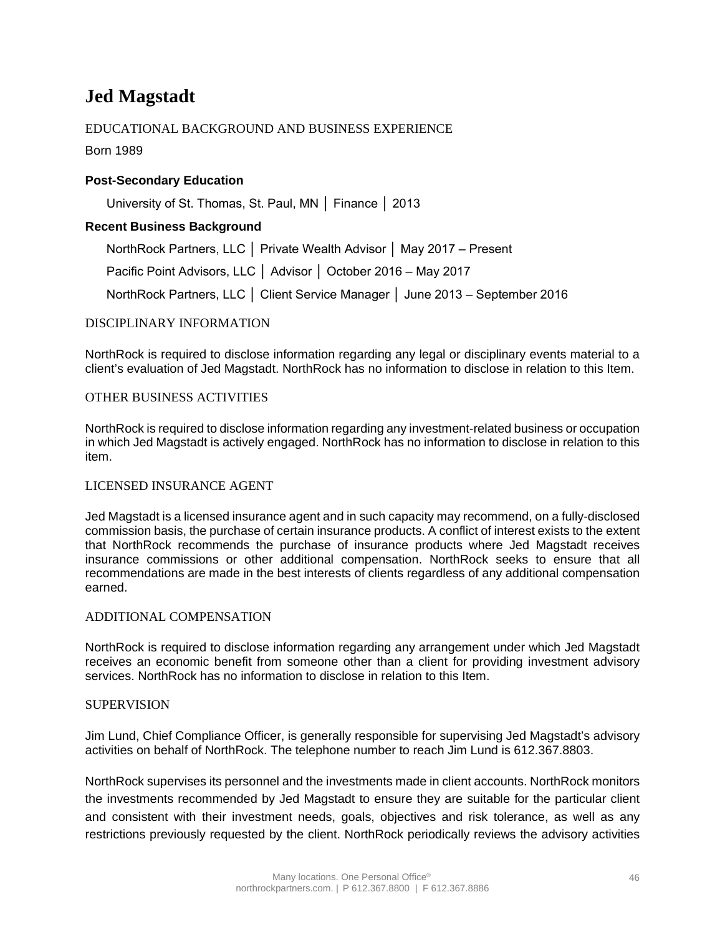## **Jed Magstadt**

## EDUCATIONAL BACKGROUND AND BUSINESS EXPERIENCE

Born 1989

## **Post-Secondary Education**

University of St. Thomas, St. Paul, MN │ Finance │ 2013

## **Recent Business Background**

NorthRock Partners, LLC │ Private Wealth Advisor │ May 2017 – Present

Pacific Point Advisors, LLC │ Advisor │ October 2016 – May 2017

NorthRock Partners, LLC │ Client Service Manager │ June 2013 – September 2016

## DISCIPLINARY INFORMATION

NorthRock is required to disclose information regarding any legal or disciplinary events material to a client's evaluation of Jed Magstadt. NorthRock has no information to disclose in relation to this Item.

## OTHER BUSINESS ACTIVITIES

NorthRock is required to disclose information regarding any investment-related business or occupation in which Jed Magstadt is actively engaged. NorthRock has no information to disclose in relation to this item.

## LICENSED INSURANCE AGENT

Jed Magstadt is a licensed insurance agent and in such capacity may recommend, on a fully-disclosed commission basis, the purchase of certain insurance products. A conflict of interest exists to the extent that NorthRock recommends the purchase of insurance products where Jed Magstadt receives insurance commissions or other additional compensation. NorthRock seeks to ensure that all recommendations are made in the best interests of clients regardless of any additional compensation earned.

## ADDITIONAL COMPENSATION

NorthRock is required to disclose information regarding any arrangement under which Jed Magstadt receives an economic benefit from someone other than a client for providing investment advisory services. NorthRock has no information to disclose in relation to this Item.

### SUPERVISION

Jim Lund, Chief Compliance Officer, is generally responsible for supervising Jed Magstadt's advisory activities on behalf of NorthRock. The telephone number to reach Jim Lund is 612.367.8803.

NorthRock supervises its personnel and the investments made in client accounts. NorthRock monitors the investments recommended by Jed Magstadt to ensure they are suitable for the particular client and consistent with their investment needs, goals, objectives and risk tolerance, as well as any restrictions previously requested by the client. NorthRock periodically reviews the advisory activities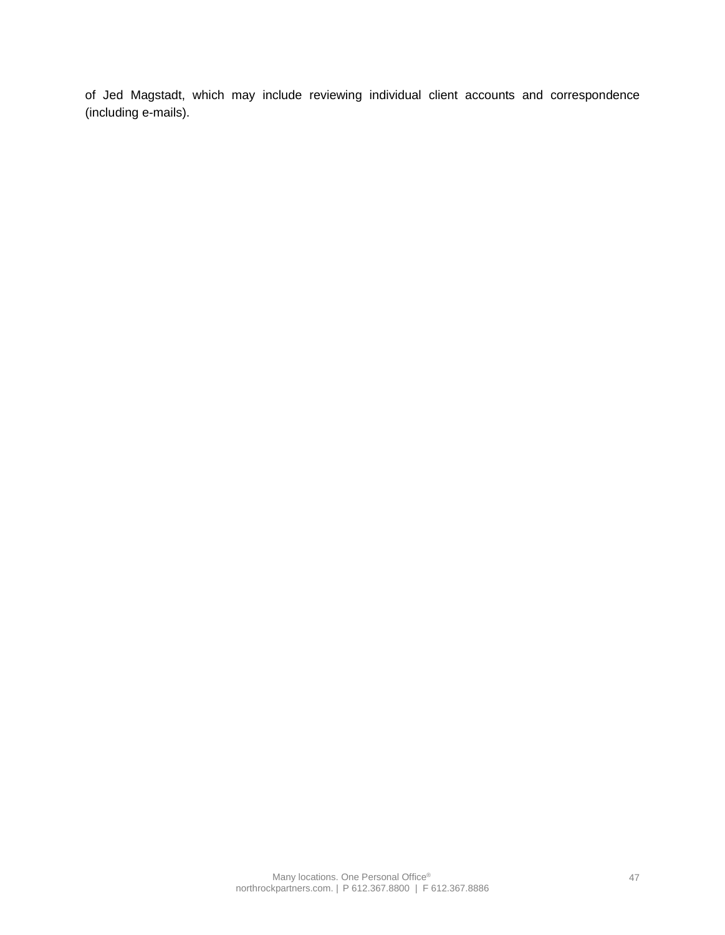of Jed Magstadt, which may include reviewing individual client accounts and correspondence (including e-mails).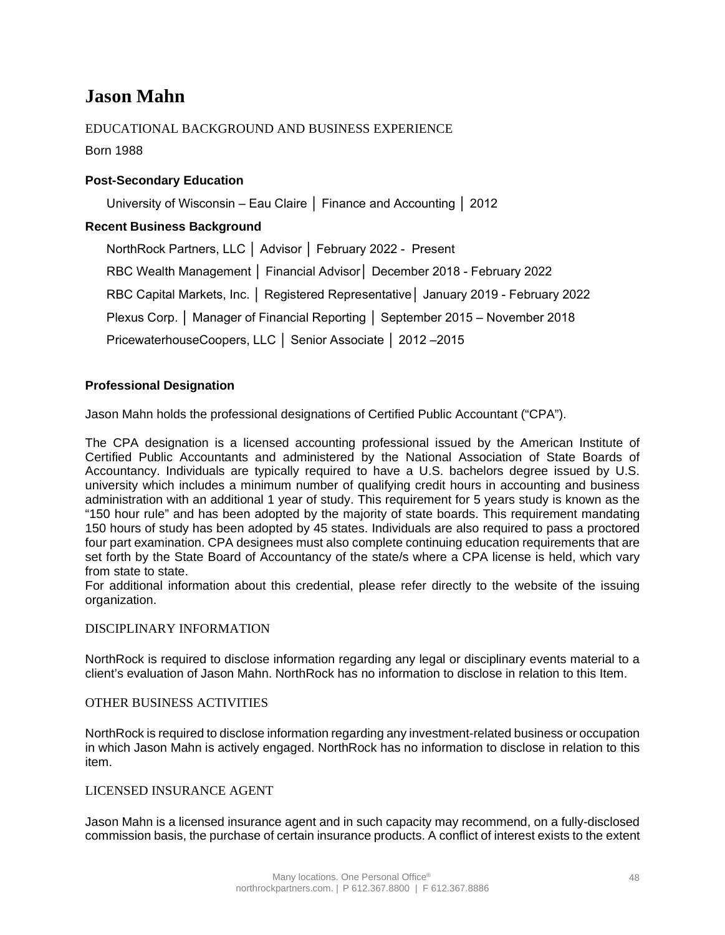## **Jason Mahn**

## EDUCATIONAL BACKGROUND AND BUSINESS EXPERIENCE

Born 1988

## **Post-Secondary Education**

University of Wisconsin – Eau Claire │ Finance and Accounting │ 2012

## **Recent Business Background**

NorthRock Partners, LLC │ Advisor │ February 2022 - Present RBC Wealth Management │ Financial Advisor│ December 2018 - February 2022 RBC Capital Markets, Inc. │ Registered Representative│ January 2019 - February 2022 Plexus Corp. │ Manager of Financial Reporting │ September 2015 – November 2018 PricewaterhouseCoopers, LLC │ Senior Associate │ 2012 –2015

## **Professional Designation**

Jason Mahn holds the professional designations of Certified Public Accountant ("CPA").

The CPA designation is a licensed accounting professional issued by the American Institute of Certified Public Accountants and administered by the National Association of State Boards of Accountancy. Individuals are typically required to have a U.S. bachelors degree issued by U.S. university which includes a minimum number of qualifying credit hours in accounting and business administration with an additional 1 year of study. This requirement for 5 years study is known as the "150 hour rule" and has been adopted by the majority of state boards. This requirement mandating 150 hours of study has been adopted by 45 states. Individuals are also required to pass a proctored four part examination. CPA designees must also complete continuing education requirements that are set forth by the State Board of Accountancy of the state/s where a CPA license is held, which vary from state to state.

For additional information about this credential, please refer directly to the website of the issuing organization.

### DISCIPLINARY INFORMATION

NorthRock is required to disclose information regarding any legal or disciplinary events material to a client's evaluation of Jason Mahn. NorthRock has no information to disclose in relation to this Item.

### OTHER BUSINESS ACTIVITIES

NorthRock is required to disclose information regarding any investment-related business or occupation in which Jason Mahn is actively engaged. NorthRock has no information to disclose in relation to this item.

### LICENSED INSURANCE AGENT

Jason Mahn is a licensed insurance agent and in such capacity may recommend, on a fully-disclosed commission basis, the purchase of certain insurance products. A conflict of interest exists to the extent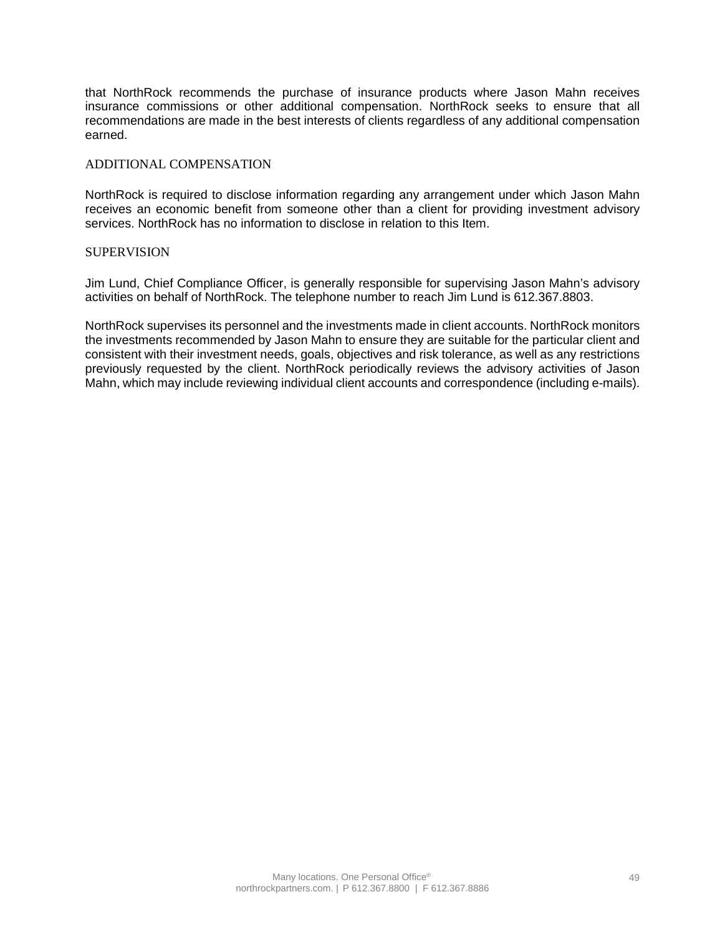that NorthRock recommends the purchase of insurance products where Jason Mahn receives insurance commissions or other additional compensation. NorthRock seeks to ensure that all recommendations are made in the best interests of clients regardless of any additional compensation earned.

### ADDITIONAL COMPENSATION

NorthRock is required to disclose information regarding any arrangement under which Jason Mahn receives an economic benefit from someone other than a client for providing investment advisory services. NorthRock has no information to disclose in relation to this Item.

#### SUPERVISION

Jim Lund, Chief Compliance Officer, is generally responsible for supervising Jason Mahn's advisory activities on behalf of NorthRock. The telephone number to reach Jim Lund is 612.367.8803.

NorthRock supervises its personnel and the investments made in client accounts. NorthRock monitors the investments recommended by Jason Mahn to ensure they are suitable for the particular client and consistent with their investment needs, goals, objectives and risk tolerance, as well as any restrictions previously requested by the client. NorthRock periodically reviews the advisory activities of Jason Mahn, which may include reviewing individual client accounts and correspondence (including e-mails).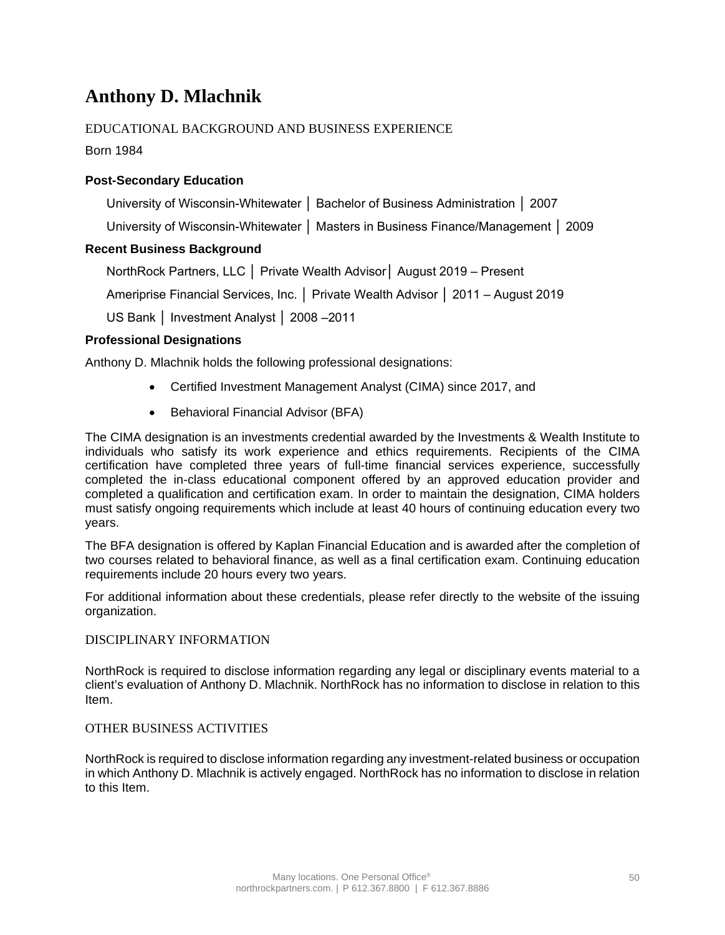## **Anthony D. Mlachnik**

## EDUCATIONAL BACKGROUND AND BUSINESS EXPERIENCE

Born 1984

## **Post-Secondary Education**

University of Wisconsin-Whitewater │ Bachelor of Business Administration │ 2007

University of Wisconsin-Whitewater │ Masters in Business Finance/Management │ 2009

## **Recent Business Background**

NorthRock Partners, LLC │ Private Wealth Advisor│ August 2019 – Present

Ameriprise Financial Services, Inc. │ Private Wealth Advisor │ 2011 – August 2019

US Bank │ Investment Analyst │ 2008 –2011

## **Professional Designations**

Anthony D. Mlachnik holds the following professional designations:

- Certified Investment Management Analyst (CIMA) since 2017, and
- Behavioral Financial Advisor (BFA)

The CIMA designation is an investments credential awarded by the Investments & Wealth Institute to individuals who satisfy its work experience and ethics requirements. Recipients of the CIMA certification have completed three years of full-time financial services experience, successfully completed the in-class educational component offered by an approved education provider and completed a qualification and certification exam. In order to maintain the designation, CIMA holders must satisfy ongoing requirements which include at least 40 hours of continuing education every two years.

The BFA designation is offered by Kaplan Financial Education and is awarded after the completion of two courses related to behavioral finance, as well as a final certification exam. Continuing education requirements include 20 hours every two years.

For additional information about these credentials, please refer directly to the website of the issuing organization.

### DISCIPLINARY INFORMATION

NorthRock is required to disclose information regarding any legal or disciplinary events material to a client's evaluation of Anthony D. Mlachnik. NorthRock has no information to disclose in relation to this Item.

### OTHER BUSINESS ACTIVITIES

NorthRock is required to disclose information regarding any investment-related business or occupation in which Anthony D. Mlachnik is actively engaged. NorthRock has no information to disclose in relation to this Item.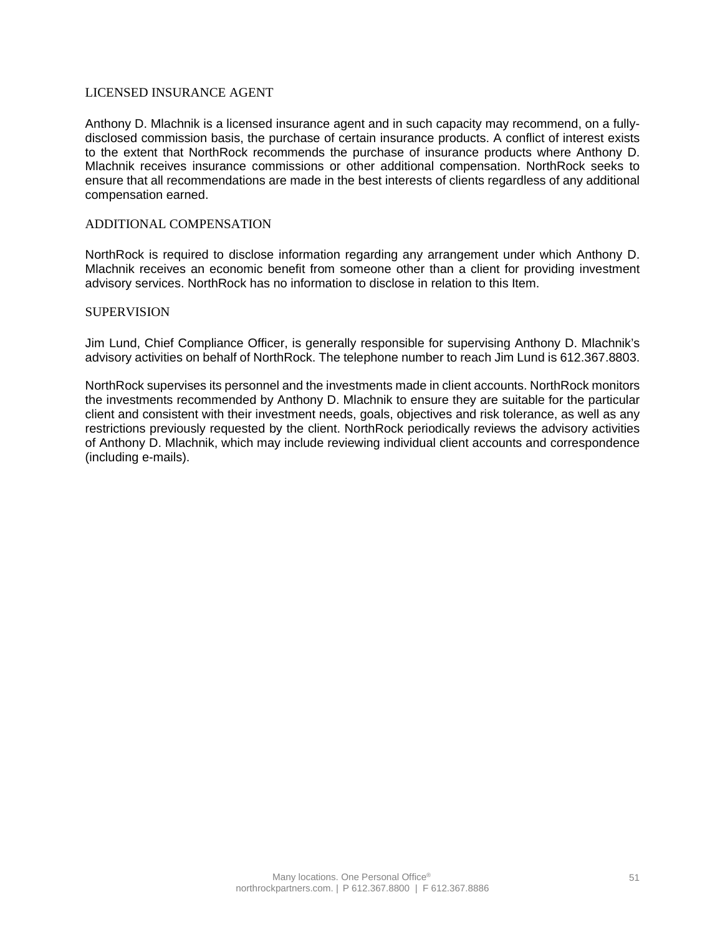### LICENSED INSURANCE AGENT

Anthony D. Mlachnik is a licensed insurance agent and in such capacity may recommend, on a fullydisclosed commission basis, the purchase of certain insurance products. A conflict of interest exists to the extent that NorthRock recommends the purchase of insurance products where Anthony D. Mlachnik receives insurance commissions or other additional compensation. NorthRock seeks to ensure that all recommendations are made in the best interests of clients regardless of any additional compensation earned.

### ADDITIONAL COMPENSATION

NorthRock is required to disclose information regarding any arrangement under which Anthony D. Mlachnik receives an economic benefit from someone other than a client for providing investment advisory services. NorthRock has no information to disclose in relation to this Item.

#### **SUPERVISION**

Jim Lund, Chief Compliance Officer, is generally responsible for supervising Anthony D. Mlachnik's advisory activities on behalf of NorthRock. The telephone number to reach Jim Lund is 612.367.8803.

NorthRock supervises its personnel and the investments made in client accounts. NorthRock monitors the investments recommended by Anthony D. Mlachnik to ensure they are suitable for the particular client and consistent with their investment needs, goals, objectives and risk tolerance, as well as any restrictions previously requested by the client. NorthRock periodically reviews the advisory activities of Anthony D. Mlachnik, which may include reviewing individual client accounts and correspondence (including e-mails).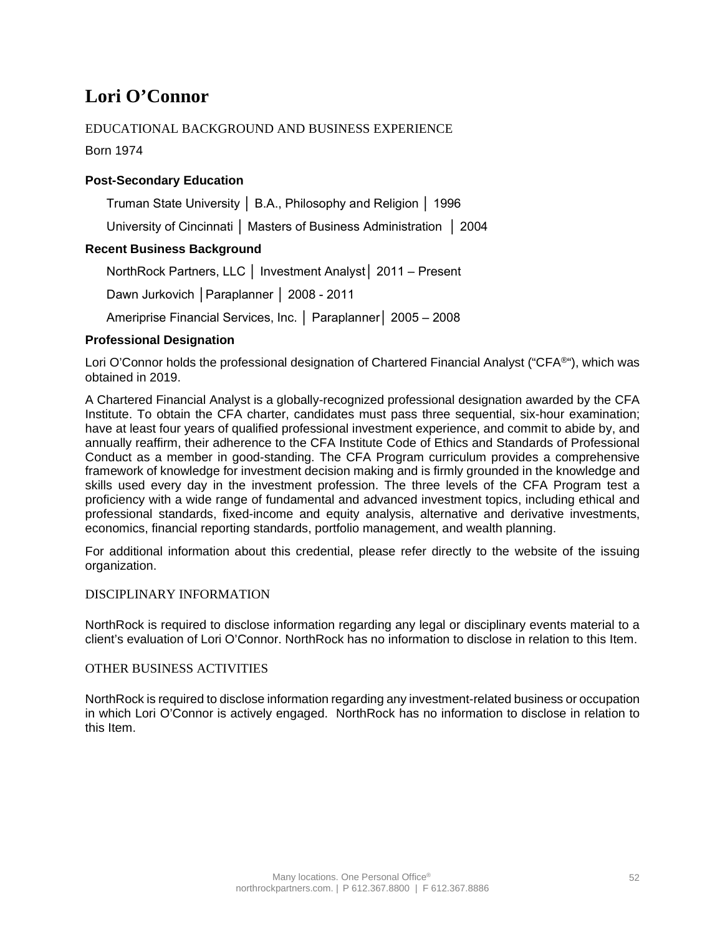## **Lori O'Connor**

## EDUCATIONAL BACKGROUND AND BUSINESS EXPERIENCE

Born 1974

## **Post-Secondary Education**

Truman State University │ B.A., Philosophy and Religion │ 1996

University of Cincinnati │ Masters of Business Administration │ 2004

## **Recent Business Background**

NorthRock Partners, LLC │ Investment Analyst│ 2011 – Present

Dawn Jurkovich │Paraplanner │ 2008 - 2011

Ameriprise Financial Services, Inc. │ Paraplanner│ 2005 – 2008

## **Professional Designation**

Lori O'Connor holds the professional designation of Chartered Financial Analyst ("CFA<sup>®"</sup>), which was obtained in 2019.

A Chartered Financial Analyst is a globally-recognized professional designation awarded by the CFA Institute. To obtain the CFA charter, candidates must pass three sequential, six-hour examination; have at least four years of qualified professional investment experience, and commit to abide by, and annually reaffirm, their adherence to the CFA Institute Code of Ethics and Standards of Professional Conduct as a member in good-standing. The CFA Program curriculum provides a comprehensive framework of knowledge for investment decision making and is firmly grounded in the knowledge and skills used every day in the investment profession. The three levels of the CFA Program test a proficiency with a wide range of fundamental and advanced investment topics, including ethical and professional standards, fixed-income and equity analysis, alternative and derivative investments, economics, financial reporting standards, portfolio management, and wealth planning.

For additional information about this credential, please refer directly to the website of the issuing organization.

## DISCIPLINARY INFORMATION

NorthRock is required to disclose information regarding any legal or disciplinary events material to a client's evaluation of Lori O'Connor. NorthRock has no information to disclose in relation to this Item.

### OTHER BUSINESS ACTIVITIES

NorthRock is required to disclose information regarding any investment-related business or occupation in which Lori O'Connor is actively engaged. NorthRock has no information to disclose in relation to this Item.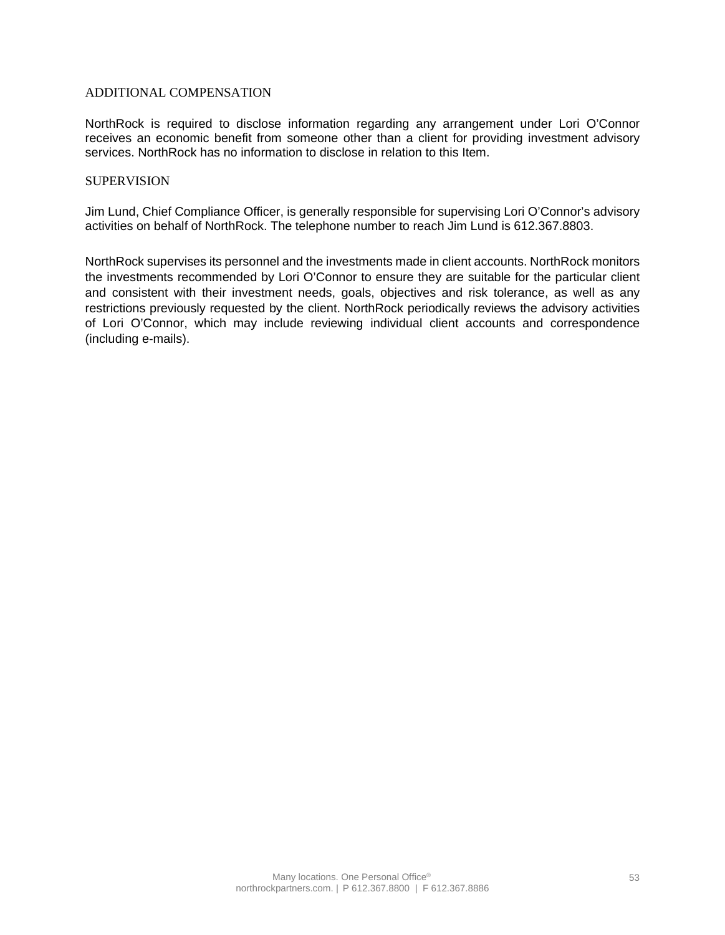### ADDITIONAL COMPENSATION

NorthRock is required to disclose information regarding any arrangement under Lori O'Connor receives an economic benefit from someone other than a client for providing investment advisory services. NorthRock has no information to disclose in relation to this Item.

### **SUPERVISION**

Jim Lund, Chief Compliance Officer, is generally responsible for supervising Lori O'Connor's advisory activities on behalf of NorthRock. The telephone number to reach Jim Lund is 612.367.8803.

NorthRock supervises its personnel and the investments made in client accounts. NorthRock monitors the investments recommended by Lori O'Connor to ensure they are suitable for the particular client and consistent with their investment needs, goals, objectives and risk tolerance, as well as any restrictions previously requested by the client. NorthRock periodically reviews the advisory activities of Lori O'Connor, which may include reviewing individual client accounts and correspondence (including e-mails).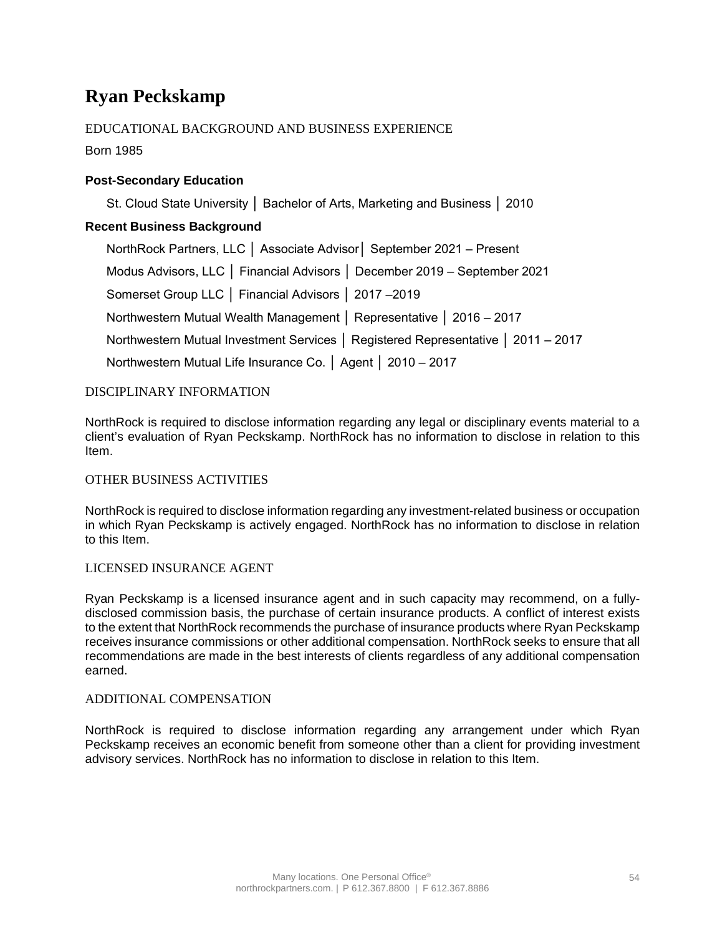## **Ryan Peckskamp**

## EDUCATIONAL BACKGROUND AND BUSINESS EXPERIENCE

Born 1985

## **Post-Secondary Education**

St. Cloud State University │ Bachelor of Arts, Marketing and Business │ 2010

## **Recent Business Background**

NorthRock Partners, LLC │ Associate Advisor│ September 2021 – Present Modus Advisors, LLC │ Financial Advisors │ December 2019 – September 2021 Somerset Group LLC │ Financial Advisors │ 2017 –2019 Northwestern Mutual Wealth Management │ Representative │ 2016 – 2017 Northwestern Mutual Investment Services │ Registered Representative │ 2011 – 2017 Northwestern Mutual Life Insurance Co. │ Agent │ 2010 – 2017

## DISCIPLINARY INFORMATION

NorthRock is required to disclose information regarding any legal or disciplinary events material to a client's evaluation of Ryan Peckskamp. NorthRock has no information to disclose in relation to this Item.

### OTHER BUSINESS ACTIVITIES

NorthRock is required to disclose information regarding any investment-related business or occupation in which Ryan Peckskamp is actively engaged. NorthRock has no information to disclose in relation to this Item.

### LICENSED INSURANCE AGENT

Ryan Peckskamp is a licensed insurance agent and in such capacity may recommend, on a fullydisclosed commission basis, the purchase of certain insurance products. A conflict of interest exists to the extent that NorthRock recommends the purchase of insurance products where Ryan Peckskamp receives insurance commissions or other additional compensation. NorthRock seeks to ensure that all recommendations are made in the best interests of clients regardless of any additional compensation earned.

### ADDITIONAL COMPENSATION

NorthRock is required to disclose information regarding any arrangement under which Ryan Peckskamp receives an economic benefit from someone other than a client for providing investment advisory services. NorthRock has no information to disclose in relation to this Item.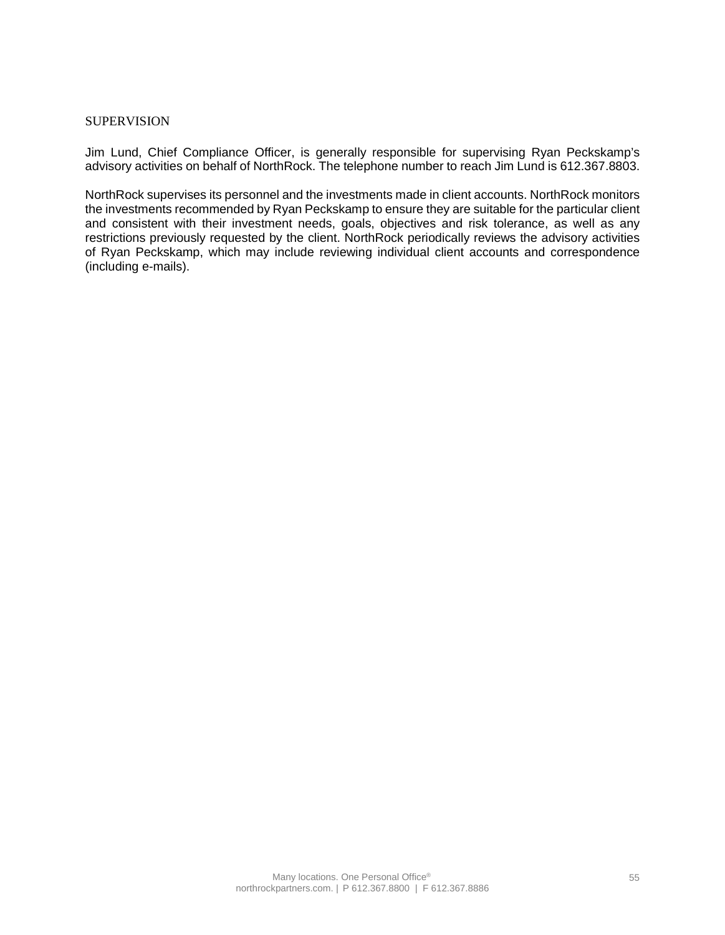### **SUPERVISION**

Jim Lund, Chief Compliance Officer, is generally responsible for supervising Ryan Peckskamp's advisory activities on behalf of NorthRock. The telephone number to reach Jim Lund is 612.367.8803.

NorthRock supervises its personnel and the investments made in client accounts. NorthRock monitors the investments recommended by Ryan Peckskamp to ensure they are suitable for the particular client and consistent with their investment needs, goals, objectives and risk tolerance, as well as any restrictions previously requested by the client. NorthRock periodically reviews the advisory activities of Ryan Peckskamp, which may include reviewing individual client accounts and correspondence (including e-mails).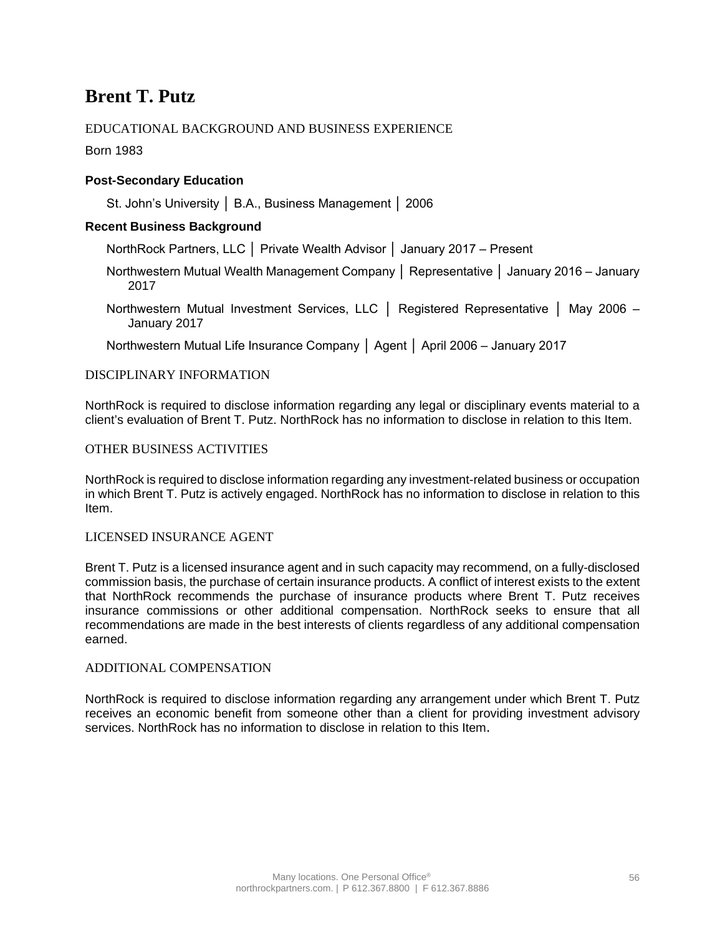## **Brent T. Putz**

## EDUCATIONAL BACKGROUND AND BUSINESS EXPERIENCE

Born 1983

## **Post-Secondary Education**

St. John's University │ B.A., Business Management │ 2006

## **Recent Business Background**

NorthRock Partners, LLC │ Private Wealth Advisor │ January 2017 – Present

- Northwestern Mutual Wealth Management Company │ Representative │ January 2016 January 2017
- Northwestern Mutual Investment Services, LLC │ Registered Representative │ May 2006 January 2017

Northwestern Mutual Life Insurance Company │ Agent │ April 2006 – January 2017

### DISCIPLINARY INFORMATION

NorthRock is required to disclose information regarding any legal or disciplinary events material to a client's evaluation of Brent T. Putz. NorthRock has no information to disclose in relation to this Item.

### OTHER BUSINESS ACTIVITIES

NorthRock is required to disclose information regarding any investment-related business or occupation in which Brent T. Putz is actively engaged. NorthRock has no information to disclose in relation to this Item.

### LICENSED INSURANCE AGENT

Brent T. Putz is a licensed insurance agent and in such capacity may recommend, on a fully-disclosed commission basis, the purchase of certain insurance products. A conflict of interest exists to the extent that NorthRock recommends the purchase of insurance products where Brent T. Putz receives insurance commissions or other additional compensation. NorthRock seeks to ensure that all recommendations are made in the best interests of clients regardless of any additional compensation earned.

### ADDITIONAL COMPENSATION

NorthRock is required to disclose information regarding any arrangement under which Brent T. Putz receives an economic benefit from someone other than a client for providing investment advisory services. NorthRock has no information to disclose in relation to this Item.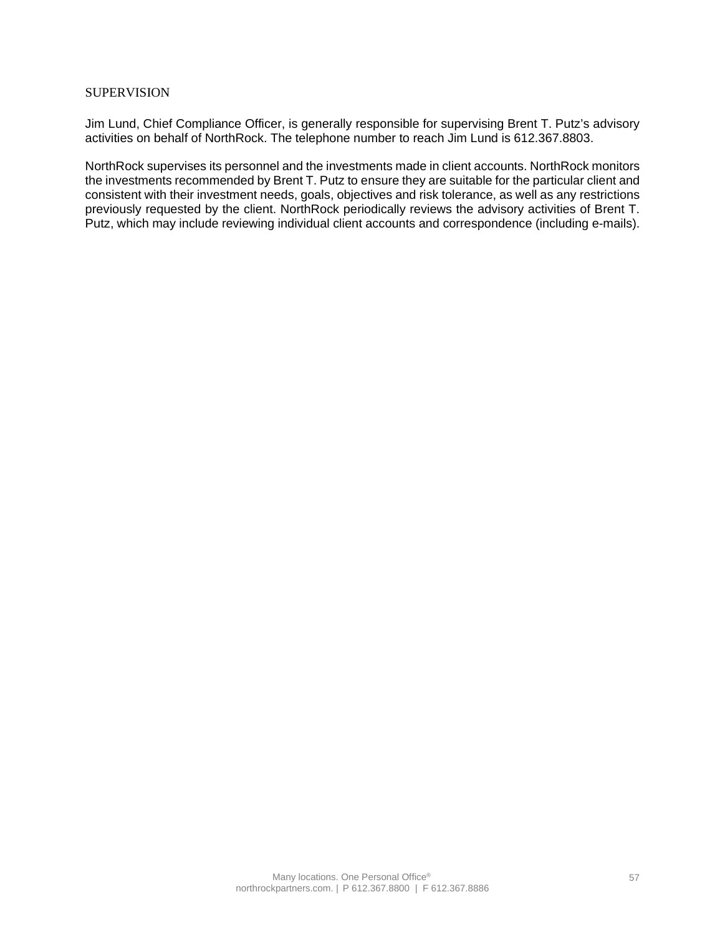### **SUPERVISION**

Jim Lund, Chief Compliance Officer, is generally responsible for supervising Brent T. Putz's advisory activities on behalf of NorthRock. The telephone number to reach Jim Lund is 612.367.8803.

NorthRock supervises its personnel and the investments made in client accounts. NorthRock monitors the investments recommended by Brent T. Putz to ensure they are suitable for the particular client and consistent with their investment needs, goals, objectives and risk tolerance, as well as any restrictions previously requested by the client. NorthRock periodically reviews the advisory activities of Brent T. Putz, which may include reviewing individual client accounts and correspondence (including e-mails).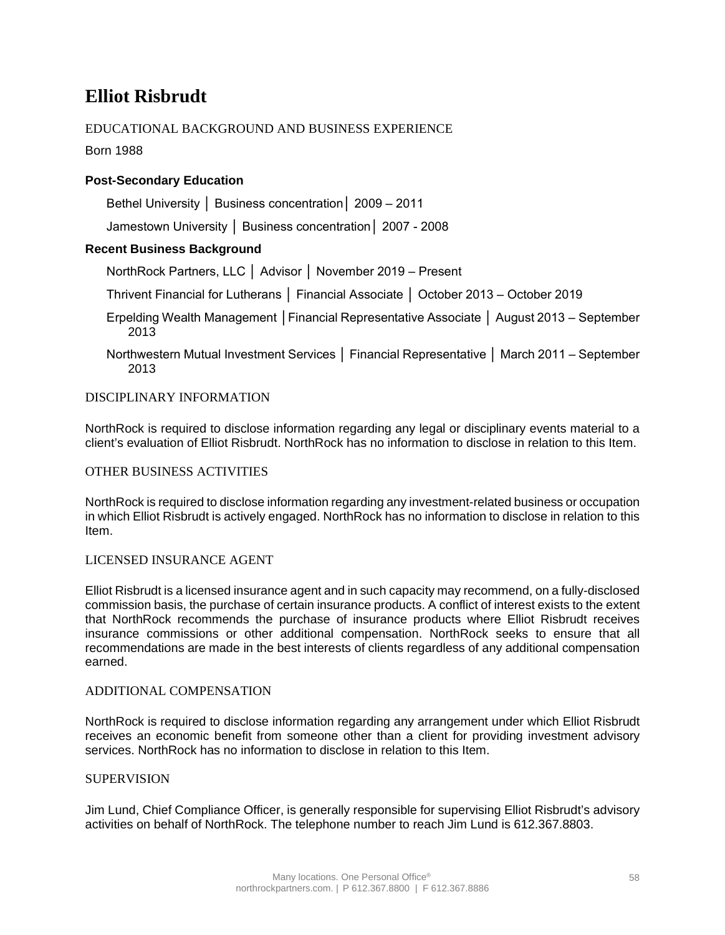## **Elliot Risbrudt**

## EDUCATIONAL BACKGROUND AND BUSINESS EXPERIENCE

Born 1988

## **Post-Secondary Education**

Bethel University │ Business concentration│ 2009 – 2011

Jamestown University │ Business concentration│ 2007 - 2008

## **Recent Business Background**

NorthRock Partners, LLC │ Advisor │ November 2019 – Present

Thrivent Financial for Lutherans │ Financial Associate │ October 2013 – October 2019

Erpelding Wealth Management │Financial Representative Associate │ August 2013 – September 2013

Northwestern Mutual Investment Services │ Financial Representative │ March 2011 – September 2013

DISCIPLINARY INFORMATION

NorthRock is required to disclose information regarding any legal or disciplinary events material to a client's evaluation of Elliot Risbrudt. NorthRock has no information to disclose in relation to this Item.

### OTHER BUSINESS ACTIVITIES

NorthRock is required to disclose information regarding any investment-related business or occupation in which Elliot Risbrudt is actively engaged. NorthRock has no information to disclose in relation to this Item.

### LICENSED INSURANCE AGENT

Elliot Risbrudt is a licensed insurance agent and in such capacity may recommend, on a fully-disclosed commission basis, the purchase of certain insurance products. A conflict of interest exists to the extent that NorthRock recommends the purchase of insurance products where Elliot Risbrudt receives insurance commissions or other additional compensation. NorthRock seeks to ensure that all recommendations are made in the best interests of clients regardless of any additional compensation earned.

### ADDITIONAL COMPENSATION

NorthRock is required to disclose information regarding any arrangement under which Elliot Risbrudt receives an economic benefit from someone other than a client for providing investment advisory services. NorthRock has no information to disclose in relation to this Item.

#### SUPERVISION

Jim Lund, Chief Compliance Officer, is generally responsible for supervising Elliot Risbrudt's advisory activities on behalf of NorthRock. The telephone number to reach Jim Lund is 612.367.8803.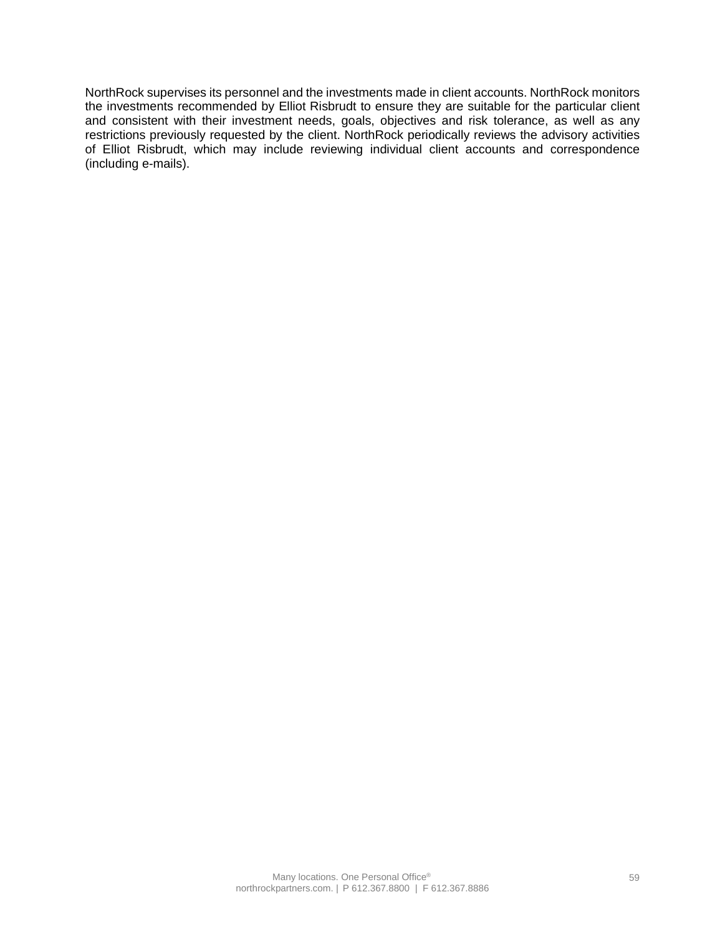NorthRock supervises its personnel and the investments made in client accounts. NorthRock monitors the investments recommended by Elliot Risbrudt to ensure they are suitable for the particular client and consistent with their investment needs, goals, objectives and risk tolerance, as well as any restrictions previously requested by the client. NorthRock periodically reviews the advisory activities of Elliot Risbrudt, which may include reviewing individual client accounts and correspondence (including e-mails).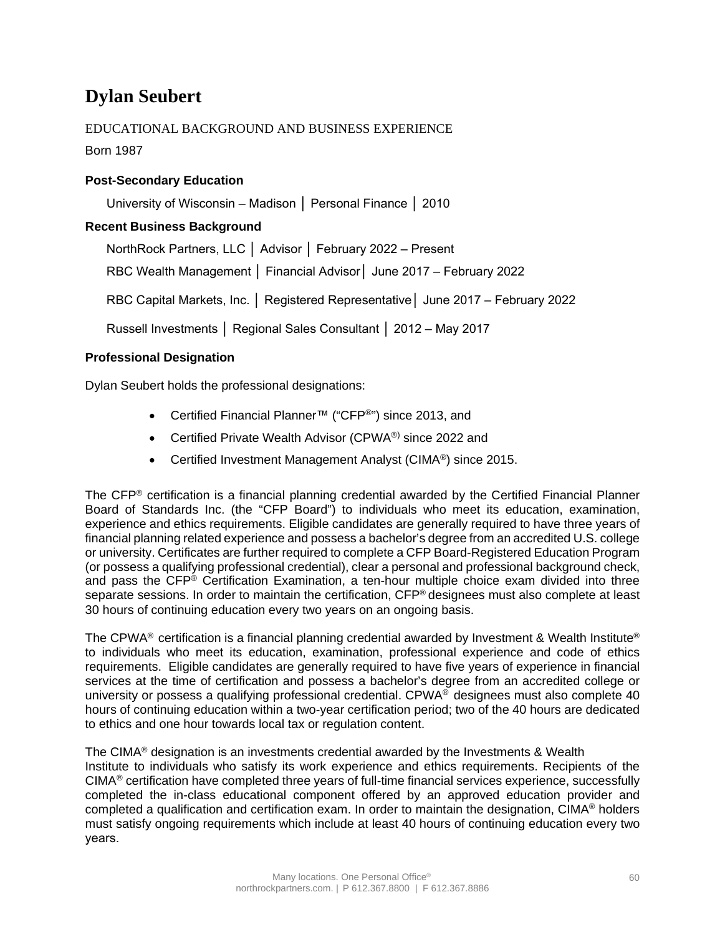## **Dylan Seubert**

## EDUCATIONAL BACKGROUND AND BUSINESS EXPERIENCE

Born 1987

## **Post-Secondary Education**

University of Wisconsin – Madison │ Personal Finance │ 2010

## **Recent Business Background**

NorthRock Partners, LLC │ Advisor │ February 2022 – Present

RBC Wealth Management │ Financial Advisor│ June 2017 – February 2022

RBC Capital Markets, Inc. │ Registered Representative│ June 2017 – February 2022

Russell Investments │ Regional Sales Consultant │ 2012 – May 2017

## **Professional Designation**

Dylan Seubert holds the professional designations:

- Certified Financial Planner™ ("CFP®") since 2013, and
- Certified Private Wealth Advisor (CPWA®) since 2022 and
- Certified Investment Management Analyst (CIMA<sup>®</sup>) since 2015.

The CFP® certification is a financial planning credential awarded by the Certified Financial Planner Board of Standards Inc. (the "CFP Board") to individuals who meet its education, examination, experience and ethics requirements. Eligible candidates are generally required to have three years of financial planning related experience and possess a bachelor's degree from an accredited U.S. college or university. Certificates are further required to complete a CFP Board-Registered Education Program (or possess a qualifying professional credential), clear a personal and professional background check, and pass the CFP® Certification Examination, a ten-hour multiple choice exam divided into three separate sessions. In order to maintain the certification, CFP® designees must also complete at least 30 hours of continuing education every two years on an ongoing basis.

The CPWA® certification is a financial planning credential awarded by Investment & Wealth Institute® to individuals who meet its education, examination, professional experience and code of ethics requirements. Eligible candidates are generally required to have five years of experience in financial services at the time of certification and possess a bachelor's degree from an accredited college or university or possess a qualifying professional credential. CPWA® designees must also complete 40 hours of continuing education within a two-year certification period; two of the 40 hours are dedicated to ethics and one hour towards local tax or regulation content.

The CIMA<sup>®</sup> designation is an investments credential awarded by the Investments  $\&$  Wealth Institute to individuals who satisfy its work experience and ethics requirements. Recipients of the CIMA® certification have completed three years of full-time financial services experience, successfully completed the in-class educational component offered by an approved education provider and completed a qualification and certification exam. In order to maintain the designation, CIMA® holders must satisfy ongoing requirements which include at least 40 hours of continuing education every two years.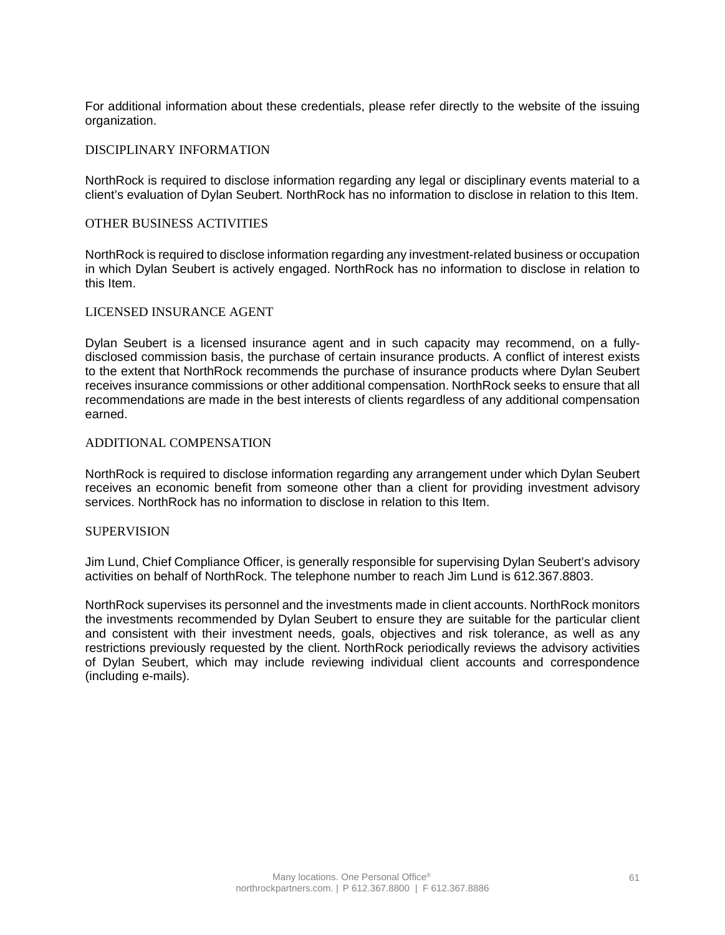For additional information about these credentials, please refer directly to the website of the issuing organization.

#### DISCIPLINARY INFORMATION

NorthRock is required to disclose information regarding any legal or disciplinary events material to a client's evaluation of Dylan Seubert. NorthRock has no information to disclose in relation to this Item.

#### OTHER BUSINESS ACTIVITIES

NorthRock is required to disclose information regarding any investment-related business or occupation in which Dylan Seubert is actively engaged. NorthRock has no information to disclose in relation to this Item.

#### LICENSED INSURANCE AGENT

Dylan Seubert is a licensed insurance agent and in such capacity may recommend, on a fullydisclosed commission basis, the purchase of certain insurance products. A conflict of interest exists to the extent that NorthRock recommends the purchase of insurance products where Dylan Seubert receives insurance commissions or other additional compensation. NorthRock seeks to ensure that all recommendations are made in the best interests of clients regardless of any additional compensation earned.

### ADDITIONAL COMPENSATION

NorthRock is required to disclose information regarding any arrangement under which Dylan Seubert receives an economic benefit from someone other than a client for providing investment advisory services. NorthRock has no information to disclose in relation to this Item.

### **SUPERVISION**

Jim Lund, Chief Compliance Officer, is generally responsible for supervising Dylan Seubert's advisory activities on behalf of NorthRock. The telephone number to reach Jim Lund is 612.367.8803.

NorthRock supervises its personnel and the investments made in client accounts. NorthRock monitors the investments recommended by Dylan Seubert to ensure they are suitable for the particular client and consistent with their investment needs, goals, objectives and risk tolerance, as well as any restrictions previously requested by the client. NorthRock periodically reviews the advisory activities of Dylan Seubert, which may include reviewing individual client accounts and correspondence (including e-mails).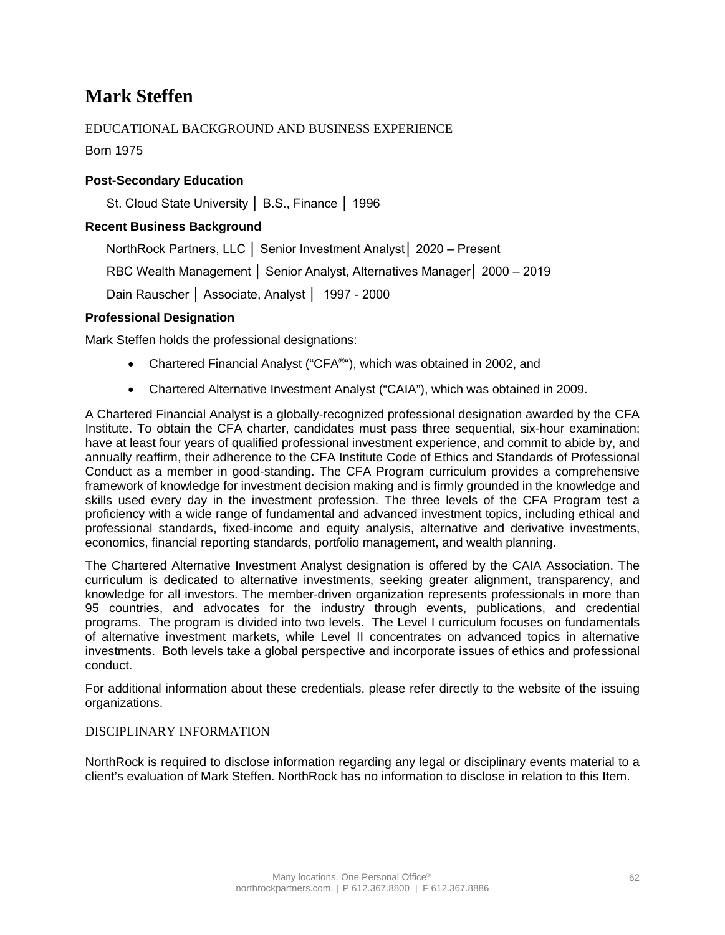## **Mark Steffen**

## EDUCATIONAL BACKGROUND AND BUSINESS EXPERIENCE

Born 1975

## **Post-Secondary Education**

St. Cloud State University │ B.S., Finance │ 1996

### **Recent Business Background**

NorthRock Partners, LLC │ Senior Investment Analyst│ 2020 – Present

RBC Wealth Management │ Senior Analyst, Alternatives Manager│ 2000 – 2019

Dain Rauscher │ Associate, Analyst │ 1997 - 2000

### **Professional Designation**

Mark Steffen holds the professional designations:

- Chartered Financial Analyst ("CFA<sup>®"</sup>), which was obtained in 2002, and
- Chartered Alternative Investment Analyst ("CAIA"), which was obtained in 2009.

A Chartered Financial Analyst is a globally-recognized professional designation awarded by the CFA Institute. To obtain the CFA charter, candidates must pass three sequential, six-hour examination; have at least four years of qualified professional investment experience, and commit to abide by, and annually reaffirm, their adherence to the CFA Institute Code of Ethics and Standards of Professional Conduct as a member in good-standing. The CFA Program curriculum provides a comprehensive framework of knowledge for investment decision making and is firmly grounded in the knowledge and skills used every day in the investment profession. The three levels of the CFA Program test a proficiency with a wide range of fundamental and advanced investment topics, including ethical and professional standards, fixed-income and equity analysis, alternative and derivative investments, economics, financial reporting standards, portfolio management, and wealth planning.

The Chartered Alternative Investment Analyst designation is offered by the CAIA Association. The curriculum is dedicated to alternative investments, seeking greater alignment, transparency, and knowledge for all investors. The member-driven organization represents professionals in more than 95 countries, and advocates for the industry through events, publications, and credential programs. The program is divided into two levels. The Level I curriculum focuses on fundamentals of alternative investment markets, while Level II concentrates on advanced topics in alternative investments. Both levels take a global perspective and incorporate issues of ethics and professional conduct.

For additional information about these credentials, please refer directly to the website of the issuing organizations.

### DISCIPLINARY INFORMATION

NorthRock is required to disclose information regarding any legal or disciplinary events material to a client's evaluation of Mark Steffen. NorthRock has no information to disclose in relation to this Item.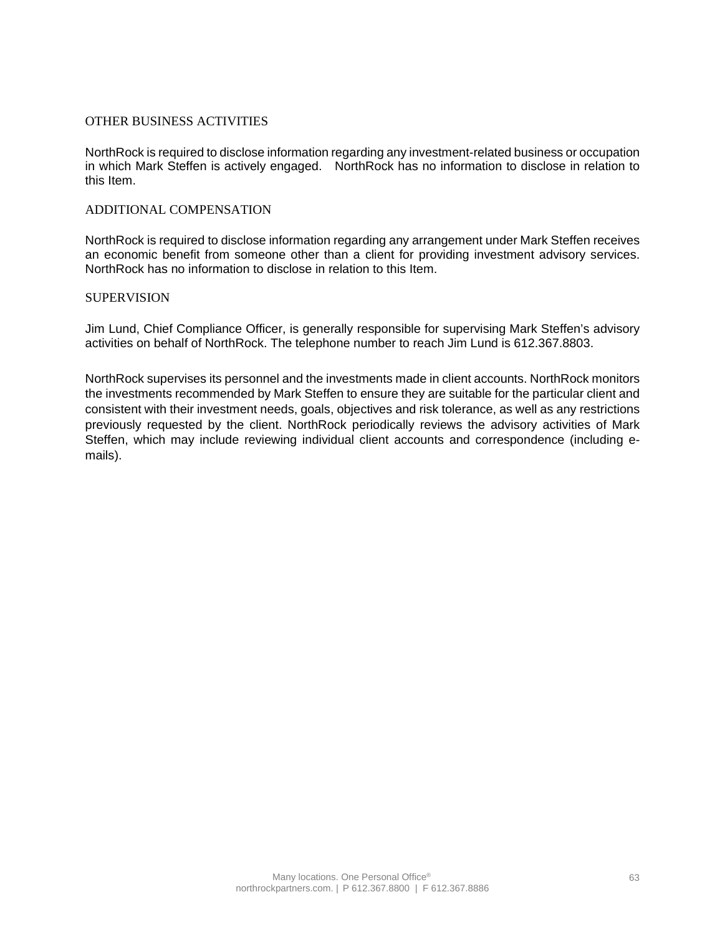### OTHER BUSINESS ACTIVITIES

NorthRock is required to disclose information regarding any investment-related business or occupation in which Mark Steffen is actively engaged. NorthRock has no information to disclose in relation to this Item.

### ADDITIONAL COMPENSATION

NorthRock is required to disclose information regarding any arrangement under Mark Steffen receives an economic benefit from someone other than a client for providing investment advisory services. NorthRock has no information to disclose in relation to this Item.

### SUPERVISION

Jim Lund, Chief Compliance Officer, is generally responsible for supervising Mark Steffen's advisory activities on behalf of NorthRock. The telephone number to reach Jim Lund is 612.367.8803.

NorthRock supervises its personnel and the investments made in client accounts. NorthRock monitors the investments recommended by Mark Steffen to ensure they are suitable for the particular client and consistent with their investment needs, goals, objectives and risk tolerance, as well as any restrictions previously requested by the client. NorthRock periodically reviews the advisory activities of Mark Steffen, which may include reviewing individual client accounts and correspondence (including emails).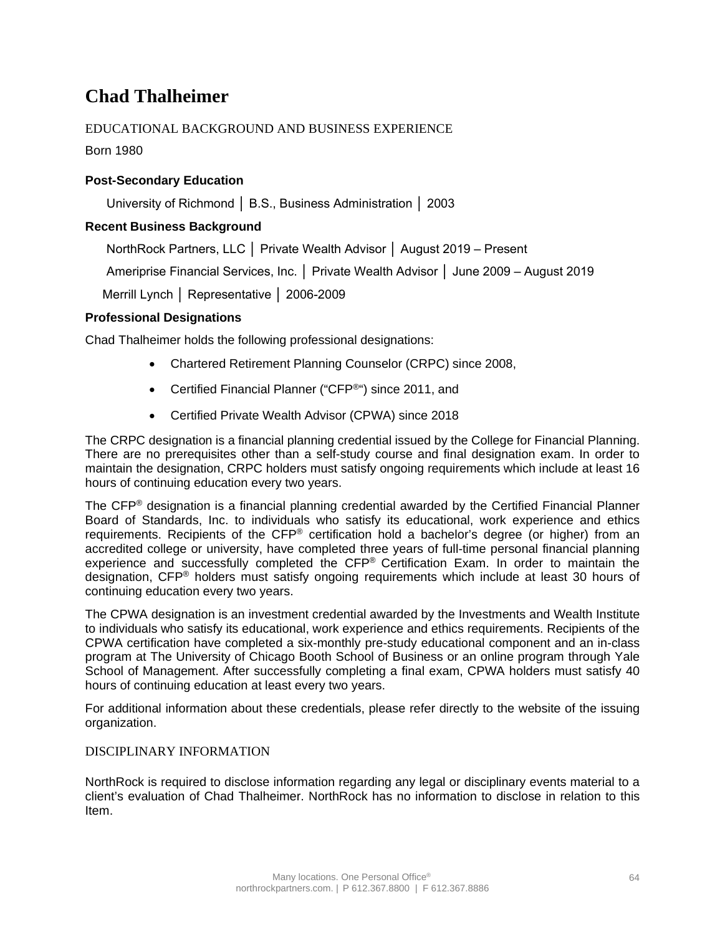## **Chad Thalheimer**

## EDUCATIONAL BACKGROUND AND BUSINESS EXPERIENCE

Born 1980

## **Post-Secondary Education**

University of Richmond │ B.S., Business Administration │ 2003

## **Recent Business Background**

NorthRock Partners, LLC │ Private Wealth Advisor │ August 2019 – Present

Ameriprise Financial Services, Inc. │ Private Wealth Advisor │ June 2009 – August 2019

Merrill Lynch │ Representative │ 2006-2009

## **Professional Designations**

Chad Thalheimer holds the following professional designations:

- Chartered Retirement Planning Counselor (CRPC) since 2008,
- Certified Financial Planner ("CFP<sup>®</sup>") since 2011, and
- Certified Private Wealth Advisor (CPWA) since 2018

The CRPC designation is a financial planning credential issued by the College for Financial Planning. There are no prerequisites other than a self-study course and final designation exam. In order to maintain the designation, CRPC holders must satisfy ongoing requirements which include at least 16 hours of continuing education every two years.

The CFP® designation is a financial planning credential awarded by the Certified Financial Planner Board of Standards, Inc. to individuals who satisfy its educational, work experience and ethics requirements. Recipients of the CFP® certification hold a bachelor's degree (or higher) from an accredited college or university, have completed three years of full-time personal financial planning experience and successfully completed the CFP® Certification Exam. In order to maintain the designation, CFP® holders must satisfy ongoing requirements which include at least 30 hours of continuing education every two years.

The CPWA designation is an investment credential awarded by the Investments and Wealth Institute to individuals who satisfy its educational, work experience and ethics requirements. Recipients of the CPWA certification have completed a six-monthly pre-study educational component and an in-class program at The University of Chicago Booth School of Business or an online program through Yale School of Management. After successfully completing a final exam, CPWA holders must satisfy 40 hours of continuing education at least every two years.

For additional information about these credentials, please refer directly to the website of the issuing organization.

## DISCIPLINARY INFORMATION

NorthRock is required to disclose information regarding any legal or disciplinary events material to a client's evaluation of Chad Thalheimer. NorthRock has no information to disclose in relation to this Item.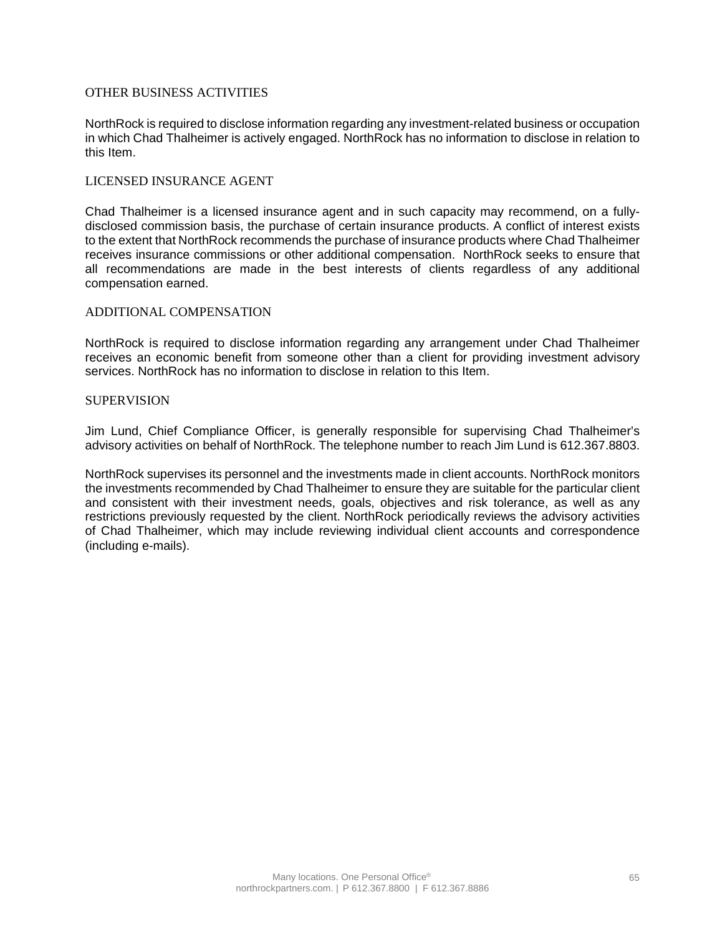### OTHER BUSINESS ACTIVITIES

NorthRock is required to disclose information regarding any investment-related business or occupation in which Chad Thalheimer is actively engaged. NorthRock has no information to disclose in relation to this Item.

### LICENSED INSURANCE AGENT

Chad Thalheimer is a licensed insurance agent and in such capacity may recommend, on a fullydisclosed commission basis, the purchase of certain insurance products. A conflict of interest exists to the extent that NorthRock recommends the purchase of insurance products where Chad Thalheimer receives insurance commissions or other additional compensation. NorthRock seeks to ensure that all recommendations are made in the best interests of clients regardless of any additional compensation earned.

#### ADDITIONAL COMPENSATION

NorthRock is required to disclose information regarding any arrangement under Chad Thalheimer receives an economic benefit from someone other than a client for providing investment advisory services. NorthRock has no information to disclose in relation to this Item.

### **SUPERVISION**

Jim Lund, Chief Compliance Officer, is generally responsible for supervising Chad Thalheimer's advisory activities on behalf of NorthRock. The telephone number to reach Jim Lund is 612.367.8803.

NorthRock supervises its personnel and the investments made in client accounts. NorthRock monitors the investments recommended by Chad Thalheimer to ensure they are suitable for the particular client and consistent with their investment needs, goals, objectives and risk tolerance, as well as any restrictions previously requested by the client. NorthRock periodically reviews the advisory activities of Chad Thalheimer, which may include reviewing individual client accounts and correspondence (including e-mails).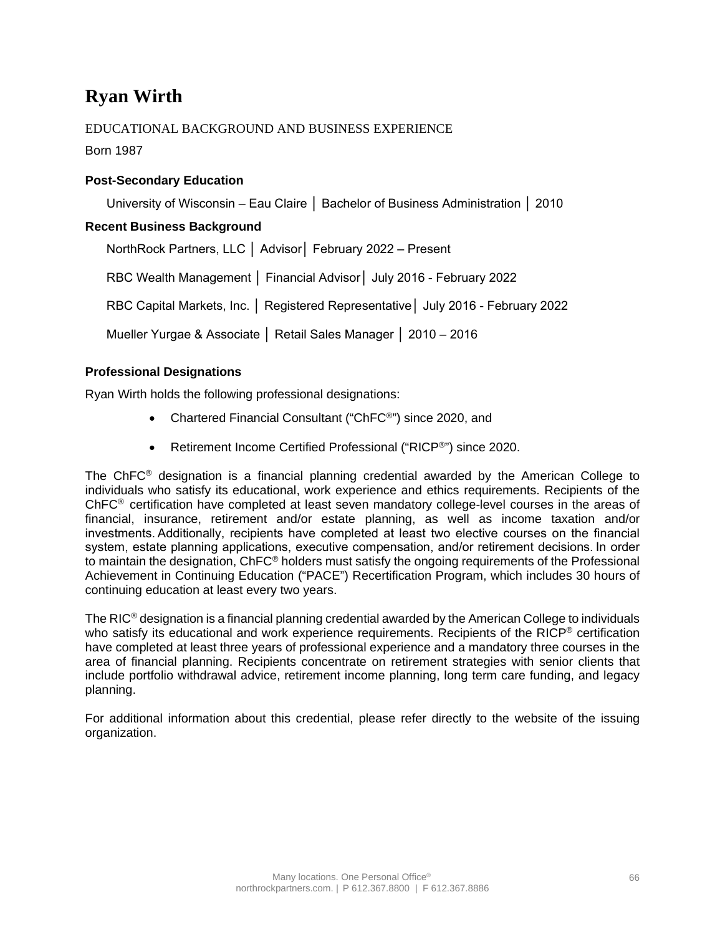## **Ryan Wirth**

## EDUCATIONAL BACKGROUND AND BUSINESS EXPERIENCE

Born 1987

## **Post-Secondary Education**

University of Wisconsin – Eau Claire │ Bachelor of Business Administration │ 2010

### **Recent Business Background**

NorthRock Partners, LLC │ Advisor│ February 2022 – Present RBC Wealth Management │ Financial Advisor│ July 2016 - February 2022

RBC Capital Markets, Inc. │ Registered Representative│ July 2016 - February 2022

Mueller Yurgae & Associate │ Retail Sales Manager │ 2010 – 2016

## **Professional Designations**

Ryan Wirth holds the following professional designations:

- Chartered Financial Consultant ("ChFC<sup>®</sup>") since 2020, and
- Retirement Income Certified Professional ("RICP®") since 2020.

The ChFC® designation is a financial planning credential awarded by the American College to individuals who satisfy its educational, work experience and ethics requirements. Recipients of the ChFC® certification have completed at least seven mandatory college-level courses in the areas of financial, insurance, retirement and/or estate planning, as well as income taxation and/or investments. Additionally, recipients have completed at least two elective courses on the financial system, estate planning applications, executive compensation, and/or retirement decisions. In order to maintain the designation, ChFC® holders must satisfy the ongoing requirements of the Professional Achievement in Continuing Education ("PACE") Recertification Program, which includes 30 hours of continuing education at least every two years.

The  $RIC^{\circ}$  designation is a financial planning credential awarded by the American College to individuals who satisfy its educational and work experience requirements. Recipients of the RICP<sup>®</sup> certification have completed at least three years of professional experience and a mandatory three courses in the area of financial planning. Recipients concentrate on retirement strategies with senior clients that include portfolio withdrawal advice, retirement income planning, long term care funding, and legacy planning.

For additional information about this credential, please refer directly to the website of the issuing organization.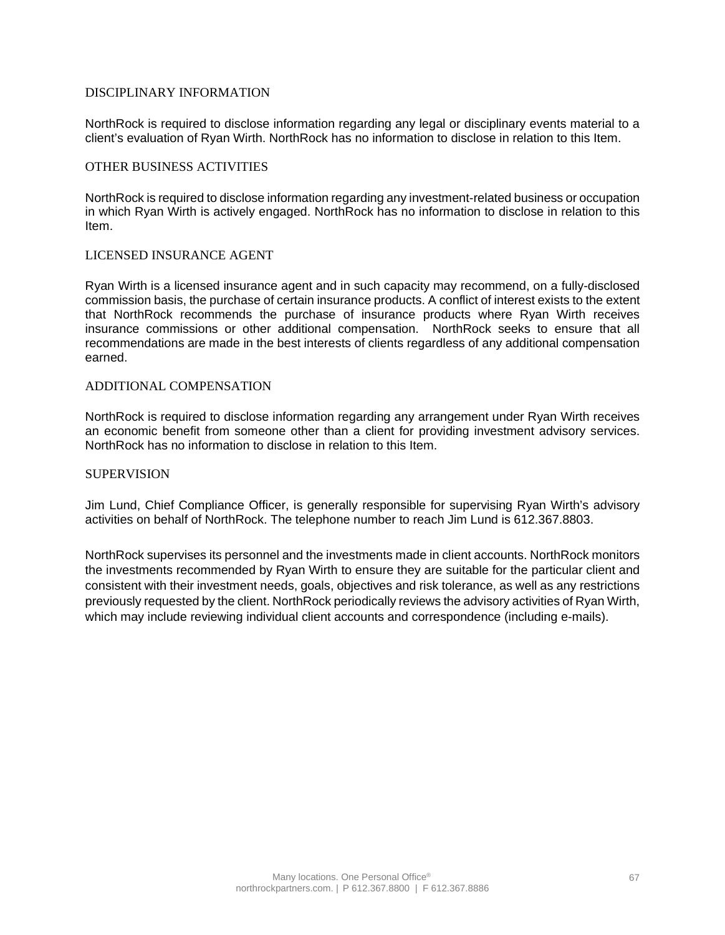### DISCIPLINARY INFORMATION

NorthRock is required to disclose information regarding any legal or disciplinary events material to a client's evaluation of Ryan Wirth. NorthRock has no information to disclose in relation to this Item.

### OTHER BUSINESS ACTIVITIES

NorthRock is required to disclose information regarding any investment-related business or occupation in which Ryan Wirth is actively engaged. NorthRock has no information to disclose in relation to this Item.

### LICENSED INSURANCE AGENT

Ryan Wirth is a licensed insurance agent and in such capacity may recommend, on a fully-disclosed commission basis, the purchase of certain insurance products. A conflict of interest exists to the extent that NorthRock recommends the purchase of insurance products where Ryan Wirth receives insurance commissions or other additional compensation. NorthRock seeks to ensure that all recommendations are made in the best interests of clients regardless of any additional compensation earned.

### ADDITIONAL COMPENSATION

NorthRock is required to disclose information regarding any arrangement under Ryan Wirth receives an economic benefit from someone other than a client for providing investment advisory services. NorthRock has no information to disclose in relation to this Item.

#### SUPERVISION

Jim Lund, Chief Compliance Officer, is generally responsible for supervising Ryan Wirth's advisory activities on behalf of NorthRock. The telephone number to reach Jim Lund is 612.367.8803.

NorthRock supervises its personnel and the investments made in client accounts. NorthRock monitors the investments recommended by Ryan Wirth to ensure they are suitable for the particular client and consistent with their investment needs, goals, objectives and risk tolerance, as well as any restrictions previously requested by the client. NorthRock periodically reviews the advisory activities of Ryan Wirth, which may include reviewing individual client accounts and correspondence (including e-mails).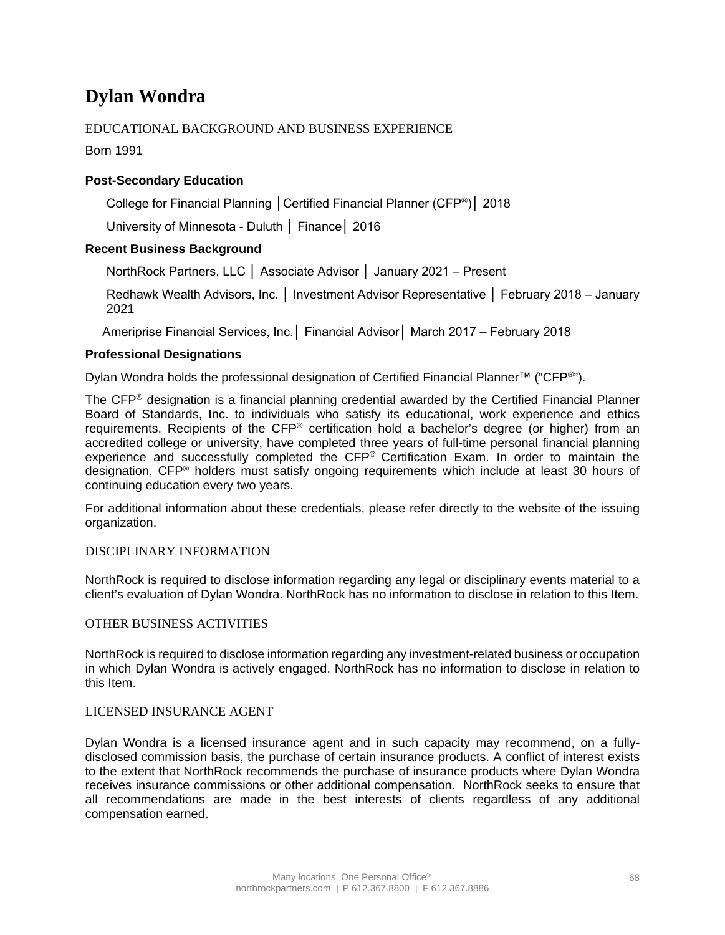## **Dylan Wondra**

## EDUCATIONAL BACKGROUND AND BUSINESS EXPERIENCE

Born 1991

## **Post-Secondary Education**

College for Financial Planning │Certified Financial Planner (CFP®)│ 2018

University of Minnesota - Duluth │ Finance│ 2016

## **Recent Business Background**

NorthRock Partners, LLC │ Associate Advisor │ January 2021 – Present

Redhawk Wealth Advisors, Inc. │ Investment Advisor Representative │ February 2018 – January 2021

Ameriprise Financial Services, Inc.│ Financial Advisor│ March 2017 – February 2018

## **Professional Designations**

Dylan Wondra holds the professional designation of Certified Financial Planner™ ("CFP®").

The CFP® designation is a financial planning credential awarded by the Certified Financial Planner Board of Standards, Inc. to individuals who satisfy its educational, work experience and ethics requirements. Recipients of the CFP® certification hold a bachelor's degree (or higher) from an accredited college or university, have completed three years of full-time personal financial planning experience and successfully completed the CFP® Certification Exam. In order to maintain the designation, CFP® holders must satisfy ongoing requirements which include at least 30 hours of continuing education every two years.

For additional information about these credentials, please refer directly to the website of the issuing organization.

### DISCIPLINARY INFORMATION

NorthRock is required to disclose information regarding any legal or disciplinary events material to a client's evaluation of Dylan Wondra. NorthRock has no information to disclose in relation to this Item.

### OTHER BUSINESS ACTIVITIES

NorthRock is required to disclose information regarding any investment-related business or occupation in which Dylan Wondra is actively engaged. NorthRock has no information to disclose in relation to this Item.

### LICENSED INSURANCE AGENT

Dylan Wondra is a licensed insurance agent and in such capacity may recommend, on a fullydisclosed commission basis, the purchase of certain insurance products. A conflict of interest exists to the extent that NorthRock recommends the purchase of insurance products where Dylan Wondra receives insurance commissions or other additional compensation. NorthRock seeks to ensure that all recommendations are made in the best interests of clients regardless of any additional compensation earned.